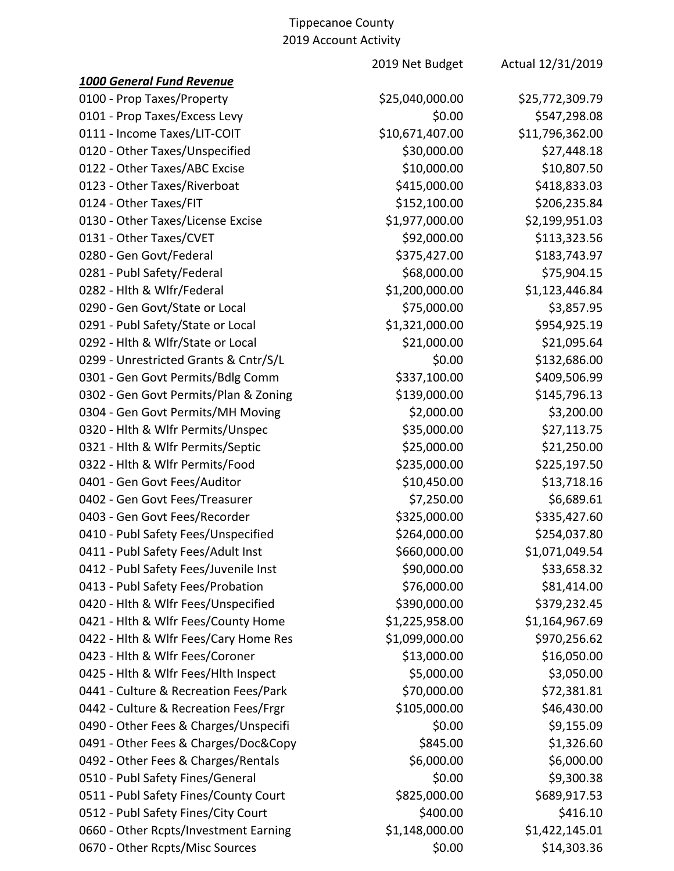|                                       | $0 + 0$ , to count , to che it $\gamma$ |                   |
|---------------------------------------|-----------------------------------------|-------------------|
|                                       | 2019 Net Budget                         | Actual 12/31/2019 |
| <b>1000 General Fund Revenue</b>      |                                         |                   |
| 0100 - Prop Taxes/Property            | \$25,040,000.00                         | \$25,772,309.79   |
| 0101 - Prop Taxes/Excess Levy         | \$0.00                                  | \$547,298.08      |
| 0111 - Income Taxes/LIT-COIT          | \$10,671,407.00                         | \$11,796,362.00   |
| 0120 - Other Taxes/Unspecified        | \$30,000.00                             | \$27,448.18       |
| 0122 - Other Taxes/ABC Excise         | \$10,000.00                             | \$10,807.50       |
| 0123 - Other Taxes/Riverboat          | \$415,000.00                            | \$418,833.03      |
| 0124 - Other Taxes/FIT                | \$152,100.00                            | \$206,235.84      |
| 0130 - Other Taxes/License Excise     | \$1,977,000.00                          | \$2,199,951.03    |
| 0131 - Other Taxes/CVET               | \$92,000.00                             | \$113,323.56      |
| 0280 - Gen Govt/Federal               | \$375,427.00                            | \$183,743.97      |
| 0281 - Publ Safety/Federal            | \$68,000.00                             | \$75,904.15       |
| 0282 - Hlth & Wlfr/Federal            | \$1,200,000.00                          | \$1,123,446.84    |
| 0290 - Gen Govt/State or Local        | \$75,000.00                             | \$3,857.95        |
| 0291 - Publ Safety/State or Local     | \$1,321,000.00                          | \$954,925.19      |
| 0292 - Hlth & Wlfr/State or Local     | \$21,000.00                             | \$21,095.64       |
| 0299 - Unrestricted Grants & Cntr/S/L | \$0.00                                  | \$132,686.00      |
| 0301 - Gen Govt Permits/Bdlg Comm     | \$337,100.00                            | \$409,506.99      |
| 0302 - Gen Govt Permits/Plan & Zoning | \$139,000.00                            | \$145,796.13      |
| 0304 - Gen Govt Permits/MH Moving     | \$2,000.00                              | \$3,200.00        |
| 0320 - Hlth & Wlfr Permits/Unspec     | \$35,000.00                             | \$27,113.75       |
| 0321 - Hlth & Wlfr Permits/Septic     | \$25,000.00                             | \$21,250.00       |
| 0322 - Hlth & Wlfr Permits/Food       | \$235,000.00                            | \$225,197.50      |
| 0401 - Gen Govt Fees/Auditor          | \$10,450.00                             | \$13,718.16       |
| 0402 - Gen Govt Fees/Treasurer        | \$7,250.00                              | \$6,689.61        |
| 0403 - Gen Govt Fees/Recorder         | \$325,000.00                            | \$335,427.60      |
| 0410 - Publ Safety Fees/Unspecified   | \$264,000.00                            | \$254,037.80      |
| 0411 - Publ Safety Fees/Adult Inst    | \$660,000.00                            | \$1,071,049.54    |
| 0412 - Publ Safety Fees/Juvenile Inst | \$90,000.00                             | \$33,658.32       |
| 0413 - Publ Safety Fees/Probation     | \$76,000.00                             | \$81,414.00       |
| 0420 - Hlth & Wlfr Fees/Unspecified   | \$390,000.00                            | \$379,232.45      |
| 0421 - Hlth & Wlfr Fees/County Home   | \$1,225,958.00                          | \$1,164,967.69    |
| 0422 - Hith & Wifr Fees/Cary Home Res | \$1,099,000.00                          | \$970,256.62      |
| 0423 - Hith & Wifr Fees/Coroner       | \$13,000.00                             | \$16,050.00       |
| 0425 - Hith & Wifr Fees/Hith Inspect  | \$5,000.00                              | \$3,050.00        |
| 0441 - Culture & Recreation Fees/Park | \$70,000.00                             | \$72,381.81       |
| 0442 - Culture & Recreation Fees/Frgr | \$105,000.00                            | \$46,430.00       |
| 0490 - Other Fees & Charges/Unspecifi | \$0.00                                  | \$9,155.09        |
| 0491 - Other Fees & Charges/Doc&Copy  | \$845.00                                | \$1,326.60        |
| 0492 - Other Fees & Charges/Rentals   | \$6,000.00                              | \$6,000.00        |
| 0510 - Publ Safety Fines/General      | \$0.00                                  | \$9,300.38        |
| 0511 - Publ Safety Fines/County Court | \$825,000.00                            | \$689,917.53      |
| 0512 - Publ Safety Fines/City Court   | \$400.00                                | \$416.10          |
| 0660 - Other Rcpts/Investment Earning | \$1,148,000.00                          | \$1,422,145.01    |
| 0670 - Other Rcpts/Misc Sources       | \$0.00                                  | \$14,303.36       |
|                                       |                                         |                   |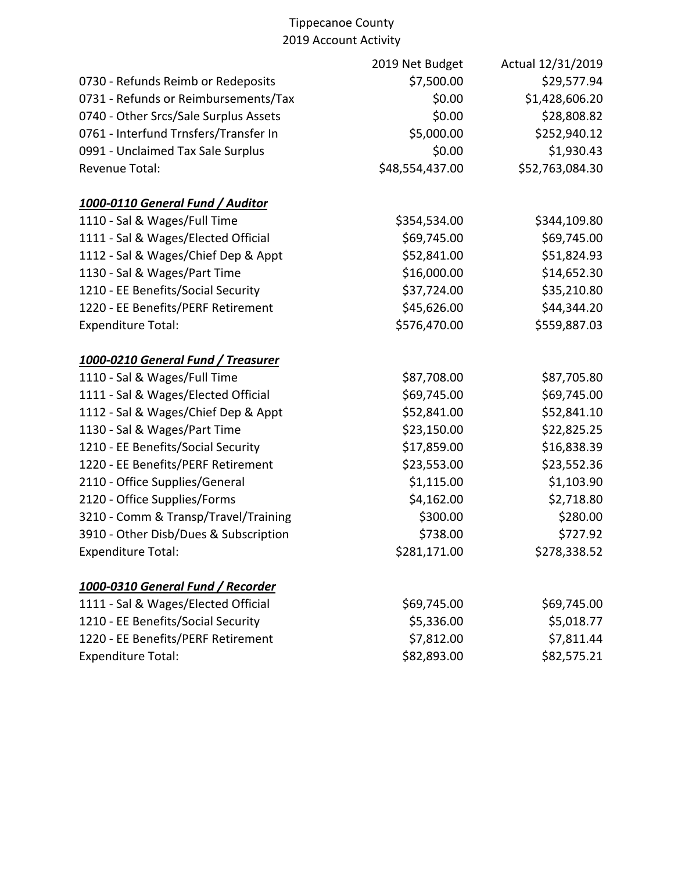|                                       | 2019 Net Budget | Actual 12/31/2019 |
|---------------------------------------|-----------------|-------------------|
| 0730 - Refunds Reimb or Redeposits    | \$7,500.00      | \$29,577.94       |
| 0731 - Refunds or Reimbursements/Tax  | \$0.00          | \$1,428,606.20    |
| 0740 - Other Srcs/Sale Surplus Assets | \$0.00          | \$28,808.82       |
| 0761 - Interfund Trnsfers/Transfer In | \$5,000.00      | \$252,940.12      |
| 0991 - Unclaimed Tax Sale Surplus     | \$0.00          | \$1,930.43        |
| <b>Revenue Total:</b>                 | \$48,554,437.00 | \$52,763,084.30   |
| 1000-0110 General Fund / Auditor      |                 |                   |
| 1110 - Sal & Wages/Full Time          | \$354,534.00    | \$344,109.80      |
| 1111 - Sal & Wages/Elected Official   | \$69,745.00     | \$69,745.00       |
| 1112 - Sal & Wages/Chief Dep & Appt   | \$52,841.00     | \$51,824.93       |
| 1130 - Sal & Wages/Part Time          | \$16,000.00     | \$14,652.30       |
| 1210 - EE Benefits/Social Security    | \$37,724.00     | \$35,210.80       |
| 1220 - EE Benefits/PERF Retirement    | \$45,626.00     | \$44,344.20       |
| <b>Expenditure Total:</b>             | \$576,470.00    | \$559,887.03      |
| 1000-0210 General Fund / Treasurer    |                 |                   |
| 1110 - Sal & Wages/Full Time          | \$87,708.00     | \$87,705.80       |
| 1111 - Sal & Wages/Elected Official   | \$69,745.00     | \$69,745.00       |
| 1112 - Sal & Wages/Chief Dep & Appt   | \$52,841.00     | \$52,841.10       |
| 1130 - Sal & Wages/Part Time          | \$23,150.00     | \$22,825.25       |
| 1210 - EE Benefits/Social Security    | \$17,859.00     | \$16,838.39       |
| 1220 - EE Benefits/PERF Retirement    | \$23,553.00     | \$23,552.36       |
| 2110 - Office Supplies/General        | \$1,115.00      | \$1,103.90        |
| 2120 - Office Supplies/Forms          | \$4,162.00      | \$2,718.80        |
| 3210 - Comm & Transp/Travel/Training  | \$300.00        | \$280.00          |
| 3910 - Other Disb/Dues & Subscription | \$738.00        | \$727.92          |
| <b>Expenditure Total:</b>             | \$281,171.00    | \$278,338.52      |
| 1000-0310 General Fund / Recorder     |                 |                   |
| 1111 - Sal & Wages/Elected Official   | \$69,745.00     | \$69,745.00       |
| 1210 - EE Benefits/Social Security    | \$5,336.00      | \$5,018.77        |
| 1220 - EE Benefits/PERF Retirement    | \$7,812.00      | \$7,811.44        |
| <b>Expenditure Total:</b>             | \$82,893.00     | \$82,575.21       |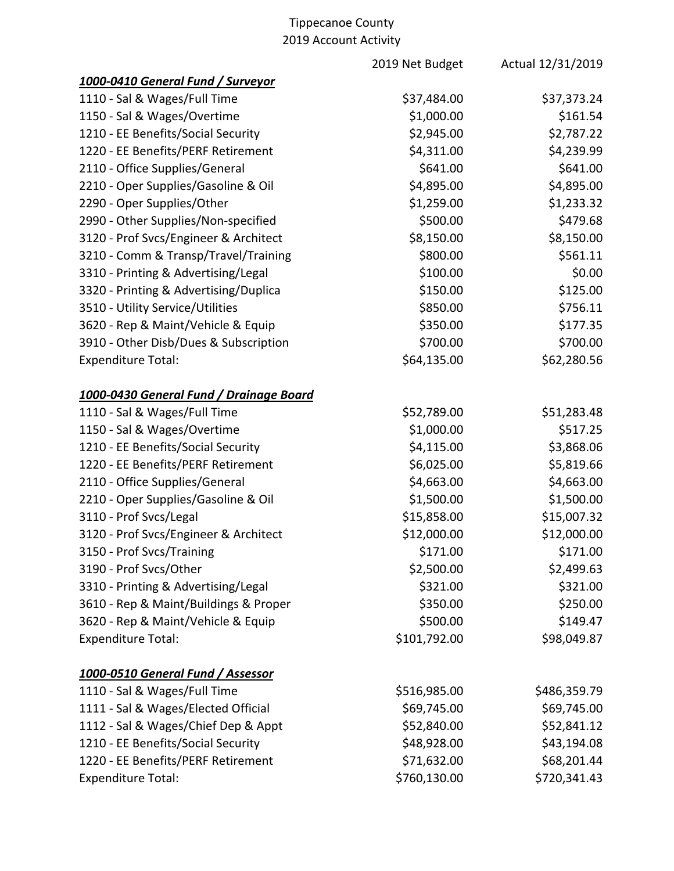|                                         | 2019 Net Budget | Actual 12/31/2019 |
|-----------------------------------------|-----------------|-------------------|
| 1000-0410 General Fund / Surveyor       |                 |                   |
| 1110 - Sal & Wages/Full Time            | \$37,484.00     | \$37,373.24       |
| 1150 - Sal & Wages/Overtime             | \$1,000.00      | \$161.54          |
| 1210 - EE Benefits/Social Security      | \$2,945.00      | \$2,787.22        |
| 1220 - EE Benefits/PERF Retirement      | \$4,311.00      | \$4,239.99        |
| 2110 - Office Supplies/General          | \$641.00        | \$641.00          |
| 2210 - Oper Supplies/Gasoline & Oil     | \$4,895.00      | \$4,895.00        |
| 2290 - Oper Supplies/Other              | \$1,259.00      | \$1,233.32        |
| 2990 - Other Supplies/Non-specified     | \$500.00        | \$479.68          |
| 3120 - Prof Svcs/Engineer & Architect   | \$8,150.00      | \$8,150.00        |
| 3210 - Comm & Transp/Travel/Training    | \$800.00        | \$561.11          |
| 3310 - Printing & Advertising/Legal     | \$100.00        | \$0.00            |
| 3320 - Printing & Advertising/Duplica   | \$150.00        | \$125.00          |
| 3510 - Utility Service/Utilities        | \$850.00        | \$756.11          |
| 3620 - Rep & Maint/Vehicle & Equip      | \$350.00        | \$177.35          |
| 3910 - Other Disb/Dues & Subscription   | \$700.00        | \$700.00          |
| <b>Expenditure Total:</b>               | \$64,135.00     | \$62,280.56       |
| 1000-0430 General Fund / Drainage Board |                 |                   |
| 1110 - Sal & Wages/Full Time            | \$52,789.00     | \$51,283.48       |
| 1150 - Sal & Wages/Overtime             | \$1,000.00      | \$517.25          |
| 1210 - EE Benefits/Social Security      | \$4,115.00      | \$3,868.06        |
| 1220 - EE Benefits/PERF Retirement      | \$6,025.00      | \$5,819.66        |
| 2110 - Office Supplies/General          | \$4,663.00      | \$4,663.00        |
| 2210 - Oper Supplies/Gasoline & Oil     | \$1,500.00      | \$1,500.00        |
| 3110 - Prof Svcs/Legal                  | \$15,858.00     | \$15,007.32       |
| 3120 - Prof Svcs/Engineer & Architect   | \$12,000.00     | \$12,000.00       |
| 3150 - Prof Svcs/Training               | \$171.00        | \$171.00          |
| 3190 - Prof Svcs/Other                  | \$2,500.00      | \$2,499.63        |
| 3310 - Printing & Advertising/Legal     | \$321.00        | \$321.00          |
| 3610 - Rep & Maint/Buildings & Proper   | \$350.00        | \$250.00          |
| 3620 - Rep & Maint/Vehicle & Equip      | \$500.00        | \$149.47          |
| <b>Expenditure Total:</b>               | \$101,792.00    | \$98,049.87       |
| 1000-0510 General Fund / Assessor       |                 |                   |
| 1110 - Sal & Wages/Full Time            | \$516,985.00    | \$486,359.79      |
| 1111 - Sal & Wages/Elected Official     | \$69,745.00     | \$69,745.00       |
| 1112 - Sal & Wages/Chief Dep & Appt     | \$52,840.00     | \$52,841.12       |
| 1210 - EE Benefits/Social Security      | \$48,928.00     | \$43,194.08       |
| 1220 - EE Benefits/PERF Retirement      | \$71,632.00     | \$68,201.44       |
| <b>Expenditure Total:</b>               | \$760,130.00    | \$720,341.43      |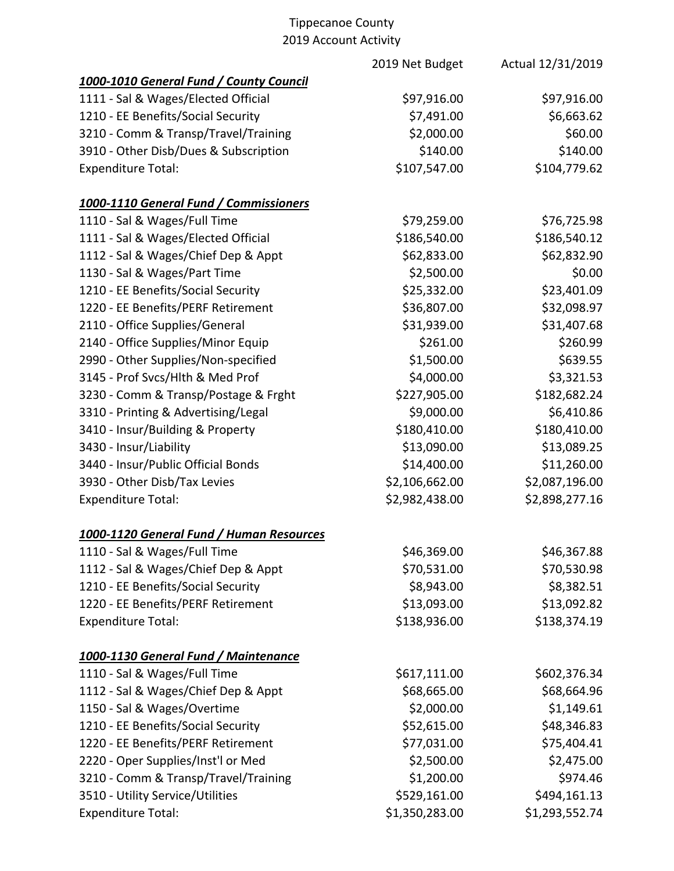|                                          | 2019 Net Budget | Actual 12/31/2019 |
|------------------------------------------|-----------------|-------------------|
| 1000-1010 General Fund / County Council  |                 |                   |
| 1111 - Sal & Wages/Elected Official      | \$97,916.00     | \$97,916.00       |
| 1210 - EE Benefits/Social Security       | \$7,491.00      | \$6,663.62        |
| 3210 - Comm & Transp/Travel/Training     | \$2,000.00      | \$60.00           |
| 3910 - Other Disb/Dues & Subscription    | \$140.00        | \$140.00          |
| <b>Expenditure Total:</b>                | \$107,547.00    | \$104,779.62      |
| 1000-1110 General Fund / Commissioners   |                 |                   |
| 1110 - Sal & Wages/Full Time             | \$79,259.00     | \$76,725.98       |
| 1111 - Sal & Wages/Elected Official      | \$186,540.00    | \$186,540.12      |
| 1112 - Sal & Wages/Chief Dep & Appt      | \$62,833.00     | \$62,832.90       |
| 1130 - Sal & Wages/Part Time             | \$2,500.00      | \$0.00            |
| 1210 - EE Benefits/Social Security       | \$25,332.00     | \$23,401.09       |
| 1220 - EE Benefits/PERF Retirement       | \$36,807.00     | \$32,098.97       |
| 2110 - Office Supplies/General           | \$31,939.00     | \$31,407.68       |
| 2140 - Office Supplies/Minor Equip       | \$261.00        | \$260.99          |
| 2990 - Other Supplies/Non-specified      | \$1,500.00      | \$639.55          |
| 3145 - Prof Svcs/Hlth & Med Prof         | \$4,000.00      | \$3,321.53        |
| 3230 - Comm & Transp/Postage & Frght     | \$227,905.00    | \$182,682.24      |
| 3310 - Printing & Advertising/Legal      | \$9,000.00      | \$6,410.86        |
| 3410 - Insur/Building & Property         | \$180,410.00    | \$180,410.00      |
| 3430 - Insur/Liability                   | \$13,090.00     | \$13,089.25       |
| 3440 - Insur/Public Official Bonds       | \$14,400.00     | \$11,260.00       |
| 3930 - Other Disb/Tax Levies             | \$2,106,662.00  | \$2,087,196.00    |
| <b>Expenditure Total:</b>                | \$2,982,438.00  | \$2,898,277.16    |
| 1000-1120 General Fund / Human Resources |                 |                   |
| 1110 - Sal & Wages/Full Time             | \$46,369.00     | \$46,367.88       |
| 1112 - Sal & Wages/Chief Dep & Appt      | \$70,531.00     | \$70,530.98       |
| 1210 - EE Benefits/Social Security       | \$8,943.00      | \$8,382.51        |
| 1220 - EE Benefits/PERF Retirement       | \$13,093.00     | \$13,092.82       |
| <b>Expenditure Total:</b>                | \$138,936.00    | \$138,374.19      |
| 1000-1130 General Fund / Maintenance     |                 |                   |
| 1110 - Sal & Wages/Full Time             | \$617,111.00    | \$602,376.34      |
| 1112 - Sal & Wages/Chief Dep & Appt      | \$68,665.00     | \$68,664.96       |
| 1150 - Sal & Wages/Overtime              | \$2,000.00      | \$1,149.61        |
| 1210 - EE Benefits/Social Security       | \$52,615.00     | \$48,346.83       |
| 1220 - EE Benefits/PERF Retirement       | \$77,031.00     | \$75,404.41       |
| 2220 - Oper Supplies/Inst'l or Med       | \$2,500.00      | \$2,475.00        |
| 3210 - Comm & Transp/Travel/Training     | \$1,200.00      | \$974.46          |
| 3510 - Utility Service/Utilities         | \$529,161.00    | \$494,161.13      |
| <b>Expenditure Total:</b>                | \$1,350,283.00  | \$1,293,552.74    |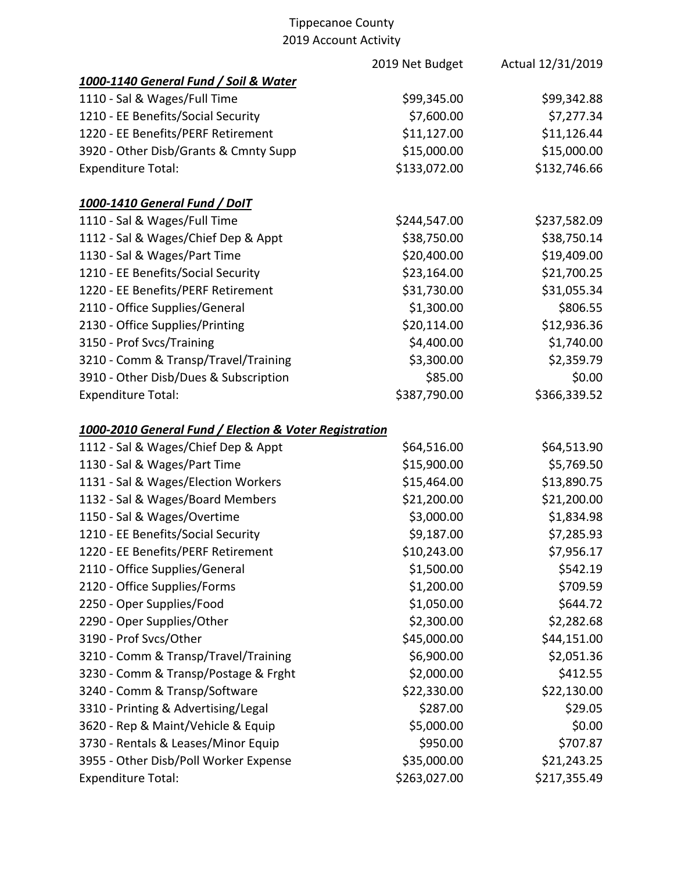|                                                        | 2019 Net Budget | Actual 12/31/2019 |
|--------------------------------------------------------|-----------------|-------------------|
| 1000-1140 General Fund / Soil & Water                  |                 |                   |
| 1110 - Sal & Wages/Full Time                           | \$99,345.00     | \$99,342.88       |
| 1210 - EE Benefits/Social Security                     | \$7,600.00      | \$7,277.34        |
| 1220 - EE Benefits/PERF Retirement                     | \$11,127.00     | \$11,126.44       |
| 3920 - Other Disb/Grants & Cmnty Supp                  | \$15,000.00     | \$15,000.00       |
| <b>Expenditure Total:</b>                              | \$133,072.00    | \$132,746.66      |
| 1000-1410 General Fund / DolT                          |                 |                   |
| 1110 - Sal & Wages/Full Time                           | \$244,547.00    | \$237,582.09      |
| 1112 - Sal & Wages/Chief Dep & Appt                    | \$38,750.00     | \$38,750.14       |
| 1130 - Sal & Wages/Part Time                           | \$20,400.00     | \$19,409.00       |
| 1210 - EE Benefits/Social Security                     | \$23,164.00     | \$21,700.25       |
| 1220 - EE Benefits/PERF Retirement                     | \$31,730.00     | \$31,055.34       |
| 2110 - Office Supplies/General                         | \$1,300.00      | \$806.55          |
| 2130 - Office Supplies/Printing                        | \$20,114.00     | \$12,936.36       |
| 3150 - Prof Svcs/Training                              | \$4,400.00      | \$1,740.00        |
| 3210 - Comm & Transp/Travel/Training                   | \$3,300.00      | \$2,359.79        |
| 3910 - Other Disb/Dues & Subscription                  | \$85.00         | \$0.00            |
| <b>Expenditure Total:</b>                              | \$387,790.00    | \$366,339.52      |
| 1000-2010 General Fund / Election & Voter Registration |                 |                   |
| 1112 - Sal & Wages/Chief Dep & Appt                    | \$64,516.00     | \$64,513.90       |
| 1130 - Sal & Wages/Part Time                           | \$15,900.00     | \$5,769.50        |
| 1131 - Sal & Wages/Election Workers                    | \$15,464.00     | \$13,890.75       |
| 1132 - Sal & Wages/Board Members                       | \$21,200.00     | \$21,200.00       |
| 1150 - Sal & Wages/Overtime                            | \$3,000.00      | \$1,834.98        |
| 1210 - EE Benefits/Social Security                     | \$9,187.00      | \$7,285.93        |
| 1220 - EE Benefits/PERF Retirement                     | \$10,243.00     | \$7,956.17        |
| 2110 - Office Supplies/General                         | \$1,500.00      | \$542.19          |
| 2120 - Office Supplies/Forms                           | \$1,200.00      | \$709.59          |
| 2250 - Oper Supplies/Food                              | \$1,050.00      | \$644.72          |
| 2290 - Oper Supplies/Other                             | \$2,300.00      | \$2,282.68        |
| 3190 - Prof Svcs/Other                                 | \$45,000.00     | \$44,151.00       |
| 3210 - Comm & Transp/Travel/Training                   | \$6,900.00      | \$2,051.36        |
| 3230 - Comm & Transp/Postage & Frght                   | \$2,000.00      | \$412.55          |
| 3240 - Comm & Transp/Software                          | \$22,330.00     | \$22,130.00       |
| 3310 - Printing & Advertising/Legal                    | \$287.00        | \$29.05           |
| 3620 - Rep & Maint/Vehicle & Equip                     | \$5,000.00      | \$0.00            |
| 3730 - Rentals & Leases/Minor Equip                    | \$950.00        | \$707.87          |
| 3955 - Other Disb/Poll Worker Expense                  | \$35,000.00     | \$21,243.25       |
| <b>Expenditure Total:</b>                              | \$263,027.00    | \$217,355.49      |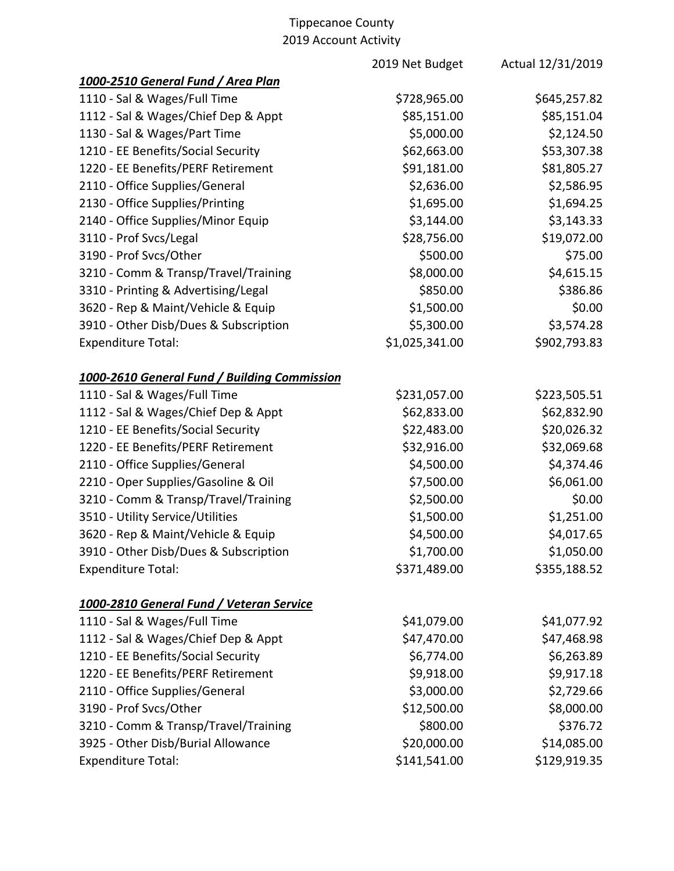|                                              | 2019 Net Budget | Actual 12/31/2019 |
|----------------------------------------------|-----------------|-------------------|
| 1000-2510 General Fund / Area Plan           |                 |                   |
| 1110 - Sal & Wages/Full Time                 | \$728,965.00    | \$645,257.82      |
| 1112 - Sal & Wages/Chief Dep & Appt          | \$85,151.00     | \$85,151.04       |
| 1130 - Sal & Wages/Part Time                 | \$5,000.00      | \$2,124.50        |
| 1210 - EE Benefits/Social Security           | \$62,663.00     | \$53,307.38       |
| 1220 - EE Benefits/PERF Retirement           | \$91,181.00     | \$81,805.27       |
| 2110 - Office Supplies/General               | \$2,636.00      | \$2,586.95        |
| 2130 - Office Supplies/Printing              | \$1,695.00      | \$1,694.25        |
| 2140 - Office Supplies/Minor Equip           | \$3,144.00      | \$3,143.33        |
| 3110 - Prof Svcs/Legal                       | \$28,756.00     | \$19,072.00       |
| 3190 - Prof Svcs/Other                       | \$500.00        | \$75.00           |
| 3210 - Comm & Transp/Travel/Training         | \$8,000.00      | \$4,615.15        |
| 3310 - Printing & Advertising/Legal          | \$850.00        | \$386.86          |
| 3620 - Rep & Maint/Vehicle & Equip           | \$1,500.00      | \$0.00            |
| 3910 - Other Disb/Dues & Subscription        | \$5,300.00      | \$3,574.28        |
| <b>Expenditure Total:</b>                    | \$1,025,341.00  | \$902,793.83      |
| 1000-2610 General Fund / Building Commission |                 |                   |
| 1110 - Sal & Wages/Full Time                 | \$231,057.00    | \$223,505.51      |
| 1112 - Sal & Wages/Chief Dep & Appt          | \$62,833.00     | \$62,832.90       |
| 1210 - EE Benefits/Social Security           | \$22,483.00     | \$20,026.32       |
| 1220 - EE Benefits/PERF Retirement           | \$32,916.00     | \$32,069.68       |
| 2110 - Office Supplies/General               | \$4,500.00      | \$4,374.46        |
| 2210 - Oper Supplies/Gasoline & Oil          | \$7,500.00      | \$6,061.00        |
| 3210 - Comm & Transp/Travel/Training         | \$2,500.00      | \$0.00            |
| 3510 - Utility Service/Utilities             | \$1,500.00      | \$1,251.00        |
| 3620 - Rep & Maint/Vehicle & Equip           | \$4,500.00      | \$4,017.65        |
| 3910 - Other Disb/Dues & Subscription        | \$1,700.00      | \$1,050.00        |
| <b>Expenditure Total:</b>                    | \$371,489.00    | \$355,188.52      |
| 1000-2810 General Fund / Veteran Service     |                 |                   |
| 1110 - Sal & Wages/Full Time                 | \$41,079.00     | \$41,077.92       |
| 1112 - Sal & Wages/Chief Dep & Appt          | \$47,470.00     | \$47,468.98       |
| 1210 - EE Benefits/Social Security           | \$6,774.00      | \$6,263.89        |
| 1220 - EE Benefits/PERF Retirement           | \$9,918.00      | \$9,917.18        |
| 2110 - Office Supplies/General               | \$3,000.00      | \$2,729.66        |
| 3190 - Prof Svcs/Other                       | \$12,500.00     | \$8,000.00        |
| 3210 - Comm & Transp/Travel/Training         | \$800.00        | \$376.72          |
| 3925 - Other Disb/Burial Allowance           | \$20,000.00     | \$14,085.00       |
| <b>Expenditure Total:</b>                    | \$141,541.00    | \$129,919.35      |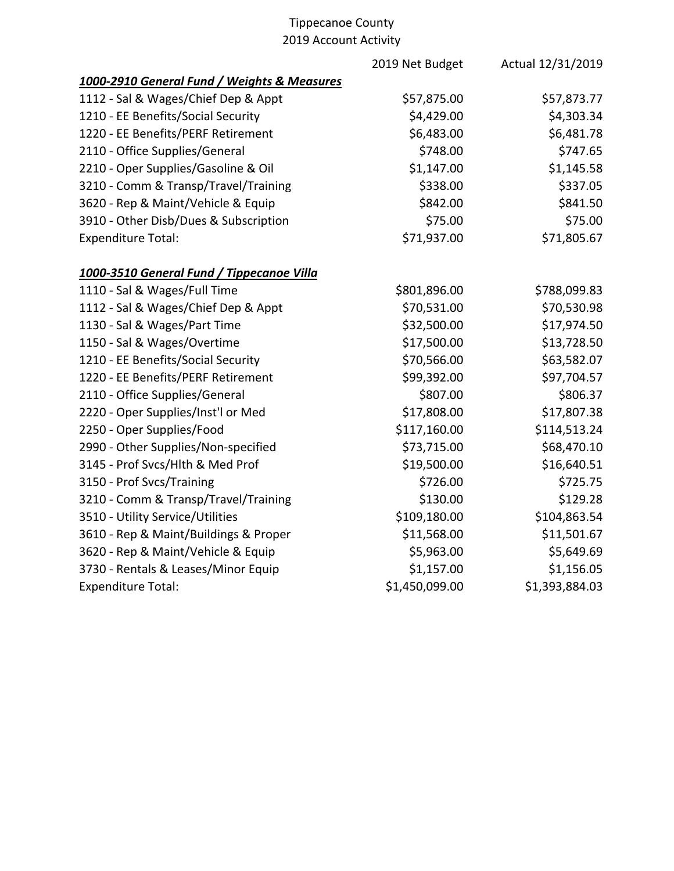|                                             | 2019 Net Budget | Actual 12/31/2019 |
|---------------------------------------------|-----------------|-------------------|
| 1000-2910 General Fund / Weights & Measures |                 |                   |
| 1112 - Sal & Wages/Chief Dep & Appt         | \$57,875.00     | \$57,873.77       |
| 1210 - EE Benefits/Social Security          | \$4,429.00      | \$4,303.34        |
| 1220 - EE Benefits/PERF Retirement          | \$6,483.00      | \$6,481.78        |
| 2110 - Office Supplies/General              | \$748.00        | \$747.65          |
| 2210 - Oper Supplies/Gasoline & Oil         | \$1,147.00      | \$1,145.58        |
| 3210 - Comm & Transp/Travel/Training        | \$338.00        | \$337.05          |
| 3620 - Rep & Maint/Vehicle & Equip          | \$842.00        | \$841.50          |
| 3910 - Other Disb/Dues & Subscription       | \$75.00         | \$75.00           |
| <b>Expenditure Total:</b>                   | \$71,937.00     | \$71,805.67       |
| 1000-3510 General Fund / Tippecanoe Villa   |                 |                   |
| 1110 - Sal & Wages/Full Time                | \$801,896.00    | \$788,099.83      |
| 1112 - Sal & Wages/Chief Dep & Appt         | \$70,531.00     | \$70,530.98       |
| 1130 - Sal & Wages/Part Time                | \$32,500.00     | \$17,974.50       |
| 1150 - Sal & Wages/Overtime                 | \$17,500.00     | \$13,728.50       |
| 1210 - EE Benefits/Social Security          | \$70,566.00     | \$63,582.07       |
| 1220 - EE Benefits/PERF Retirement          | \$99,392.00     | \$97,704.57       |
| 2110 - Office Supplies/General              | \$807.00        | \$806.37          |
| 2220 - Oper Supplies/Inst'l or Med          | \$17,808.00     | \$17,807.38       |
| 2250 - Oper Supplies/Food                   | \$117,160.00    | \$114,513.24      |
| 2990 - Other Supplies/Non-specified         | \$73,715.00     | \$68,470.10       |
| 3145 - Prof Svcs/Hlth & Med Prof            | \$19,500.00     | \$16,640.51       |
| 3150 - Prof Svcs/Training                   | \$726.00        | \$725.75          |
| 3210 - Comm & Transp/Travel/Training        | \$130.00        | \$129.28          |
| 3510 - Utility Service/Utilities            | \$109,180.00    | \$104,863.54      |
| 3610 - Rep & Maint/Buildings & Proper       | \$11,568.00     | \$11,501.67       |
| 3620 - Rep & Maint/Vehicle & Equip          | \$5,963.00      | \$5,649.69        |
| 3730 - Rentals & Leases/Minor Equip         | \$1,157.00      | \$1,156.05        |
| <b>Expenditure Total:</b>                   | \$1,450,099.00  | \$1,393,884.03    |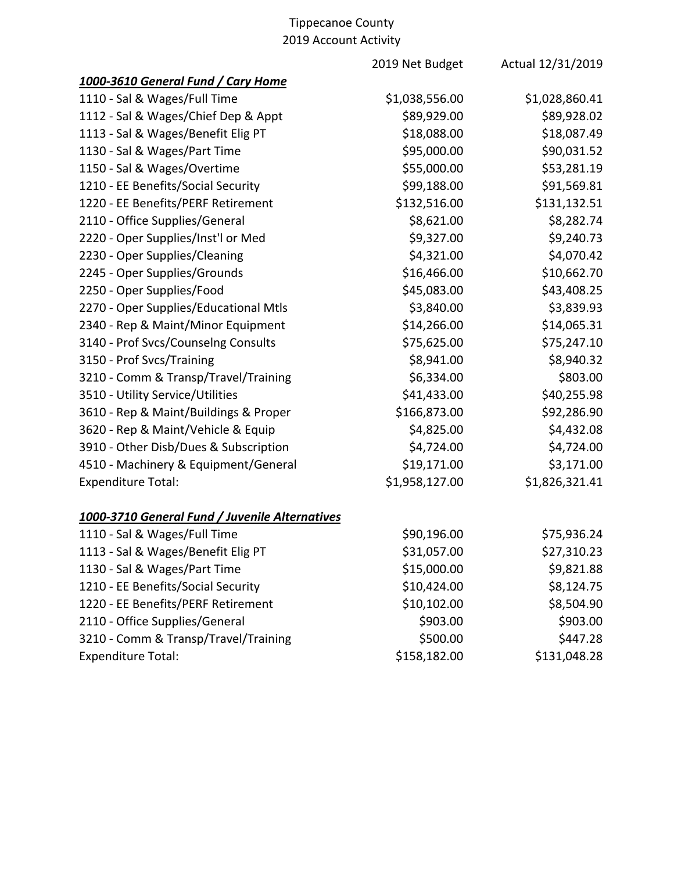2019 Net Budget Actual 12/31/2019 *1000-3610 General Fund / Cary Home* 1110 - Sal & Wages/Full Time \$1,038,556.00 \$1,028,860.41 1112 - Sal & Wages/Chief Dep & Appt  $$89,929.00$  \$89,928.02 1113 - Sal & Wages/Benefit Elig PT \$18,088.00 \$18,087.49 1130 - Sal & Wages/Part Time  $$95,000.00$  \$90,031.52 1150 - Sal & Wages/Overtime  $$55,000.00$  \$53,281.19 1210 - EE Benefits/Social Security \$99,188.00 \$91,569.81 1220 - EE Benefits/PERF Retirement \$132,516.00 \$131,132.51 2110 - Office Supplies/General  $\frac{1}{2}$  \$8,621.00 \$8,282.74 2220 - Oper Supplies/Inst'l or Med  $\lesssim 9.327.00$  \$9,240.73 2230 - Oper Supplies/Cleaning  $$4,321.00$  \$4,070.42 2245 - Oper Supplies/Grounds  $$16,466.00$  \$10,662.70 2250 - Oper Supplies/Food \$45,083.00 \$43,408.25 2270 - Oper Supplies/Educational Mtls  $$3,840.00$  \$3,839.93 2340 - Rep & Maint/Minor Equipment \$14,266.00 \$14,065.31 3140 - Prof Svcs/Counselng Consults \$75,625.00 \$75,247.10 3150 - Prof Svcs/Training 3150 - Prof Svcs/Training \$8,941.00 \$8,940.32 3210 - Comm & Transp/Travel/Training  $\begin{array}{c} 3210 - \text{Comm } 8 \text{ Transp/Tr} \end{array}$ 3510 - Utility Service/Utilities \$41,433.00 \$40,255.98 3610 - Rep & Maint/Buildings & Proper \$166,873.00 \$92,286.90 3620 - Rep & Maint/Vehicle & Equip  $$4,825.00$  \$4,432.08 3910 - Other Disb/Dues & Subscription  $$4,724.00$   $$4,724.00$ 4510 - Machinery & Equipment/General \$19,171.00 \$3,171.00 Expenditure Total:  $$1,958,127.00$   $$1,826,321.41$ *1000-3710 General Fund / Juvenile Alternatives* 1110 - Sal & Wages/Full Time  $$90,196.00$  \$75,936.24

| 1113 - Sal & Wages/Benefit Elig PT   | \$31,057.00  | \$27,310.23  |
|--------------------------------------|--------------|--------------|
| 1130 - Sal & Wages/Part Time         | \$15,000.00  | \$9,821.88   |
| 1210 - EE Benefits/Social Security   | \$10,424.00  | \$8,124.75   |
| 1220 - EE Benefits/PERF Retirement   | \$10,102.00  | \$8,504.90   |
| 2110 - Office Supplies/General       | \$903.00     | \$903.00     |
| 3210 - Comm & Transp/Travel/Training | \$500.00     | \$447.28     |
| <b>Expenditure Total:</b>            | \$158,182.00 | \$131,048.28 |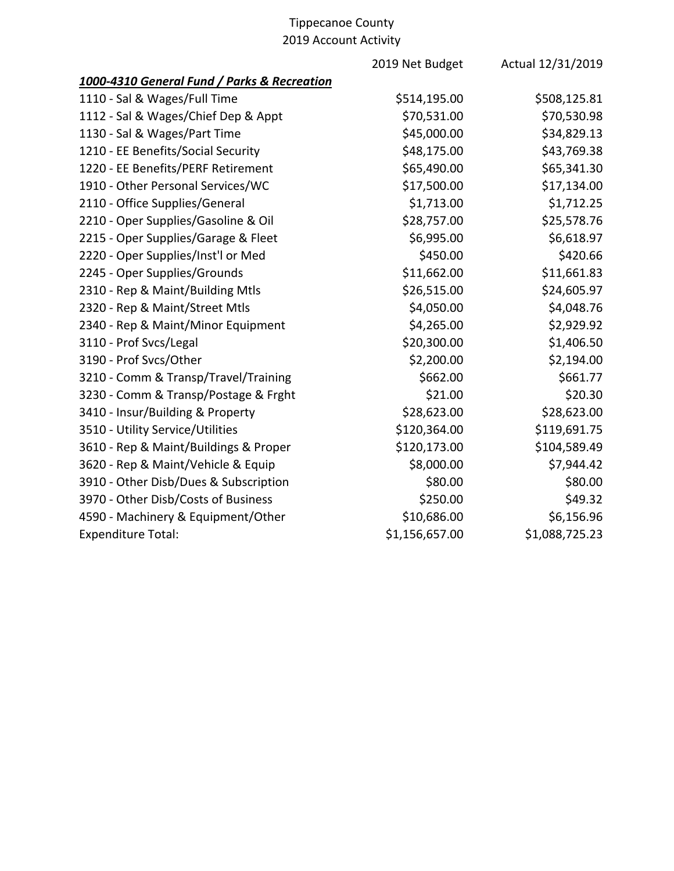| 2019 Net Budget | Actual 12/31/2019 |
|-----------------|-------------------|
|                 |                   |
| \$514,195.00    | \$508,125.81      |
| \$70,531.00     | \$70,530.98       |
| \$45,000.00     | \$34,829.13       |
| \$48,175.00     | \$43,769.38       |
| \$65,490.00     | \$65,341.30       |
| \$17,500.00     | \$17,134.00       |
| \$1,713.00      | \$1,712.25        |
| \$28,757.00     | \$25,578.76       |
| \$6,995.00      | \$6,618.97        |
| \$450.00        | \$420.66          |
| \$11,662.00     | \$11,661.83       |
| \$26,515.00     | \$24,605.97       |
| \$4,050.00      | \$4,048.76        |
| \$4,265.00      | \$2,929.92        |
| \$20,300.00     | \$1,406.50        |
| \$2,200.00      | \$2,194.00        |
| \$662.00        | \$661.77          |
| \$21.00         | \$20.30           |
| \$28,623.00     | \$28,623.00       |
| \$120,364.00    | \$119,691.75      |
| \$120,173.00    | \$104,589.49      |
| \$8,000.00      | \$7,944.42        |
| \$80.00         | \$80.00           |
| \$250.00        | \$49.32           |
| \$10,686.00     | \$6,156.96        |
| \$1,156,657.00  | \$1,088,725.23    |
|                 |                   |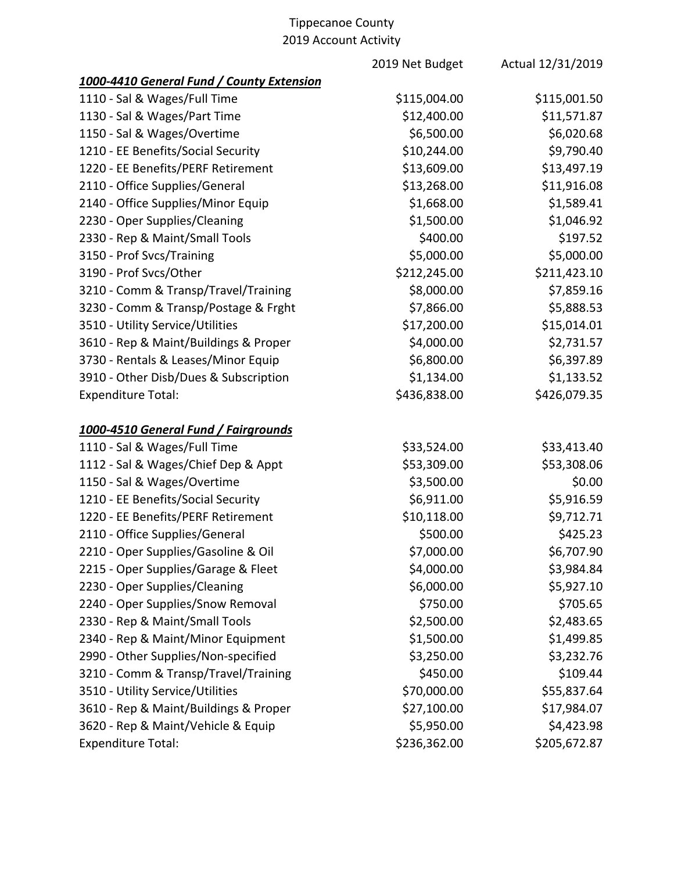|                                           | 2019 Net Budget | Actual 12/31/2019 |
|-------------------------------------------|-----------------|-------------------|
| 1000-4410 General Fund / County Extension |                 |                   |
| 1110 - Sal & Wages/Full Time              | \$115,004.00    | \$115,001.50      |
| 1130 - Sal & Wages/Part Time              | \$12,400.00     | \$11,571.87       |
| 1150 - Sal & Wages/Overtime               | \$6,500.00      | \$6,020.68        |
| 1210 - EE Benefits/Social Security        | \$10,244.00     | \$9,790.40        |
| 1220 - EE Benefits/PERF Retirement        | \$13,609.00     | \$13,497.19       |
| 2110 - Office Supplies/General            | \$13,268.00     | \$11,916.08       |
| 2140 - Office Supplies/Minor Equip        | \$1,668.00      | \$1,589.41        |
| 2230 - Oper Supplies/Cleaning             | \$1,500.00      | \$1,046.92        |
| 2330 - Rep & Maint/Small Tools            | \$400.00        | \$197.52          |
| 3150 - Prof Svcs/Training                 | \$5,000.00      | \$5,000.00        |
| 3190 - Prof Svcs/Other                    | \$212,245.00    | \$211,423.10      |
| 3210 - Comm & Transp/Travel/Training      | \$8,000.00      | \$7,859.16        |
| 3230 - Comm & Transp/Postage & Frght      | \$7,866.00      | \$5,888.53        |
| 3510 - Utility Service/Utilities          | \$17,200.00     | \$15,014.01       |
| 3610 - Rep & Maint/Buildings & Proper     | \$4,000.00      | \$2,731.57        |
| 3730 - Rentals & Leases/Minor Equip       | \$6,800.00      | \$6,397.89        |
| 3910 - Other Disb/Dues & Subscription     | \$1,134.00      | \$1,133.52        |
| <b>Expenditure Total:</b>                 | \$436,838.00    | \$426,079.35      |
| 1000-4510 General Fund / Fairgrounds      |                 |                   |
| 1110 - Sal & Wages/Full Time              | \$33,524.00     | \$33,413.40       |
| 1112 - Sal & Wages/Chief Dep & Appt       | \$53,309.00     | \$53,308.06       |
| 1150 - Sal & Wages/Overtime               | \$3,500.00      | \$0.00            |
| 1210 - EE Benefits/Social Security        | \$6,911.00      | \$5,916.59        |
| 1220 - EE Benefits/PERF Retirement        | \$10,118.00     | \$9,712.71        |
| 2110 - Office Supplies/General            | \$500.00        | \$425.23          |
| 2210 - Oper Supplies/Gasoline & Oil       | \$7,000.00      | \$6,707.90        |
| 2215 - Oper Supplies/Garage & Fleet       | \$4,000.00      | \$3,984.84        |
| 2230 - Oper Supplies/Cleaning             | \$6,000.00      | \$5,927.10        |
| 2240 - Oper Supplies/Snow Removal         | \$750.00        | \$705.65          |
| 2330 - Rep & Maint/Small Tools            | \$2,500.00      | \$2,483.65        |
| 2340 - Rep & Maint/Minor Equipment        | \$1,500.00      | \$1,499.85        |
| 2990 - Other Supplies/Non-specified       | \$3,250.00      | \$3,232.76        |
| 3210 - Comm & Transp/Travel/Training      | \$450.00        | \$109.44          |
| 3510 - Utility Service/Utilities          | \$70,000.00     | \$55,837.64       |
| 3610 - Rep & Maint/Buildings & Proper     | \$27,100.00     | \$17,984.07       |
| 3620 - Rep & Maint/Vehicle & Equip        | \$5,950.00      | \$4,423.98        |
| <b>Expenditure Total:</b>                 | \$236,362.00    | \$205,672.87      |
|                                           |                 |                   |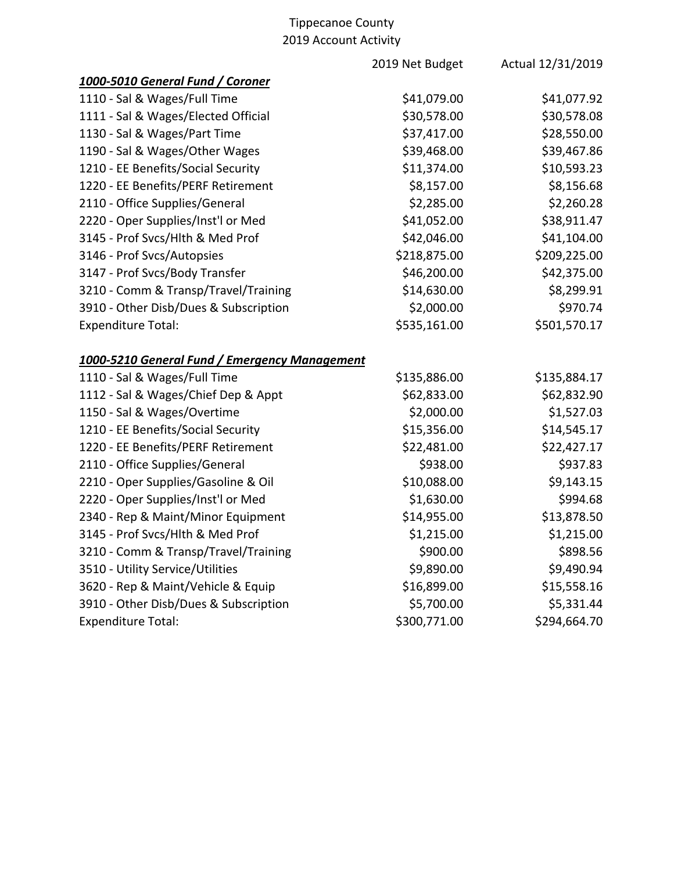|                                               | 2019 Net Budget | Actual 12/31/2019 |
|-----------------------------------------------|-----------------|-------------------|
| 1000-5010 General Fund / Coroner              |                 |                   |
| 1110 - Sal & Wages/Full Time                  | \$41,079.00     | \$41,077.92       |
| 1111 - Sal & Wages/Elected Official           | \$30,578.00     | \$30,578.08       |
| 1130 - Sal & Wages/Part Time                  | \$37,417.00     | \$28,550.00       |
| 1190 - Sal & Wages/Other Wages                | \$39,468.00     | \$39,467.86       |
| 1210 - EE Benefits/Social Security            | \$11,374.00     | \$10,593.23       |
| 1220 - EE Benefits/PERF Retirement            | \$8,157.00      | \$8,156.68        |
| 2110 - Office Supplies/General                | \$2,285.00      | \$2,260.28        |
| 2220 - Oper Supplies/Inst'l or Med            | \$41,052.00     | \$38,911.47       |
| 3145 - Prof Svcs/Hlth & Med Prof              | \$42,046.00     | \$41,104.00       |
| 3146 - Prof Svcs/Autopsies                    | \$218,875.00    | \$209,225.00      |
| 3147 - Prof Svcs/Body Transfer                | \$46,200.00     | \$42,375.00       |
| 3210 - Comm & Transp/Travel/Training          | \$14,630.00     | \$8,299.91        |
| 3910 - Other Disb/Dues & Subscription         | \$2,000.00      | \$970.74          |
| <b>Expenditure Total:</b>                     | \$535,161.00    | \$501,570.17      |
| 1000-5210 General Fund / Emergency Management |                 |                   |
| 1110 - Sal & Wages/Full Time                  | \$135,886.00    | \$135,884.17      |
| 1112 - Sal & Wages/Chief Dep & Appt           | \$62,833.00     | \$62,832.90       |
| 1150 - Sal & Wages/Overtime                   | \$2,000.00      | \$1,527.03        |
| 1210 - EE Benefits/Social Security            | \$15,356.00     | \$14,545.17       |
| 1220 - EE Benefits/PERF Retirement            | \$22,481.00     | \$22,427.17       |
| 2110 - Office Supplies/General                | \$938.00        | \$937.83          |
| 2210 - Oper Supplies/Gasoline & Oil           | \$10,088.00     | \$9,143.15        |
| 2220 - Oper Supplies/Inst'l or Med            | \$1,630.00      | \$994.68          |
| 2340 - Rep & Maint/Minor Equipment            | \$14,955.00     | \$13,878.50       |
| 3145 - Prof Svcs/Hlth & Med Prof              | \$1,215.00      | \$1,215.00        |
| 3210 - Comm & Transp/Travel/Training          | \$900.00        | \$898.56          |
| 3510 - Utility Service/Utilities              | \$9,890.00      | \$9,490.94        |
| 3620 - Rep & Maint/Vehicle & Equip            | \$16,899.00     | \$15,558.16       |
| 3910 - Other Disb/Dues & Subscription         | \$5,700.00      | \$5,331.44        |
| <b>Expenditure Total:</b>                     | \$300,771.00    | \$294,664.70      |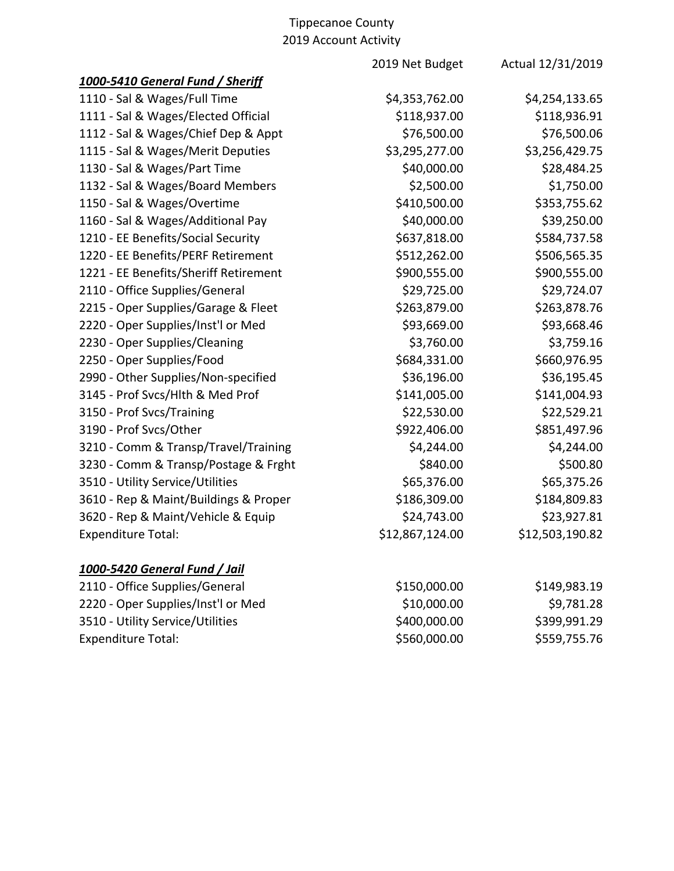| 1000-5410 General Fund / Sheriff                      | \$4,254,133.65  |
|-------------------------------------------------------|-----------------|
|                                                       |                 |
| 1110 - Sal & Wages/Full Time<br>\$4,353,762.00        |                 |
| 1111 - Sal & Wages/Elected Official<br>\$118,937.00   | \$118,936.91    |
| \$76,500.00<br>1112 - Sal & Wages/Chief Dep & Appt    | \$76,500.06     |
| \$3,295,277.00<br>1115 - Sal & Wages/Merit Deputies   | \$3,256,429.75  |
| \$40,000.00<br>1130 - Sal & Wages/Part Time           | \$28,484.25     |
| \$2,500.00<br>1132 - Sal & Wages/Board Members        | \$1,750.00      |
| \$410,500.00<br>1150 - Sal & Wages/Overtime           | \$353,755.62    |
| 1160 - Sal & Wages/Additional Pay<br>\$40,000.00      | \$39,250.00     |
| 1210 - EE Benefits/Social Security<br>\$637,818.00    | \$584,737.58    |
| 1220 - EE Benefits/PERF Retirement<br>\$512,262.00    | \$506,565.35    |
| \$900,555.00<br>1221 - EE Benefits/Sheriff Retirement | \$900,555.00    |
| \$29,725.00<br>2110 - Office Supplies/General         | \$29,724.07     |
| 2215 - Oper Supplies/Garage & Fleet<br>\$263,879.00   | \$263,878.76    |
| \$93,669.00<br>2220 - Oper Supplies/Inst'l or Med     | \$93,668.46     |
| \$3,760.00<br>2230 - Oper Supplies/Cleaning           | \$3,759.16      |
| 2250 - Oper Supplies/Food<br>\$684,331.00             | \$660,976.95    |
| 2990 - Other Supplies/Non-specified<br>\$36,196.00    | \$36,195.45     |
| 3145 - Prof Svcs/Hlth & Med Prof<br>\$141,005.00      | \$141,004.93    |
| \$22,530.00<br>3150 - Prof Svcs/Training              | \$22,529.21     |
| \$922,406.00<br>3190 - Prof Svcs/Other                | \$851,497.96    |
| 3210 - Comm & Transp/Travel/Training<br>\$4,244.00    | \$4,244.00      |
| \$840.00<br>3230 - Comm & Transp/Postage & Frght      | \$500.80        |
| \$65,376.00<br>3510 - Utility Service/Utilities       | \$65,375.26     |
| \$186,309.00<br>3610 - Rep & Maint/Buildings & Proper | \$184,809.83    |
| \$24,743.00<br>3620 - Rep & Maint/Vehicle & Equip     | \$23,927.81     |
| \$12,867,124.00<br><b>Expenditure Total:</b>          | \$12,503,190.82 |

# *1000-5420 General Fund / Jail*

| 2110 - Office Supplies/General     | \$150,000.00 | \$149,983.19 |
|------------------------------------|--------------|--------------|
| 2220 - Oper Supplies/Inst'l or Med | \$10,000.00  | \$9,781.28   |
| 3510 - Utility Service/Utilities   | \$400,000.00 | \$399,991.29 |
| <b>Expenditure Total:</b>          | \$560,000.00 | \$559,755.76 |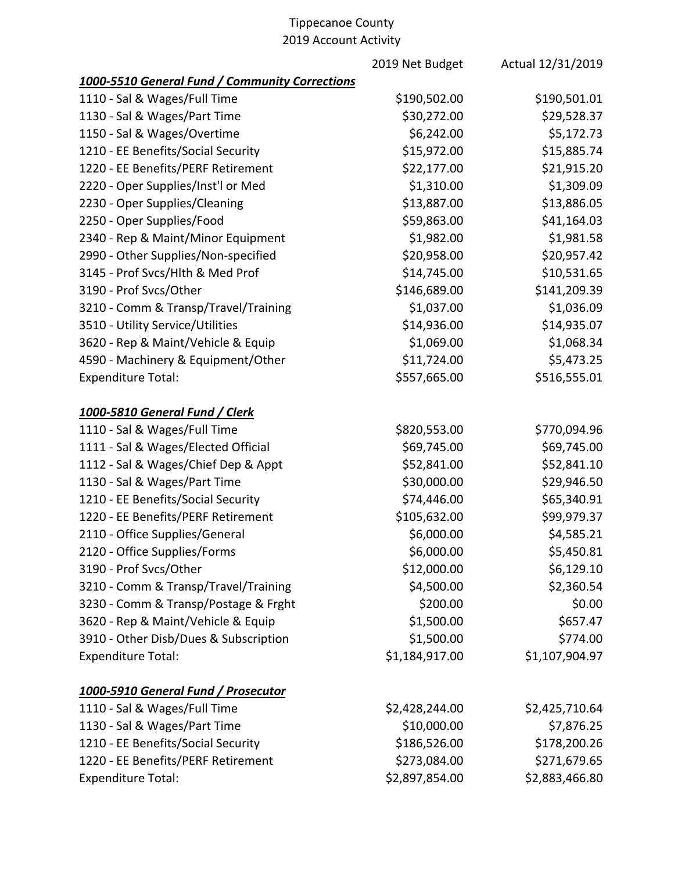|                                                | 2019 Net Budget | Actual 12/31/2019 |
|------------------------------------------------|-----------------|-------------------|
| 1000-5510 General Fund / Community Corrections |                 |                   |
| 1110 - Sal & Wages/Full Time                   | \$190,502.00    | \$190,501.01      |
| 1130 - Sal & Wages/Part Time                   | \$30,272.00     | \$29,528.37       |
| 1150 - Sal & Wages/Overtime                    | \$6,242.00      | \$5,172.73        |
| 1210 - EE Benefits/Social Security             | \$15,972.00     | \$15,885.74       |
| 1220 - EE Benefits/PERF Retirement             | \$22,177.00     | \$21,915.20       |
| 2220 - Oper Supplies/Inst'l or Med             | \$1,310.00      | \$1,309.09        |
| 2230 - Oper Supplies/Cleaning                  | \$13,887.00     | \$13,886.05       |
| 2250 - Oper Supplies/Food                      | \$59,863.00     | \$41,164.03       |
| 2340 - Rep & Maint/Minor Equipment             | \$1,982.00      | \$1,981.58        |
| 2990 - Other Supplies/Non-specified            | \$20,958.00     | \$20,957.42       |
| 3145 - Prof Svcs/Hlth & Med Prof               | \$14,745.00     | \$10,531.65       |
| 3190 - Prof Svcs/Other                         | \$146,689.00    | \$141,209.39      |
| 3210 - Comm & Transp/Travel/Training           | \$1,037.00      | \$1,036.09        |
| 3510 - Utility Service/Utilities               | \$14,936.00     | \$14,935.07       |
| 3620 - Rep & Maint/Vehicle & Equip             | \$1,069.00      | \$1,068.34        |
| 4590 - Machinery & Equipment/Other             | \$11,724.00     | \$5,473.25        |
| <b>Expenditure Total:</b>                      | \$557,665.00    | \$516,555.01      |
| 1000-5810 General Fund / Clerk                 |                 |                   |
| 1110 - Sal & Wages/Full Time                   | \$820,553.00    | \$770,094.96      |
| 1111 - Sal & Wages/Elected Official            | \$69,745.00     | \$69,745.00       |
| 1112 - Sal & Wages/Chief Dep & Appt            | \$52,841.00     | \$52,841.10       |
| 1130 - Sal & Wages/Part Time                   | \$30,000.00     | \$29,946.50       |
| 1210 - EE Benefits/Social Security             | \$74,446.00     | \$65,340.91       |
| 1220 - EE Benefits/PERF Retirement             | \$105,632.00    | \$99,979.37       |
| 2110 - Office Supplies/General                 | \$6,000.00      | \$4,585.21        |
| 2120 - Office Supplies/Forms                   | \$6,000.00      | \$5,450.81        |
| 3190 - Prof Svcs/Other                         | \$12,000.00     | \$6,129.10        |
| 3210 - Comm & Transp/Travel/Training           | \$4,500.00      | \$2,360.54        |
| 3230 - Comm & Transp/Postage & Frght           | \$200.00        | \$0.00            |
| 3620 - Rep & Maint/Vehicle & Equip             | \$1,500.00      | \$657.47          |
| 3910 - Other Disb/Dues & Subscription          | \$1,500.00      | \$774.00          |
| <b>Expenditure Total:</b>                      | \$1,184,917.00  | \$1,107,904.97    |
| 1000-5910 General Fund / Prosecutor            |                 |                   |
| 1110 - Sal & Wages/Full Time                   | \$2,428,244.00  | \$2,425,710.64    |
| 1130 - Sal & Wages/Part Time                   | \$10,000.00     | \$7,876.25        |
| 1210 - EE Benefits/Social Security             | \$186,526.00    | \$178,200.26      |
| 1220 - EE Benefits/PERF Retirement             | \$273,084.00    | \$271,679.65      |
| <b>Expenditure Total:</b>                      | \$2,897,854.00  | \$2,883,466.80    |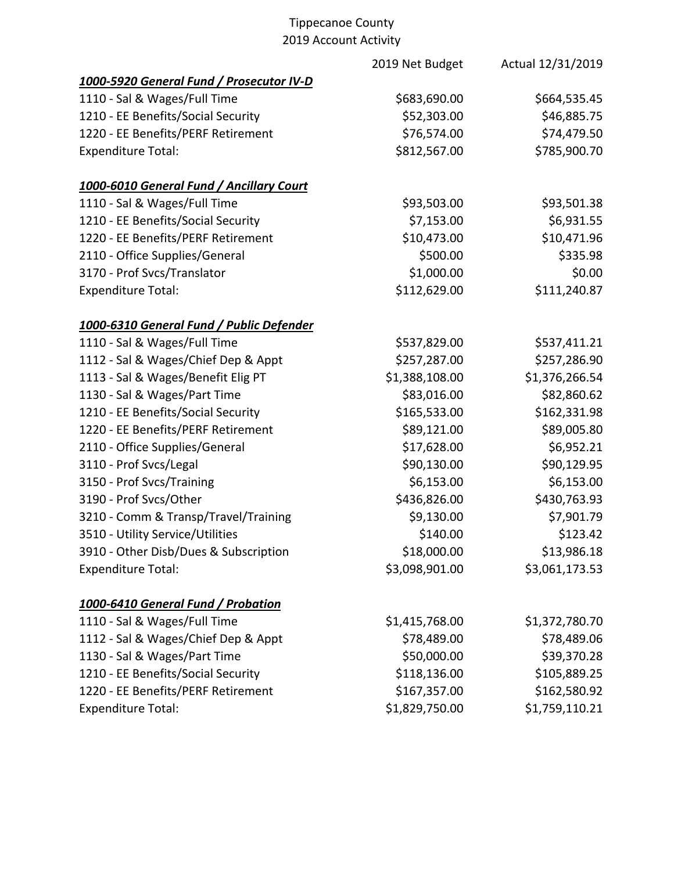|                                           | 2019 Net Budget | Actual 12/31/2019 |
|-------------------------------------------|-----------------|-------------------|
| 1000-5920 General Fund / Prosecutor IV-D  |                 |                   |
| 1110 - Sal & Wages/Full Time              | \$683,690.00    | \$664,535.45      |
| 1210 - EE Benefits/Social Security        | \$52,303.00     | \$46,885.75       |
| 1220 - EE Benefits/PERF Retirement        | \$76,574.00     | \$74,479.50       |
| <b>Expenditure Total:</b>                 | \$812,567.00    | \$785,900.70      |
| 1000-6010 General Fund / Ancillary Court  |                 |                   |
| 1110 - Sal & Wages/Full Time              | \$93,503.00     | \$93,501.38       |
| 1210 - EE Benefits/Social Security        | \$7,153.00      | \$6,931.55        |
| 1220 - EE Benefits/PERF Retirement        | \$10,473.00     | \$10,471.96       |
| 2110 - Office Supplies/General            | \$500.00        | \$335.98          |
| 3170 - Prof Svcs/Translator               | \$1,000.00      | \$0.00            |
| <b>Expenditure Total:</b>                 | \$112,629.00    | \$111,240.87      |
| 1000-6310 General Fund / Public Defender  |                 |                   |
| 1110 - Sal & Wages/Full Time              | \$537,829.00    | \$537,411.21      |
| 1112 - Sal & Wages/Chief Dep & Appt       | \$257,287.00    | \$257,286.90      |
| 1113 - Sal & Wages/Benefit Elig PT        | \$1,388,108.00  | \$1,376,266.54    |
| 1130 - Sal & Wages/Part Time              | \$83,016.00     | \$82,860.62       |
| 1210 - EE Benefits/Social Security        | \$165,533.00    | \$162,331.98      |
| 1220 - EE Benefits/PERF Retirement        | \$89,121.00     | \$89,005.80       |
| 2110 - Office Supplies/General            | \$17,628.00     | \$6,952.21        |
| 3110 - Prof Svcs/Legal                    | \$90,130.00     | \$90,129.95       |
| 3150 - Prof Svcs/Training                 | \$6,153.00      | \$6,153.00        |
| 3190 - Prof Svcs/Other                    | \$436,826.00    | \$430,763.93      |
| 3210 - Comm & Transp/Travel/Training      | \$9,130.00      | \$7,901.79        |
| 3510 - Utility Service/Utilities          | \$140.00        | \$123.42          |
| 3910 - Other Disb/Dues & Subscription     | \$18,000.00     | \$13,986.18       |
| <b>Expenditure Total:</b>                 | \$3,098,901.00  | \$3,061,173.53    |
| <u>1000-6410 General Fund / Probation</u> |                 |                   |
| 1110 - Sal & Wages/Full Time              | \$1,415,768.00  | \$1,372,780.70    |
| 1112 - Sal & Wages/Chief Dep & Appt       | \$78,489.00     | \$78,489.06       |
| 1130 - Sal & Wages/Part Time              | \$50,000.00     | \$39,370.28       |
| 1210 - EE Benefits/Social Security        | \$118,136.00    | \$105,889.25      |
| 1220 - EE Benefits/PERF Retirement        | \$167,357.00    | \$162,580.92      |
| <b>Expenditure Total:</b>                 | \$1,829,750.00  | \$1,759,110.21    |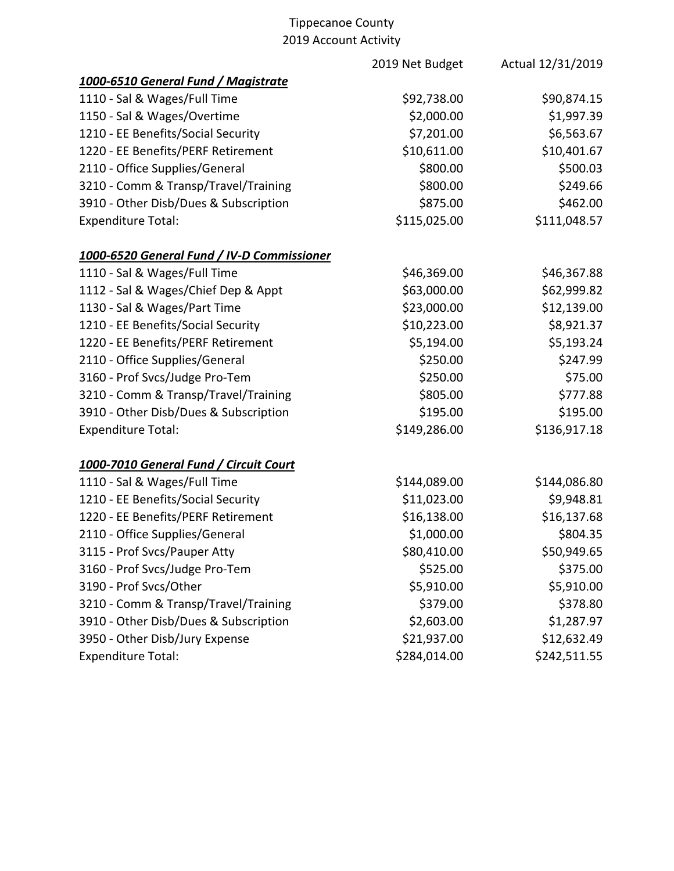|                                            | 2019 Net Budget | Actual 12/31/2019 |
|--------------------------------------------|-----------------|-------------------|
| 1000-6510 General Fund / Magistrate        |                 |                   |
| 1110 - Sal & Wages/Full Time               | \$92,738.00     | \$90,874.15       |
| 1150 - Sal & Wages/Overtime                | \$2,000.00      | \$1,997.39        |
| 1210 - EE Benefits/Social Security         | \$7,201.00      | \$6,563.67        |
| 1220 - EE Benefits/PERF Retirement         | \$10,611.00     | \$10,401.67       |
| 2110 - Office Supplies/General             | \$800.00        | \$500.03          |
| 3210 - Comm & Transp/Travel/Training       | \$800.00        | \$249.66          |
| 3910 - Other Disb/Dues & Subscription      | \$875.00        | \$462.00          |
| <b>Expenditure Total:</b>                  | \$115,025.00    | \$111,048.57      |
| 1000-6520 General Fund / IV-D Commissioner |                 |                   |
| 1110 - Sal & Wages/Full Time               | \$46,369.00     | \$46,367.88       |
| 1112 - Sal & Wages/Chief Dep & Appt        | \$63,000.00     | \$62,999.82       |
| 1130 - Sal & Wages/Part Time               | \$23,000.00     | \$12,139.00       |
| 1210 - EE Benefits/Social Security         | \$10,223.00     | \$8,921.37        |
| 1220 - EE Benefits/PERF Retirement         | \$5,194.00      | \$5,193.24        |
| 2110 - Office Supplies/General             | \$250.00        | \$247.99          |
| 3160 - Prof Svcs/Judge Pro-Tem             | \$250.00        | \$75.00           |
| 3210 - Comm & Transp/Travel/Training       | \$805.00        | \$777.88          |
| 3910 - Other Disb/Dues & Subscription      | \$195.00        | \$195.00          |
| <b>Expenditure Total:</b>                  | \$149,286.00    | \$136,917.18      |
| 1000-7010 General Fund / Circuit Court     |                 |                   |
| 1110 - Sal & Wages/Full Time               | \$144,089.00    | \$144,086.80      |
| 1210 - EE Benefits/Social Security         | \$11,023.00     | \$9,948.81        |
| 1220 - EE Benefits/PERF Retirement         | \$16,138.00     | \$16,137.68       |
| 2110 - Office Supplies/General             | \$1,000.00      | \$804.35          |
| 3115 - Prof Svcs/Pauper Atty               | \$80,410.00     | \$50,949.65       |
| 3160 - Prof Svcs/Judge Pro-Tem             | \$525.00        | \$375.00          |
| 3190 - Prof Svcs/Other                     | \$5,910.00      | \$5,910.00        |
| 3210 - Comm & Transp/Travel/Training       | \$379.00        | \$378.80          |
| 3910 - Other Disb/Dues & Subscription      | \$2,603.00      | \$1,287.97        |
| 3950 - Other Disb/Jury Expense             | \$21,937.00     | \$12,632.49       |
| <b>Expenditure Total:</b>                  | \$284,014.00    | \$242,511.55      |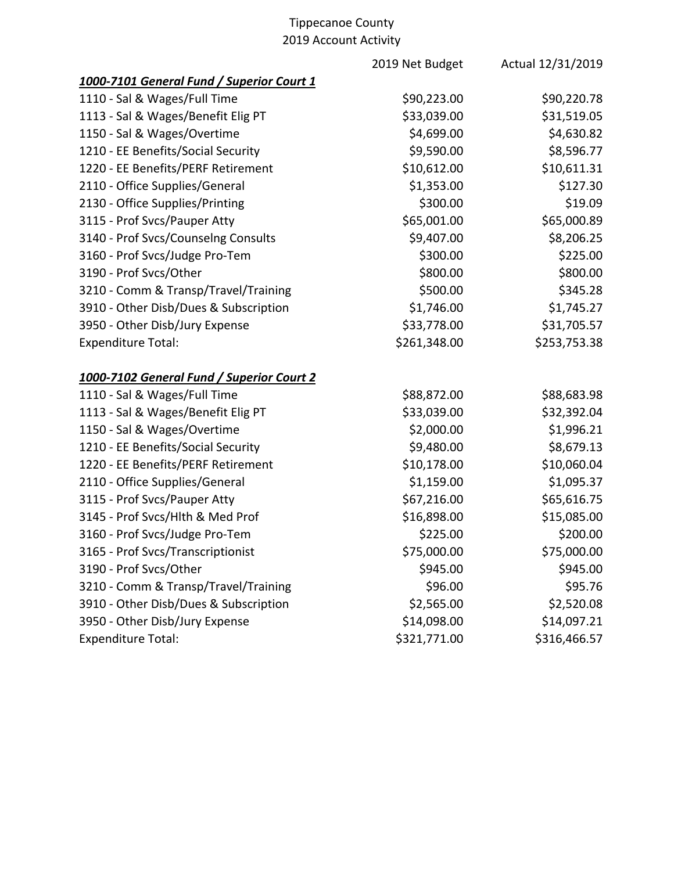|                                           | 2019 Net Budget | Actual 12/31/2019 |
|-------------------------------------------|-----------------|-------------------|
| 1000-7101 General Fund / Superior Court 1 |                 |                   |
| 1110 - Sal & Wages/Full Time              | \$90,223.00     | \$90,220.78       |
| 1113 - Sal & Wages/Benefit Elig PT        | \$33,039.00     | \$31,519.05       |
| 1150 - Sal & Wages/Overtime               | \$4,699.00      | \$4,630.82        |
| 1210 - EE Benefits/Social Security        | \$9,590.00      | \$8,596.77        |
| 1220 - EE Benefits/PERF Retirement        | \$10,612.00     | \$10,611.31       |
| 2110 - Office Supplies/General            | \$1,353.00      | \$127.30          |
| 2130 - Office Supplies/Printing           | \$300.00        | \$19.09           |
| 3115 - Prof Svcs/Pauper Atty              | \$65,001.00     | \$65,000.89       |
| 3140 - Prof Svcs/Counselng Consults       | \$9,407.00      | \$8,206.25        |
| 3160 - Prof Svcs/Judge Pro-Tem            | \$300.00        | \$225.00          |
| 3190 - Prof Svcs/Other                    | \$800.00        | \$800.00          |
| 3210 - Comm & Transp/Travel/Training      | \$500.00        | \$345.28          |
| 3910 - Other Disb/Dues & Subscription     | \$1,746.00      | \$1,745.27        |
| 3950 - Other Disb/Jury Expense            | \$33,778.00     | \$31,705.57       |
| <b>Expenditure Total:</b>                 | \$261,348.00    | \$253,753.38      |
| 1000-7102 General Fund / Superior Court 2 |                 |                   |
| 1110 - Sal & Wages/Full Time              | \$88,872.00     | \$88,683.98       |
| 1113 - Sal & Wages/Benefit Elig PT        | \$33,039.00     | \$32,392.04       |
| 1150 - Sal & Wages/Overtime               | \$2,000.00      | \$1,996.21        |
| 1210 - EE Benefits/Social Security        | \$9,480.00      | \$8,679.13        |
| 1220 - EE Benefits/PERF Retirement        | \$10,178.00     | \$10,060.04       |
| 2110 - Office Supplies/General            | \$1,159.00      | \$1,095.37        |
| 3115 - Prof Svcs/Pauper Atty              | \$67,216.00     | \$65,616.75       |
| 3145 - Prof Svcs/Hlth & Med Prof          | \$16,898.00     | \$15,085.00       |
| 3160 - Prof Svcs/Judge Pro-Tem            | \$225.00        | \$200.00          |
| 3165 - Prof Svcs/Transcriptionist         | \$75,000.00     | \$75,000.00       |
| 3190 - Prof Svcs/Other                    | \$945.00        | \$945.00          |
| 3210 - Comm & Transp/Travel/Training      | \$96.00         | \$95.76           |
| 3910 - Other Disb/Dues & Subscription     | \$2,565.00      | \$2,520.08        |
| 3950 - Other Disb/Jury Expense            | \$14,098.00     | \$14,097.21       |
| <b>Expenditure Total:</b>                 | \$321,771.00    | \$316,466.57      |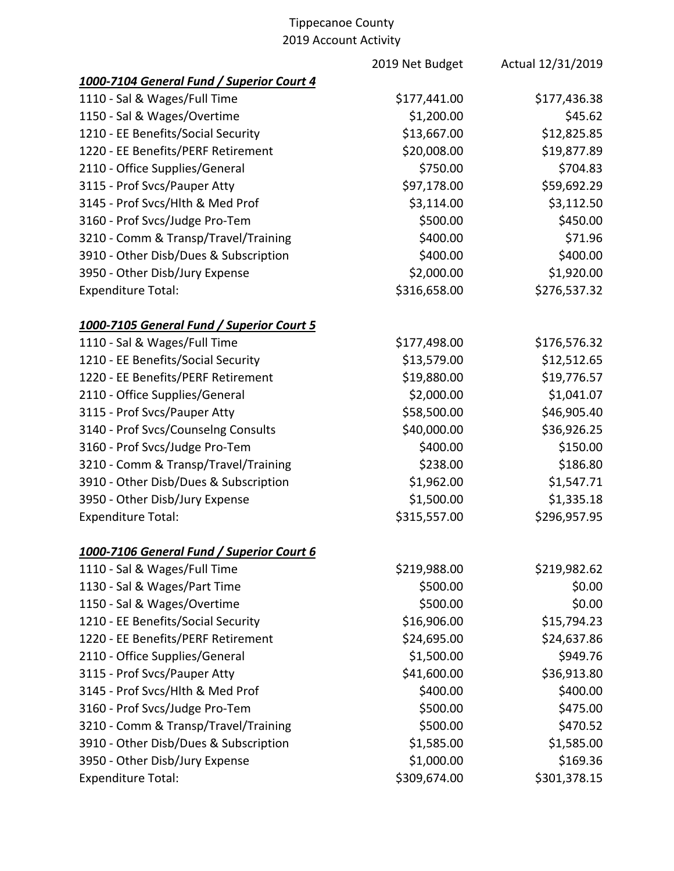|                                           | 2019 Net Budget | Actual 12/31/2019 |
|-------------------------------------------|-----------------|-------------------|
| 1000-7104 General Fund / Superior Court 4 |                 |                   |
| 1110 - Sal & Wages/Full Time              | \$177,441.00    | \$177,436.38      |
| 1150 - Sal & Wages/Overtime               | \$1,200.00      | \$45.62           |
| 1210 - EE Benefits/Social Security        | \$13,667.00     | \$12,825.85       |
| 1220 - EE Benefits/PERF Retirement        | \$20,008.00     | \$19,877.89       |
| 2110 - Office Supplies/General            | \$750.00        | \$704.83          |
| 3115 - Prof Svcs/Pauper Atty              | \$97,178.00     | \$59,692.29       |
| 3145 - Prof Svcs/Hlth & Med Prof          | \$3,114.00      | \$3,112.50        |
| 3160 - Prof Svcs/Judge Pro-Tem            | \$500.00        | \$450.00          |
| 3210 - Comm & Transp/Travel/Training      | \$400.00        | \$71.96           |
| 3910 - Other Disb/Dues & Subscription     | \$400.00        | \$400.00          |
| 3950 - Other Disb/Jury Expense            | \$2,000.00      | \$1,920.00        |
| <b>Expenditure Total:</b>                 | \$316,658.00    | \$276,537.32      |
| 1000-7105 General Fund / Superior Court 5 |                 |                   |
| 1110 - Sal & Wages/Full Time              | \$177,498.00    | \$176,576.32      |
| 1210 - EE Benefits/Social Security        | \$13,579.00     | \$12,512.65       |
| 1220 - EE Benefits/PERF Retirement        | \$19,880.00     | \$19,776.57       |
| 2110 - Office Supplies/General            | \$2,000.00      | \$1,041.07        |
| 3115 - Prof Svcs/Pauper Atty              | \$58,500.00     | \$46,905.40       |
| 3140 - Prof Svcs/Counselng Consults       | \$40,000.00     | \$36,926.25       |
| 3160 - Prof Svcs/Judge Pro-Tem            | \$400.00        | \$150.00          |
| 3210 - Comm & Transp/Travel/Training      | \$238.00        | \$186.80          |
| 3910 - Other Disb/Dues & Subscription     | \$1,962.00      | \$1,547.71        |
| 3950 - Other Disb/Jury Expense            | \$1,500.00      | \$1,335.18        |
| <b>Expenditure Total:</b>                 | \$315,557.00    | \$296,957.95      |
| 1000-7106 General Fund / Superior Court 6 |                 |                   |
| 1110 - Sal & Wages/Full Time              | \$219,988.00    | \$219,982.62      |
| 1130 - Sal & Wages/Part Time              | \$500.00        | \$0.00            |
| 1150 - Sal & Wages/Overtime               | \$500.00        | \$0.00            |
| 1210 - EE Benefits/Social Security        | \$16,906.00     | \$15,794.23       |
| 1220 - EE Benefits/PERF Retirement        | \$24,695.00     | \$24,637.86       |
| 2110 - Office Supplies/General            | \$1,500.00      | \$949.76          |
| 3115 - Prof Svcs/Pauper Atty              | \$41,600.00     | \$36,913.80       |
| 3145 - Prof Svcs/Hlth & Med Prof          | \$400.00        | \$400.00          |
| 3160 - Prof Svcs/Judge Pro-Tem            | \$500.00        | \$475.00          |
| 3210 - Comm & Transp/Travel/Training      | \$500.00        | \$470.52          |
| 3910 - Other Disb/Dues & Subscription     | \$1,585.00      | \$1,585.00        |
| 3950 - Other Disb/Jury Expense            | \$1,000.00      | \$169.36          |
| <b>Expenditure Total:</b>                 | \$309,674.00    | \$301,378.15      |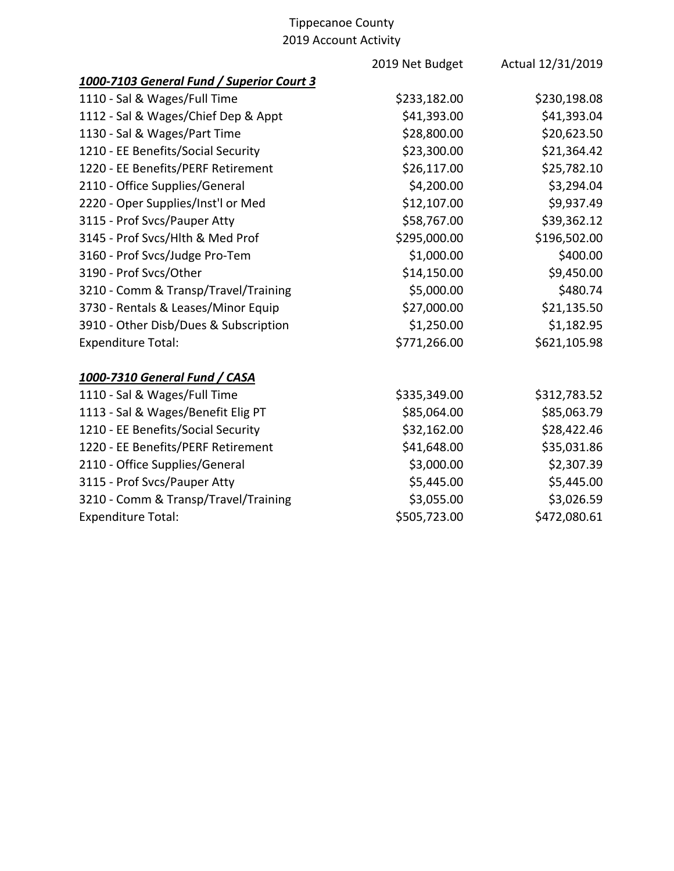|                                           | 2019 Net Budget | Actual 12/31/2019 |
|-------------------------------------------|-----------------|-------------------|
| 1000-7103 General Fund / Superior Court 3 |                 |                   |
| 1110 - Sal & Wages/Full Time              | \$233,182.00    | \$230,198.08      |
| 1112 - Sal & Wages/Chief Dep & Appt       | \$41,393.00     | \$41,393.04       |
| 1130 - Sal & Wages/Part Time              | \$28,800.00     | \$20,623.50       |
| 1210 - EE Benefits/Social Security        | \$23,300.00     | \$21,364.42       |
| 1220 - EE Benefits/PERF Retirement        | \$26,117.00     | \$25,782.10       |
| 2110 - Office Supplies/General            | \$4,200.00      | \$3,294.04        |
| 2220 - Oper Supplies/Inst'l or Med        | \$12,107.00     | \$9,937.49        |
| 3115 - Prof Svcs/Pauper Atty              | \$58,767.00     | \$39,362.12       |
| 3145 - Prof Svcs/Hlth & Med Prof          | \$295,000.00    | \$196,502.00      |
| 3160 - Prof Svcs/Judge Pro-Tem            | \$1,000.00      | \$400.00          |
| 3190 - Prof Svcs/Other                    | \$14,150.00     | \$9,450.00        |
| 3210 - Comm & Transp/Travel/Training      | \$5,000.00      | \$480.74          |
| 3730 - Rentals & Leases/Minor Equip       | \$27,000.00     | \$21,135.50       |
| 3910 - Other Disb/Dues & Subscription     | \$1,250.00      | \$1,182.95        |
| <b>Expenditure Total:</b>                 | \$771,266.00    | \$621,105.98      |
| 1000-7310 General Fund / CASA             |                 |                   |
| 1110 - Sal & Wages/Full Time              | \$335,349.00    | \$312,783.52      |
| 1113 - Sal & Wages/Benefit Elig PT        | \$85,064.00     | \$85,063.79       |
| 1210 - EE Benefits/Social Security        | \$32,162.00     | \$28,422.46       |
| 1220 - EE Benefits/PERF Retirement        | \$41,648.00     | \$35,031.86       |
| 2110 - Office Supplies/General            | \$3,000.00      | \$2,307.39        |
| 3115 - Prof Svcs/Pauper Atty              | \$5,445.00      | \$5,445.00        |
| 3210 - Comm & Transp/Travel/Training      | \$3,055.00      | \$3,026.59        |
| <b>Expenditure Total:</b>                 | \$505,723.00    | \$472,080.61      |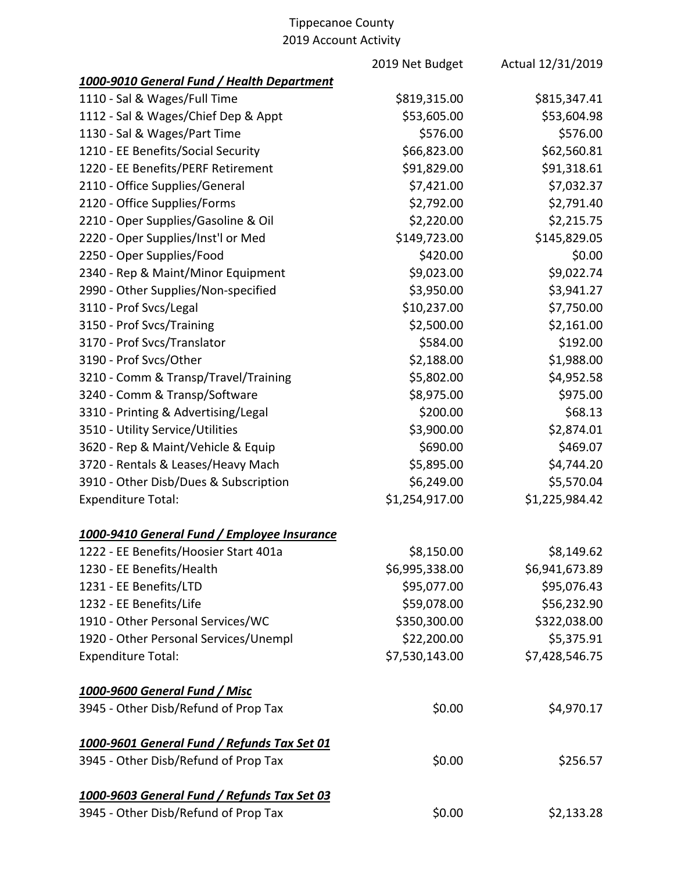|                                             | 2019 Net Budget | Actual 12/31/2019 |
|---------------------------------------------|-----------------|-------------------|
| 1000-9010 General Fund / Health Department  |                 |                   |
| 1110 - Sal & Wages/Full Time                | \$819,315.00    | \$815,347.41      |
| 1112 - Sal & Wages/Chief Dep & Appt         | \$53,605.00     | \$53,604.98       |
| 1130 - Sal & Wages/Part Time                | \$576.00        | \$576.00          |
| 1210 - EE Benefits/Social Security          | \$66,823.00     | \$62,560.81       |
| 1220 - EE Benefits/PERF Retirement          | \$91,829.00     | \$91,318.61       |
| 2110 - Office Supplies/General              | \$7,421.00      | \$7,032.37        |
| 2120 - Office Supplies/Forms                | \$2,792.00      | \$2,791.40        |
| 2210 - Oper Supplies/Gasoline & Oil         | \$2,220.00      | \$2,215.75        |
| 2220 - Oper Supplies/Inst'l or Med          | \$149,723.00    | \$145,829.05      |
| 2250 - Oper Supplies/Food                   | \$420.00        | \$0.00            |
| 2340 - Rep & Maint/Minor Equipment          | \$9,023.00      | \$9,022.74        |
| 2990 - Other Supplies/Non-specified         | \$3,950.00      | \$3,941.27        |
| 3110 - Prof Svcs/Legal                      | \$10,237.00     | \$7,750.00        |
| 3150 - Prof Svcs/Training                   | \$2,500.00      | \$2,161.00        |
| 3170 - Prof Svcs/Translator                 | \$584.00        | \$192.00          |
| 3190 - Prof Svcs/Other                      | \$2,188.00      | \$1,988.00        |
| 3210 - Comm & Transp/Travel/Training        | \$5,802.00      | \$4,952.58        |
| 3240 - Comm & Transp/Software               | \$8,975.00      | \$975.00          |
| 3310 - Printing & Advertising/Legal         | \$200.00        | \$68.13           |
| 3510 - Utility Service/Utilities            | \$3,900.00      | \$2,874.01        |
| 3620 - Rep & Maint/Vehicle & Equip          | \$690.00        | \$469.07          |
| 3720 - Rentals & Leases/Heavy Mach          | \$5,895.00      | \$4,744.20        |
| 3910 - Other Disb/Dues & Subscription       | \$6,249.00      | \$5,570.04        |
| <b>Expenditure Total:</b>                   | \$1,254,917.00  | \$1,225,984.42    |
| 1000-9410 General Fund / Employee Insurance |                 |                   |
| 1222 - EE Benefits/Hoosier Start 401a       | \$8,150.00      | \$8,149.62        |
| 1230 - EE Benefits/Health                   | \$6,995,338.00  | \$6,941,673.89    |
| 1231 - EE Benefits/LTD                      | \$95,077.00     | \$95,076.43       |
| 1232 - EE Benefits/Life                     | \$59,078.00     | \$56,232.90       |
| 1910 - Other Personal Services/WC           | \$350,300.00    | \$322,038.00      |
| 1920 - Other Personal Services/Unempl       | \$22,200.00     | \$5,375.91        |
| <b>Expenditure Total:</b>                   | \$7,530,143.00  | \$7,428,546.75    |
| 1000-9600 General Fund / Misc               |                 |                   |
| 3945 - Other Disb/Refund of Prop Tax        | \$0.00          | \$4,970.17        |
| 1000-9601 General Fund / Refunds Tax Set 01 |                 |                   |
| 3945 - Other Disb/Refund of Prop Tax        | \$0.00          | \$256.57          |
| 1000-9603 General Fund / Refunds Tax Set 03 |                 |                   |
| 3945 - Other Disb/Refund of Prop Tax        | \$0.00          | \$2,133.28        |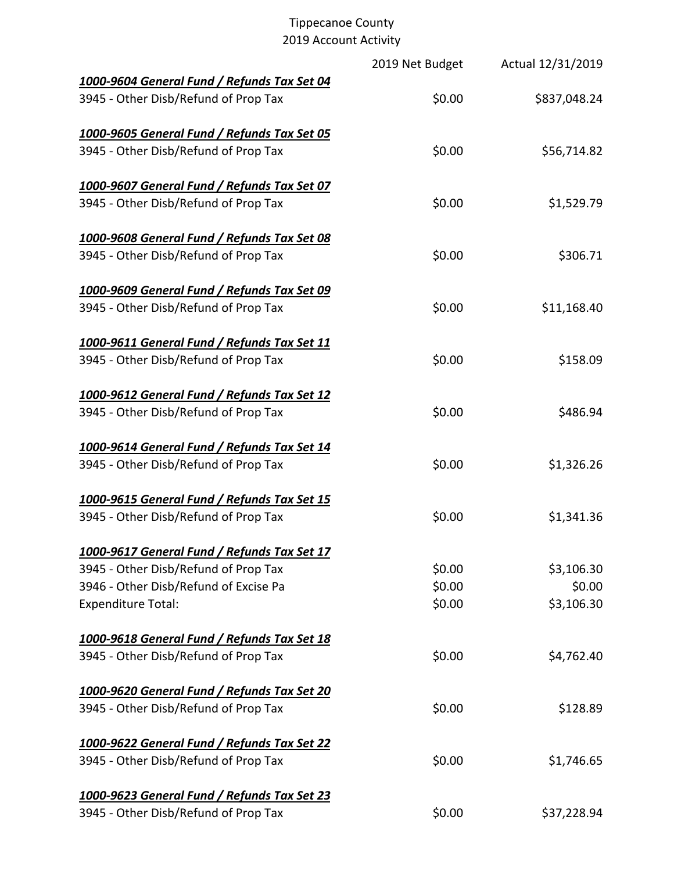|                                             | 2019 Net Budget | Actual 12/31/2019 |
|---------------------------------------------|-----------------|-------------------|
| 1000-9604 General Fund / Refunds Tax Set 04 |                 |                   |
| 3945 - Other Disb/Refund of Prop Tax        | \$0.00          | \$837,048.24      |
| 1000-9605 General Fund / Refunds Tax Set 05 |                 |                   |
| 3945 - Other Disb/Refund of Prop Tax        | \$0.00          | \$56,714.82       |
| 1000-9607 General Fund / Refunds Tax Set 07 |                 |                   |
| 3945 - Other Disb/Refund of Prop Tax        | \$0.00          | \$1,529.79        |
| 1000-9608 General Fund / Refunds Tax Set 08 |                 |                   |
| 3945 - Other Disb/Refund of Prop Tax        | \$0.00          | \$306.71          |
| 1000-9609 General Fund / Refunds Tax Set 09 |                 |                   |
| 3945 - Other Disb/Refund of Prop Tax        | \$0.00          | \$11,168.40       |
| 1000-9611 General Fund / Refunds Tax Set 11 |                 |                   |
| 3945 - Other Disb/Refund of Prop Tax        | \$0.00          | \$158.09          |
| 1000-9612 General Fund / Refunds Tax Set 12 |                 |                   |
| 3945 - Other Disb/Refund of Prop Tax        | \$0.00          | \$486.94          |
| 1000-9614 General Fund / Refunds Tax Set 14 |                 |                   |
| 3945 - Other Disb/Refund of Prop Tax        | \$0.00          | \$1,326.26        |
| 1000-9615 General Fund / Refunds Tax Set 15 |                 |                   |
| 3945 - Other Disb/Refund of Prop Tax        | \$0.00          | \$1,341.36        |
| 1000-9617 General Fund / Refunds Tax Set 17 |                 |                   |
| 3945 - Other Disb/Refund of Prop Tax        | \$0.00          | \$3,106.30        |
| 3946 - Other Disb/Refund of Excise Pa       | \$0.00          | \$0.00            |
| <b>Expenditure Total:</b>                   | \$0.00          | \$3,106.30        |
| 1000-9618 General Fund / Refunds Tax Set 18 |                 |                   |
| 3945 - Other Disb/Refund of Prop Tax        | \$0.00          | \$4,762.40        |
| 1000-9620 General Fund / Refunds Tax Set 20 |                 |                   |
| 3945 - Other Disb/Refund of Prop Tax        | \$0.00          | \$128.89          |
| 1000-9622 General Fund / Refunds Tax Set 22 |                 |                   |
| 3945 - Other Disb/Refund of Prop Tax        | \$0.00          | \$1,746.65        |
| 1000-9623 General Fund / Refunds Tax Set 23 |                 |                   |
| 3945 - Other Disb/Refund of Prop Tax        | \$0.00          | \$37,228.94       |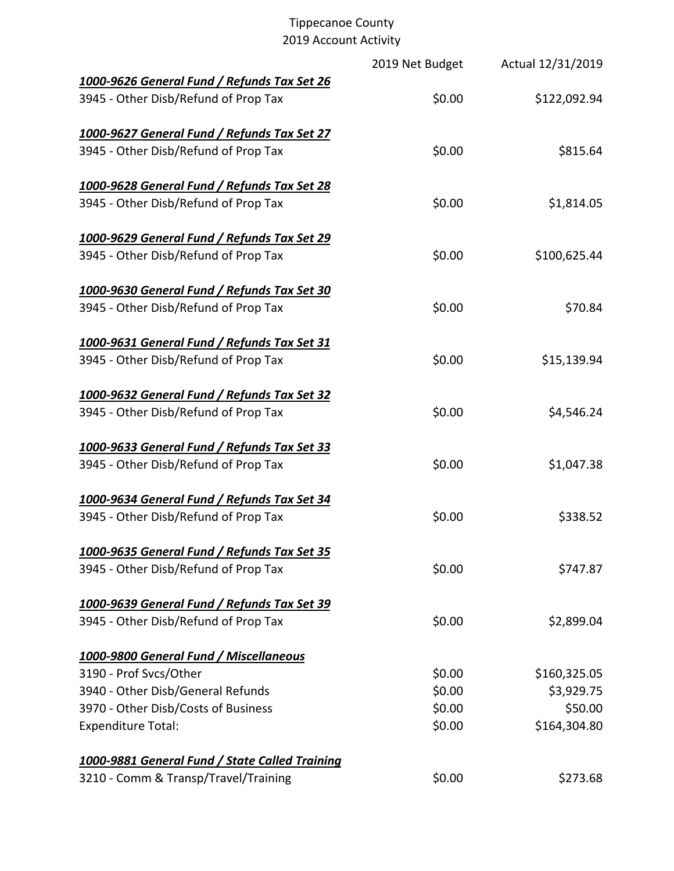|                                                                                     | 2019 Net Budget | Actual 12/31/2019 |
|-------------------------------------------------------------------------------------|-----------------|-------------------|
| 1000-9626 General Fund / Refunds Tax Set 26<br>3945 - Other Disb/Refund of Prop Tax | \$0.00          | \$122,092.94      |
|                                                                                     |                 |                   |
| 1000-9627 General Fund / Refunds Tax Set 27                                         |                 |                   |
| 3945 - Other Disb/Refund of Prop Tax                                                | \$0.00          | \$815.64          |
|                                                                                     |                 |                   |
| 1000-9628 General Fund / Refunds Tax Set 28                                         |                 |                   |
| 3945 - Other Disb/Refund of Prop Tax                                                | \$0.00          | \$1,814.05        |
|                                                                                     |                 |                   |
| 1000-9629 General Fund / Refunds Tax Set 29                                         |                 |                   |
| 3945 - Other Disb/Refund of Prop Tax                                                | \$0.00          | \$100,625.44      |
| 1000-9630 General Fund / Refunds Tax Set 30                                         |                 |                   |
| 3945 - Other Disb/Refund of Prop Tax                                                | \$0.00          | \$70.84           |
|                                                                                     |                 |                   |
| 1000-9631 General Fund / Refunds Tax Set 31                                         |                 |                   |
| 3945 - Other Disb/Refund of Prop Tax                                                | \$0.00          | \$15,139.94       |
|                                                                                     |                 |                   |
| 1000-9632 General Fund / Refunds Tax Set 32                                         |                 |                   |
| 3945 - Other Disb/Refund of Prop Tax                                                | \$0.00          | \$4,546.24        |
|                                                                                     |                 |                   |
| 1000-9633 General Fund / Refunds Tax Set 33                                         |                 |                   |
| 3945 - Other Disb/Refund of Prop Tax                                                | \$0.00          | \$1,047.38        |
|                                                                                     |                 |                   |
| 1000-9634 General Fund / Refunds Tax Set 34                                         |                 |                   |
| 3945 - Other Disb/Refund of Prop Tax                                                | \$0.00          | \$338.52          |
| 1000-9635 General Fund / Refunds Tax Set 35                                         |                 |                   |
| 3945 - Other Disb/Refund of Prop Tax                                                | \$0.00          | \$747.87          |
|                                                                                     |                 |                   |
| 1000-9639 General Fund / Refunds Tax Set 39                                         |                 |                   |
| 3945 - Other Disb/Refund of Prop Tax                                                | \$0.00          | \$2,899.04        |
|                                                                                     |                 |                   |
| 1000-9800 General Fund / Miscellaneous                                              |                 |                   |
| 3190 - Prof Svcs/Other                                                              | \$0.00          | \$160,325.05      |
| 3940 - Other Disb/General Refunds                                                   | \$0.00          | \$3,929.75        |
| 3970 - Other Disb/Costs of Business                                                 | \$0.00          | \$50.00           |
| <b>Expenditure Total:</b>                                                           | \$0.00          | \$164,304.80      |
| 1000-9881 General Fund / State Called Training                                      |                 |                   |
| 3210 - Comm & Transp/Travel/Training                                                | \$0.00          | \$273.68          |
|                                                                                     |                 |                   |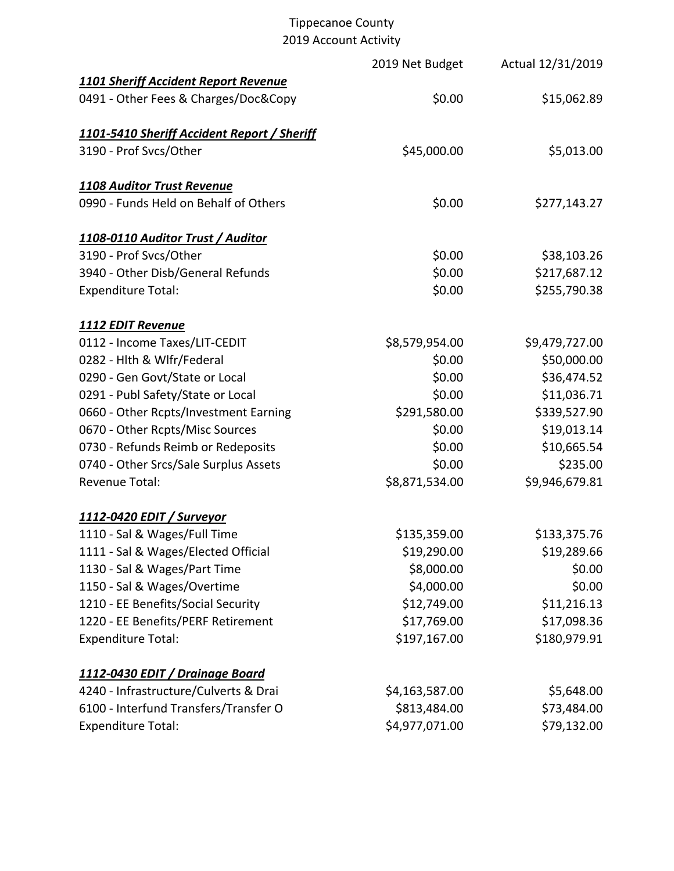|                                                    | 2019 Net Budget | Actual 12/31/2019 |
|----------------------------------------------------|-----------------|-------------------|
| <b>1101 Sheriff Accident Report Revenue</b>        |                 |                   |
| 0491 - Other Fees & Charges/Doc&Copy               | \$0.00          | \$15,062.89       |
| <b>1101-5410 Sheriff Accident Report / Sheriff</b> |                 |                   |
| 3190 - Prof Svcs/Other                             | \$45,000.00     | \$5,013.00        |
| 1108 Auditor Trust Revenue                         |                 |                   |
| 0990 - Funds Held on Behalf of Others              | \$0.00          | \$277,143.27      |
| 1108-0110 Auditor Trust / Auditor                  |                 |                   |
| 3190 - Prof Svcs/Other                             | \$0.00          | \$38,103.26       |
| 3940 - Other Disb/General Refunds                  | \$0.00          | \$217,687.12      |
| <b>Expenditure Total:</b>                          | \$0.00          | \$255,790.38      |
| <b>1112 EDIT Revenue</b>                           |                 |                   |
| 0112 - Income Taxes/LIT-CEDIT                      | \$8,579,954.00  | \$9,479,727.00    |
| 0282 - Hlth & Wlfr/Federal                         | \$0.00          | \$50,000.00       |
| 0290 - Gen Govt/State or Local                     | \$0.00          | \$36,474.52       |
| 0291 - Publ Safety/State or Local                  | \$0.00          | \$11,036.71       |
| 0660 - Other Rcpts/Investment Earning              | \$291,580.00    | \$339,527.90      |
| 0670 - Other Rcpts/Misc Sources                    | \$0.00          | \$19,013.14       |
| 0730 - Refunds Reimb or Redeposits                 | \$0.00          | \$10,665.54       |
| 0740 - Other Srcs/Sale Surplus Assets              | \$0.00          | \$235.00          |
| <b>Revenue Total:</b>                              | \$8,871,534.00  | \$9,946,679.81    |
| 1112-0420 EDIT / Surveyor                          |                 |                   |
| 1110 - Sal & Wages/Full Time                       | \$135,359.00    | \$133,375.76      |
| 1111 - Sal & Wages/Elected Official                | \$19,290.00     | \$19,289.66       |
| 1130 - Sal & Wages/Part Time                       | \$8,000.00      | \$0.00            |
| 1150 - Sal & Wages/Overtime                        | \$4,000.00      | \$0.00            |
| 1210 - EE Benefits/Social Security                 | \$12,749.00     | \$11,216.13       |
| 1220 - EE Benefits/PERF Retirement                 | \$17,769.00     | \$17,098.36       |
| <b>Expenditure Total:</b>                          | \$197,167.00    | \$180,979.91      |
| 1112-0430 EDIT / Drainage Board                    |                 |                   |
| 4240 - Infrastructure/Culverts & Drai              | \$4,163,587.00  | \$5,648.00        |
| 6100 - Interfund Transfers/Transfer O              | \$813,484.00    | \$73,484.00       |
| <b>Expenditure Total:</b>                          | \$4,977,071.00  | \$79,132.00       |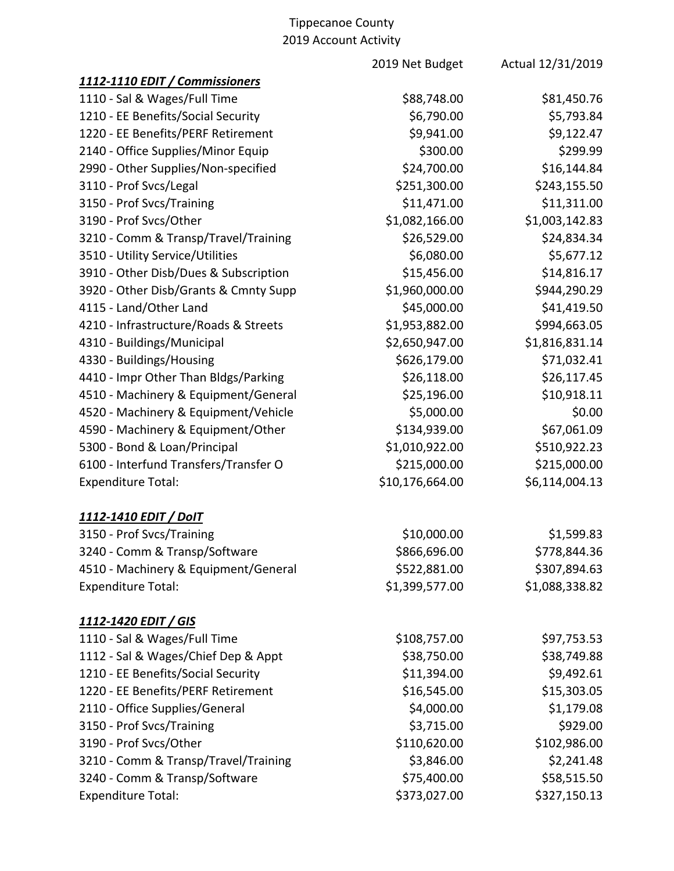|                                       | 2019 Net Budget | Actual 12/31/2019 |
|---------------------------------------|-----------------|-------------------|
| 1112-1110 EDIT / Commissioners        |                 |                   |
| 1110 - Sal & Wages/Full Time          | \$88,748.00     | \$81,450.76       |
| 1210 - EE Benefits/Social Security    | \$6,790.00      | \$5,793.84        |
| 1220 - EE Benefits/PERF Retirement    | \$9,941.00      | \$9,122.47        |
| 2140 - Office Supplies/Minor Equip    | \$300.00        | \$299.99          |
| 2990 - Other Supplies/Non-specified   | \$24,700.00     | \$16,144.84       |
| 3110 - Prof Svcs/Legal                | \$251,300.00    | \$243,155.50      |
| 3150 - Prof Svcs/Training             | \$11,471.00     | \$11,311.00       |
| 3190 - Prof Svcs/Other                | \$1,082,166.00  | \$1,003,142.83    |
| 3210 - Comm & Transp/Travel/Training  | \$26,529.00     | \$24,834.34       |
| 3510 - Utility Service/Utilities      | \$6,080.00      | \$5,677.12        |
| 3910 - Other Disb/Dues & Subscription | \$15,456.00     | \$14,816.17       |
| 3920 - Other Disb/Grants & Cmnty Supp | \$1,960,000.00  | \$944,290.29      |
| 4115 - Land/Other Land                | \$45,000.00     | \$41,419.50       |
| 4210 - Infrastructure/Roads & Streets | \$1,953,882.00  | \$994,663.05      |
| 4310 - Buildings/Municipal            | \$2,650,947.00  | \$1,816,831.14    |
| 4330 - Buildings/Housing              | \$626,179.00    | \$71,032.41       |
| 4410 - Impr Other Than Bldgs/Parking  | \$26,118.00     | \$26,117.45       |
| 4510 - Machinery & Equipment/General  | \$25,196.00     | \$10,918.11       |
| 4520 - Machinery & Equipment/Vehicle  | \$5,000.00      | \$0.00            |
| 4590 - Machinery & Equipment/Other    | \$134,939.00    | \$67,061.09       |
| 5300 - Bond & Loan/Principal          | \$1,010,922.00  | \$510,922.23      |
| 6100 - Interfund Transfers/Transfer O | \$215,000.00    | \$215,000.00      |
| <b>Expenditure Total:</b>             | \$10,176,664.00 | \$6,114,004.13    |
| 1112-1410 EDIT / DoIT                 |                 |                   |
| 3150 - Prof Svcs/Training             | \$10,000.00     | \$1,599.83        |
| 3240 - Comm & Transp/Software         | \$866,696.00    | \$778,844.36      |
| 4510 - Machinery & Equipment/General  | \$522,881.00    | \$307,894.63      |
| <b>Expenditure Total:</b>             | \$1,399,577.00  | \$1,088,338.82    |
| <u>1112-1420 EDIT / GIS</u>           |                 |                   |
| 1110 - Sal & Wages/Full Time          | \$108,757.00    | \$97,753.53       |
| 1112 - Sal & Wages/Chief Dep & Appt   | \$38,750.00     | \$38,749.88       |
| 1210 - EE Benefits/Social Security    | \$11,394.00     | \$9,492.61        |
| 1220 - EE Benefits/PERF Retirement    | \$16,545.00     | \$15,303.05       |
| 2110 - Office Supplies/General        | \$4,000.00      | \$1,179.08        |
| 3150 - Prof Svcs/Training             | \$3,715.00      | \$929.00          |
| 3190 - Prof Svcs/Other                | \$110,620.00    | \$102,986.00      |
| 3210 - Comm & Transp/Travel/Training  | \$3,846.00      | \$2,241.48        |
| 3240 - Comm & Transp/Software         | \$75,400.00     | \$58,515.50       |
| <b>Expenditure Total:</b>             | \$373,027.00    | \$327,150.13      |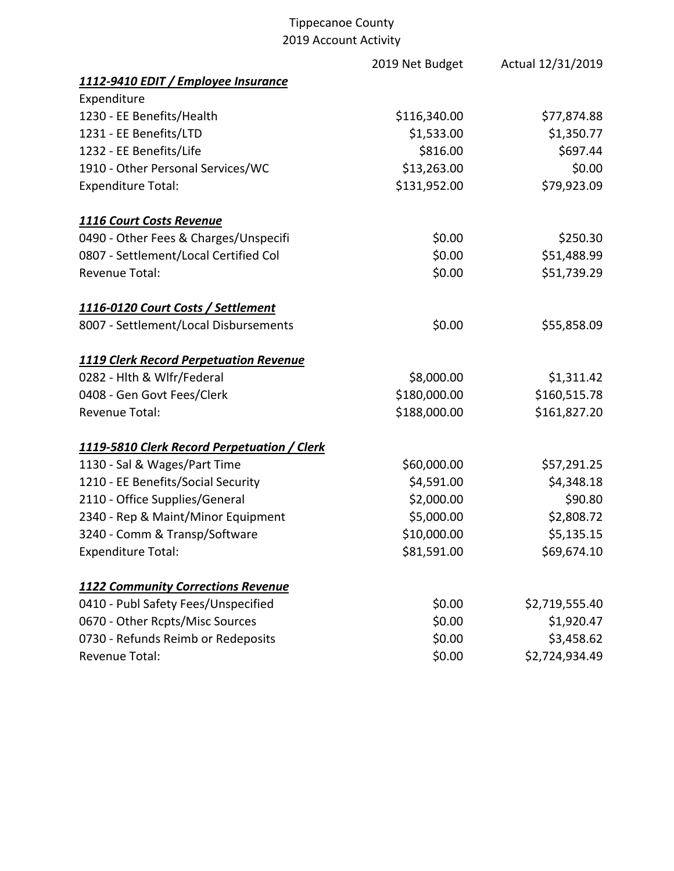|                                               | 2019 Net Budget | Actual 12/31/2019 |
|-----------------------------------------------|-----------------|-------------------|
| 1112-9410 EDIT / Employee Insurance           |                 |                   |
| Expenditure                                   |                 |                   |
| 1230 - EE Benefits/Health                     | \$116,340.00    | \$77,874.88       |
| 1231 - EE Benefits/LTD                        | \$1,533.00      | \$1,350.77        |
| 1232 - EE Benefits/Life                       | \$816.00        | \$697.44          |
| 1910 - Other Personal Services/WC             | \$13,263.00     | \$0.00            |
| <b>Expenditure Total:</b>                     | \$131,952.00    | \$79,923.09       |
| 1116 Court Costs Revenue                      |                 |                   |
| 0490 - Other Fees & Charges/Unspecifi         | \$0.00          | \$250.30          |
| 0807 - Settlement/Local Certified Col         | \$0.00          | \$51,488.99       |
| <b>Revenue Total:</b>                         | \$0.00          | \$51,739.29       |
| 1116-0120 Court Costs / Settlement            |                 |                   |
| 8007 - Settlement/Local Disbursements         | \$0.00          | \$55,858.09       |
| <b>1119 Clerk Record Perpetuation Revenue</b> |                 |                   |
| 0282 - Hlth & Wlfr/Federal                    | \$8,000.00      | \$1,311.42        |
| 0408 - Gen Govt Fees/Clerk                    | \$180,000.00    | \$160,515.78      |
| <b>Revenue Total:</b>                         | \$188,000.00    | \$161,827.20      |
| 1119-5810 Clerk Record Perpetuation / Clerk   |                 |                   |
| 1130 - Sal & Wages/Part Time                  | \$60,000.00     | \$57,291.25       |
| 1210 - EE Benefits/Social Security            | \$4,591.00      | \$4,348.18        |
| 2110 - Office Supplies/General                | \$2,000.00      | \$90.80           |
| 2340 - Rep & Maint/Minor Equipment            | \$5,000.00      | \$2,808.72        |
| 3240 - Comm & Transp/Software                 | \$10,000.00     | \$5,135.15        |
| <b>Expenditure Total:</b>                     | \$81,591.00     | \$69,674.10       |
| <b>1122 Community Corrections Revenue</b>     |                 |                   |
| 0410 - Publ Safety Fees/Unspecified           | \$0.00          | \$2,719,555.40    |
| 0670 - Other Rcpts/Misc Sources               | \$0.00          | \$1,920.47        |
| 0730 - Refunds Reimb or Redeposits            | \$0.00          | \$3,458.62        |
| Revenue Total:                                | \$0.00          | \$2,724,934.49    |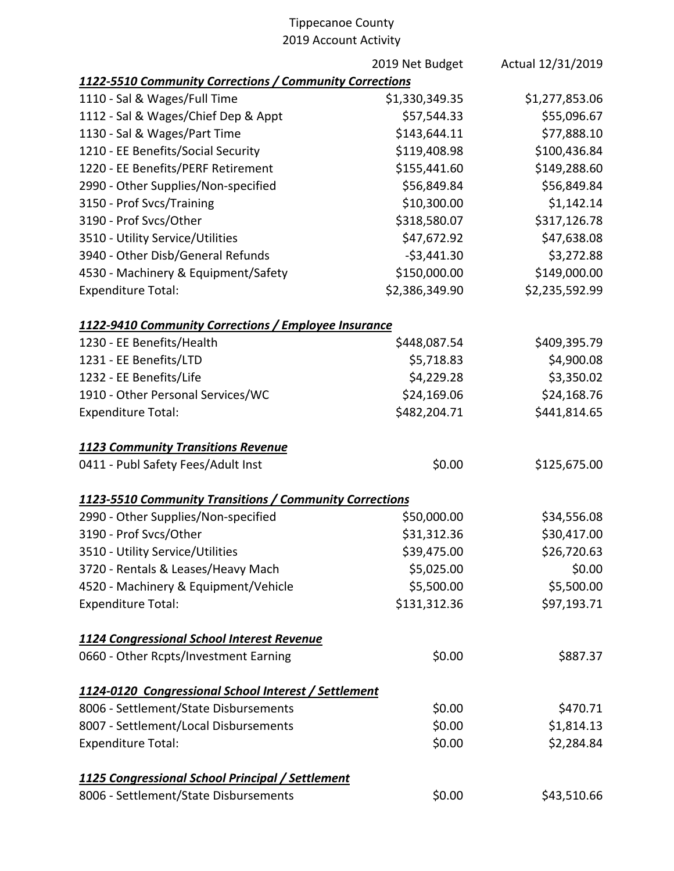|                                                         | 2019 Net Budget | Actual 12/31/2019 |
|---------------------------------------------------------|-----------------|-------------------|
| 1122-5510 Community Corrections / Community Corrections |                 |                   |
| 1110 - Sal & Wages/Full Time                            | \$1,330,349.35  | \$1,277,853.06    |
| 1112 - Sal & Wages/Chief Dep & Appt                     | \$57,544.33     | \$55,096.67       |
| 1130 - Sal & Wages/Part Time                            | \$143,644.11    | \$77,888.10       |
| 1210 - EE Benefits/Social Security                      | \$119,408.98    | \$100,436.84      |
| 1220 - EE Benefits/PERF Retirement                      | \$155,441.60    | \$149,288.60      |
| 2990 - Other Supplies/Non-specified                     | \$56,849.84     | \$56,849.84       |
| 3150 - Prof Svcs/Training                               | \$10,300.00     | \$1,142.14        |
| 3190 - Prof Svcs/Other                                  | \$318,580.07    | \$317,126.78      |
| 3510 - Utility Service/Utilities                        | \$47,672.92     | \$47,638.08       |
| 3940 - Other Disb/General Refunds                       | $-53,441.30$    | \$3,272.88        |
| 4530 - Machinery & Equipment/Safety                     | \$150,000.00    | \$149,000.00      |
| <b>Expenditure Total:</b>                               | \$2,386,349.90  | \$2,235,592.99    |
| 1122-9410 Community Corrections / Employee Insurance    |                 |                   |
| 1230 - EE Benefits/Health                               | \$448,087.54    | \$409,395.79      |
| 1231 - EE Benefits/LTD                                  | \$5,718.83      | \$4,900.08        |
| 1232 - EE Benefits/Life                                 | \$4,229.28      | \$3,350.02        |
| 1910 - Other Personal Services/WC                       | \$24,169.06     | \$24,168.76       |
| <b>Expenditure Total:</b>                               | \$482,204.71    | \$441,814.65      |
| <b>1123 Community Transitions Revenue</b>               |                 |                   |
| 0411 - Publ Safety Fees/Adult Inst                      | \$0.00          | \$125,675.00      |
| 1123-5510 Community Transitions / Community Corrections |                 |                   |
| 2990 - Other Supplies/Non-specified                     | \$50,000.00     | \$34,556.08       |
| 3190 - Prof Svcs/Other                                  | \$31,312.36     | \$30,417.00       |
| 3510 - Utility Service/Utilities                        | \$39,475.00     | \$26,720.63       |
| 3720 - Rentals & Leases/Heavy Mach                      | \$5,025.00      | \$0.00            |
| 4520 - Machinery & Equipment/Vehicle                    | \$5,500.00      | \$5,500.00        |
| <b>Expenditure Total:</b>                               | \$131,312.36    | \$97,193.71       |
| 1124 Congressional School Interest Revenue              |                 |                   |
| 0660 - Other Rcpts/Investment Earning                   | \$0.00          | \$887.37          |
| 1124-0120 Congressional School Interest / Settlement    |                 |                   |
| 8006 - Settlement/State Disbursements                   | \$0.00          | \$470.71          |
| 8007 - Settlement/Local Disbursements                   | \$0.00          | \$1,814.13        |
| <b>Expenditure Total:</b>                               | \$0.00          | \$2,284.84        |
| 1125 Congressional School Principal / Settlement        |                 |                   |
| 8006 - Settlement/State Disbursements                   | \$0.00          | \$43,510.66       |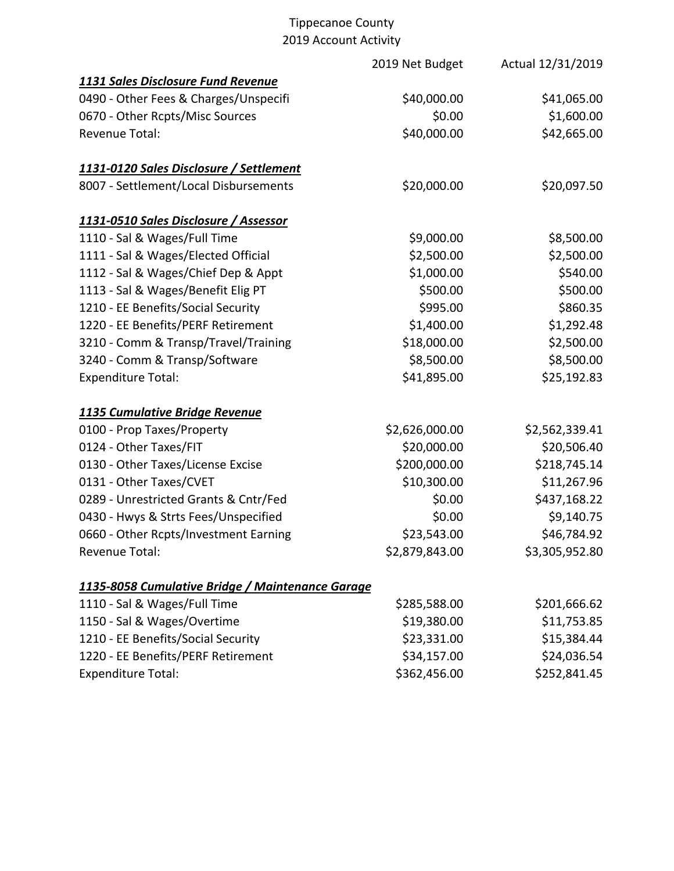|                                                  | 2019 Net Budget | Actual 12/31/2019 |
|--------------------------------------------------|-----------------|-------------------|
| 1131 Sales Disclosure Fund Revenue               |                 |                   |
| 0490 - Other Fees & Charges/Unspecifi            | \$40,000.00     | \$41,065.00       |
| 0670 - Other Rcpts/Misc Sources                  | \$0.00          | \$1,600.00        |
| <b>Revenue Total:</b>                            | \$40,000.00     | \$42,665.00       |
| 1131-0120 Sales Disclosure / Settlement          |                 |                   |
| 8007 - Settlement/Local Disbursements            | \$20,000.00     | \$20,097.50       |
| 1131-0510 Sales Disclosure / Assessor            |                 |                   |
| 1110 - Sal & Wages/Full Time                     | \$9,000.00      | \$8,500.00        |
| 1111 - Sal & Wages/Elected Official              | \$2,500.00      | \$2,500.00        |
| 1112 - Sal & Wages/Chief Dep & Appt              | \$1,000.00      | \$540.00          |
| 1113 - Sal & Wages/Benefit Elig PT               | \$500.00        | \$500.00          |
| 1210 - EE Benefits/Social Security               | \$995.00        | \$860.35          |
| 1220 - EE Benefits/PERF Retirement               | \$1,400.00      | \$1,292.48        |
| 3210 - Comm & Transp/Travel/Training             | \$18,000.00     | \$2,500.00        |
| 3240 - Comm & Transp/Software                    | \$8,500.00      | \$8,500.00        |
| <b>Expenditure Total:</b>                        | \$41,895.00     | \$25,192.83       |
| 1135 Cumulative Bridge Revenue                   |                 |                   |
| 0100 - Prop Taxes/Property                       | \$2,626,000.00  | \$2,562,339.41    |
| 0124 - Other Taxes/FIT                           | \$20,000.00     | \$20,506.40       |
| 0130 - Other Taxes/License Excise                | \$200,000.00    | \$218,745.14      |
| 0131 - Other Taxes/CVET                          | \$10,300.00     | \$11,267.96       |
| 0289 - Unrestricted Grants & Cntr/Fed            | \$0.00          | \$437,168.22      |
| 0430 - Hwys & Strts Fees/Unspecified             | \$0.00          | \$9,140.75        |
| 0660 - Other Rcpts/Investment Earning            | \$23,543.00     | \$46,784.92       |
| Revenue Total:                                   | \$2,879,843.00  | \$3,305,952.80    |
| 1135-8058 Cumulative Bridge / Maintenance Garage |                 |                   |
| 1110 - Sal & Wages/Full Time                     | \$285,588.00    | \$201,666.62      |
| 1150 - Sal & Wages/Overtime                      | \$19,380.00     | \$11,753.85       |
| 1210 - EE Benefits/Social Security               | \$23,331.00     | \$15,384.44       |
| 1220 - EE Benefits/PERF Retirement               | \$34,157.00     | \$24,036.54       |
| <b>Expenditure Total:</b>                        | \$362,456.00    | \$252,841.45      |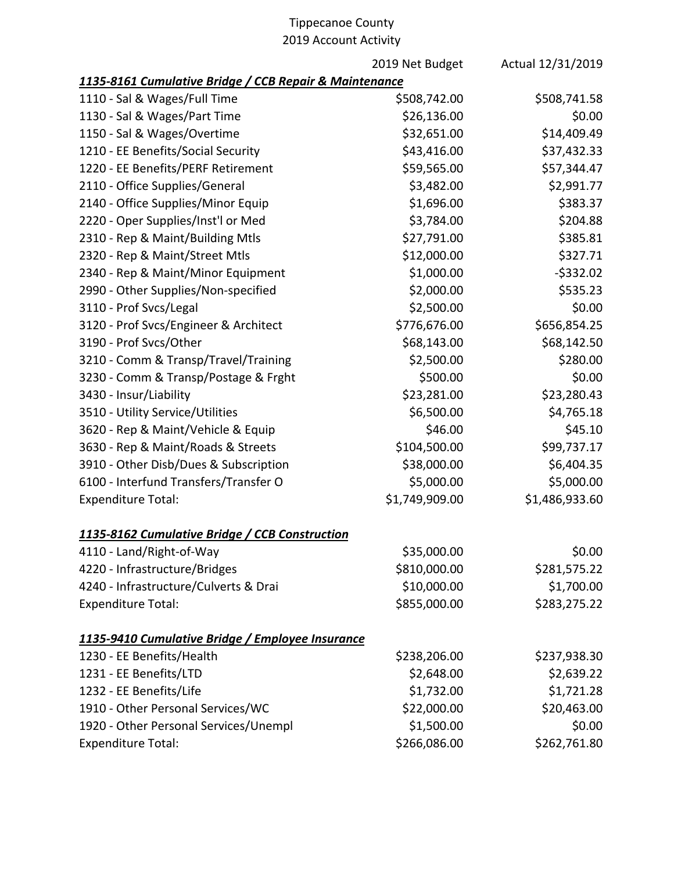2019 Net Budget Actual 12/31/2019

| 1135-8161 Cumulative Bridge / CCB Repair & Maintenance |                |                |
|--------------------------------------------------------|----------------|----------------|
| 1110 - Sal & Wages/Full Time                           | \$508,742.00   | \$508,741.58   |
| 1130 - Sal & Wages/Part Time                           | \$26,136.00    | \$0.00         |
| 1150 - Sal & Wages/Overtime                            | \$32,651.00    | \$14,409.49    |
| 1210 - EE Benefits/Social Security                     | \$43,416.00    | \$37,432.33    |
| 1220 - EE Benefits/PERF Retirement                     | \$59,565.00    | \$57,344.47    |
| 2110 - Office Supplies/General                         | \$3,482.00     | \$2,991.77     |
| 2140 - Office Supplies/Minor Equip                     | \$1,696.00     | \$383.37       |
| 2220 - Oper Supplies/Inst'l or Med                     | \$3,784.00     | \$204.88       |
| 2310 - Rep & Maint/Building Mtls                       | \$27,791.00    | \$385.81       |
| 2320 - Rep & Maint/Street Mtls                         | \$12,000.00    | \$327.71       |
| 2340 - Rep & Maint/Minor Equipment                     | \$1,000.00     | $-5332.02$     |
| 2990 - Other Supplies/Non-specified                    | \$2,000.00     | \$535.23       |
| 3110 - Prof Svcs/Legal                                 | \$2,500.00     | \$0.00         |
| 3120 - Prof Svcs/Engineer & Architect                  | \$776,676.00   | \$656,854.25   |
| 3190 - Prof Svcs/Other                                 | \$68,143.00    | \$68,142.50    |
| 3210 - Comm & Transp/Travel/Training                   | \$2,500.00     | \$280.00       |
| 3230 - Comm & Transp/Postage & Frght                   | \$500.00       | \$0.00         |
| 3430 - Insur/Liability                                 | \$23,281.00    | \$23,280.43    |
| 3510 - Utility Service/Utilities                       | \$6,500.00     | \$4,765.18     |
| 3620 - Rep & Maint/Vehicle & Equip                     | \$46.00        | \$45.10        |
| 3630 - Rep & Maint/Roads & Streets                     | \$104,500.00   | \$99,737.17    |
| 3910 - Other Disb/Dues & Subscription                  | \$38,000.00    | \$6,404.35     |
| 6100 - Interfund Transfers/Transfer O                  | \$5,000.00     | \$5,000.00     |
| <b>Expenditure Total:</b>                              | \$1,749,909.00 | \$1,486,933.60 |
| 1135-8162 Cumulative Bridge / CCB Construction         |                |                |
| 4110 - Land/Right-of-Way                               | \$35,000.00    | \$0.00         |
| 4220 - Infrastructure/Bridges                          | \$810,000.00   | \$281,575.22   |
| 4240 - Infrastructure/Culverts & Drai                  | \$10,000.00    | \$1,700.00     |
| <b>Expenditure Total:</b>                              | \$855,000.00   | \$283,275.22   |
| 1135-9410 Cumulative Bridge / Employee Insurance       |                |                |
| 1230 - EE Benefits/Health                              | \$238,206.00   | \$237,938.30   |
| 1231 - EE Benefits/LTD                                 | \$2,648.00     | \$2,639.22     |
| 1232 - EE Benefits/Life                                | \$1,732.00     | \$1,721.28     |
| 1910 - Other Personal Services/WC                      | \$22,000.00    | \$20,463.00    |
| 1920 - Other Personal Services/Unempl                  | \$1,500.00     | \$0.00         |
| <b>Expenditure Total:</b>                              | \$266,086.00   | \$262,761.80   |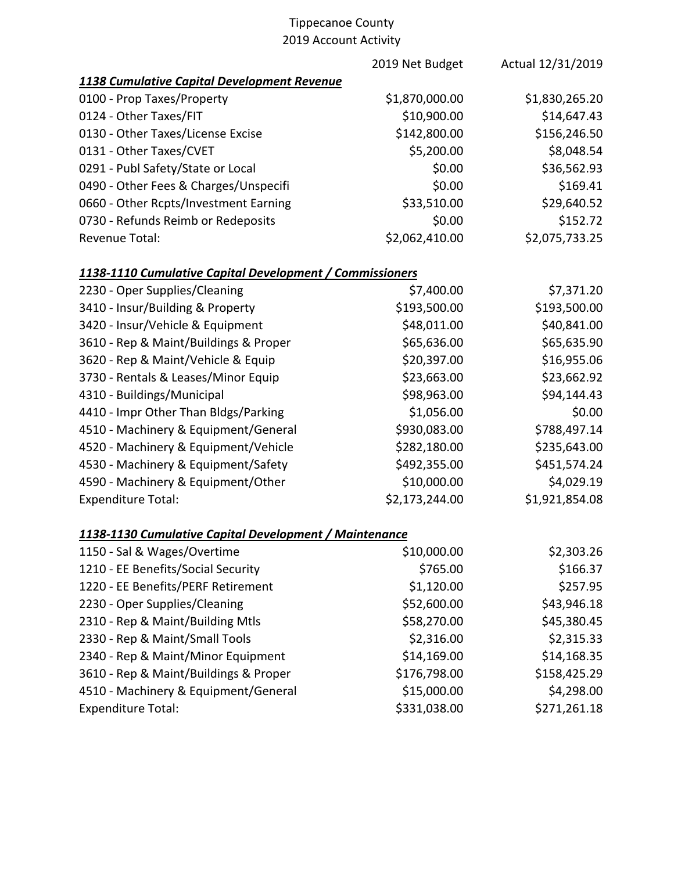|                                                          | 2019 Net Budget | Actual 12/31/2019 |
|----------------------------------------------------------|-----------------|-------------------|
| 1138 Cumulative Capital Development Revenue              |                 |                   |
| 0100 - Prop Taxes/Property                               | \$1,870,000.00  | \$1,830,265.20    |
| 0124 - Other Taxes/FIT                                   | \$10,900.00     | \$14,647.43       |
| 0130 - Other Taxes/License Excise                        | \$142,800.00    | \$156,246.50      |
| 0131 - Other Taxes/CVET                                  | \$5,200.00      | \$8,048.54        |
| 0291 - Publ Safety/State or Local                        | \$0.00          | \$36,562.93       |
| 0490 - Other Fees & Charges/Unspecifi                    | \$0.00          | \$169.41          |
| 0660 - Other Rcpts/Investment Earning                    | \$33,510.00     | \$29,640.52       |
| 0730 - Refunds Reimb or Redeposits                       | \$0.00          | \$152.72          |
| <b>Revenue Total:</b>                                    | \$2,062,410.00  | \$2,075,733.25    |
| 1138-1110 Cumulative Capital Development / Commissioners |                 |                   |
| 2230 - Oper Supplies/Cleaning                            | \$7,400.00      | \$7,371.20        |
| 3410 - Insur/Building & Property                         | \$193,500.00    | \$193,500.00      |
| 3420 - Insur/Vehicle & Equipment                         | \$48,011.00     | \$40,841.00       |
| 3610 - Rep & Maint/Buildings & Proper                    | \$65,636.00     | \$65,635.90       |
| 3620 - Rep & Maint/Vehicle & Equip                       | \$20,397.00     | \$16,955.06       |
| 3730 - Rentals & Leases/Minor Equip                      | \$23,663.00     | \$23,662.92       |
| 4310 - Buildings/Municipal                               | \$98,963.00     | \$94,144.43       |
| 4410 - Impr Other Than Bldgs/Parking                     | \$1,056.00      | \$0.00            |
| 4510 - Machinery & Equipment/General                     | \$930,083.00    | \$788,497.14      |
| 4520 - Machinery & Equipment/Vehicle                     | \$282,180.00    | \$235,643.00      |
| 4530 - Machinery & Equipment/Safety                      | \$492,355.00    | \$451,574.24      |
| 4590 - Machinery & Equipment/Other                       | \$10,000.00     | \$4,029.19        |
| <b>Expenditure Total:</b>                                | \$2,173,244.00  | \$1,921,854.08    |
| 1138-1130 Cumulative Capital Development / Maintenance   |                 |                   |
| 1150 - Sal & Wages/Overtime                              | \$10,000.00     | \$2,303.26        |
| 1210 - EE Benefits/Social Security                       | \$765.00        | \$166.37          |
| 1220 - EE Benefits/PERF Retirement                       | \$1,120.00      | \$257.95          |
| 2230 - Oper Supplies/Cleaning                            | \$52,600.00     | \$43,946.18       |
| 2310 - Rep & Maint/Building Mtls                         | \$58,270.00     | \$45,380.45       |
| 2330 - Rep & Maint/Small Tools                           | \$2,316.00      | \$2,315.33        |
| 2340 - Rep & Maint/Minor Equipment                       | \$14,169.00     | \$14,168.35       |
| 3610 - Rep & Maint/Buildings & Proper                    | \$176,798.00    | \$158,425.29      |
| 4510 - Machinery & Equipment/General                     | \$15,000.00     | \$4,298.00        |
| <b>Expenditure Total:</b>                                | \$331,038.00    | \$271,261.18      |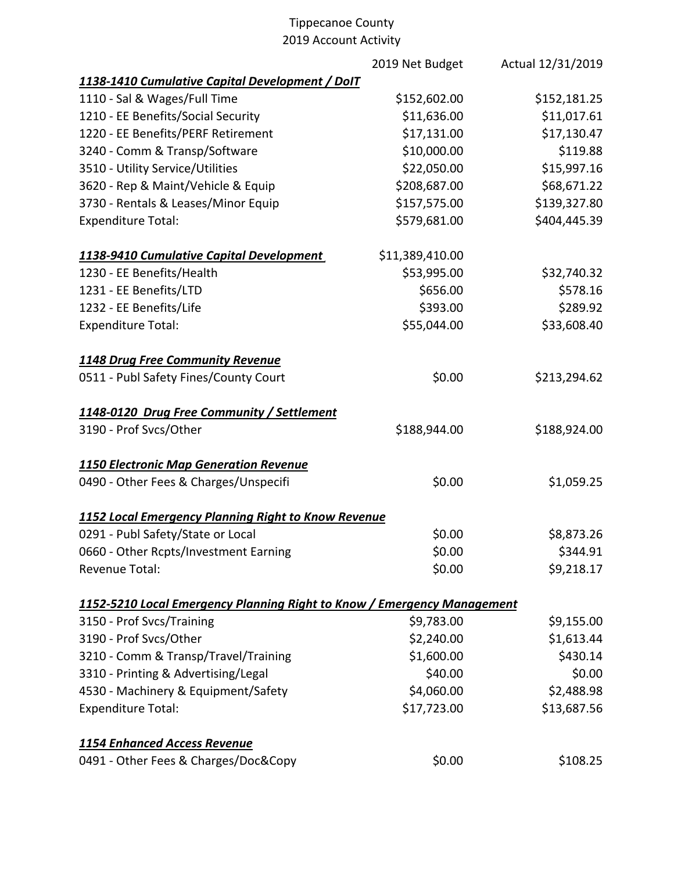|                                                                         | 2019 Net Budget | Actual 12/31/2019 |
|-------------------------------------------------------------------------|-----------------|-------------------|
| 1138-1410 Cumulative Capital Development / DoIT                         |                 |                   |
| 1110 - Sal & Wages/Full Time                                            | \$152,602.00    | \$152,181.25      |
| 1210 - EE Benefits/Social Security                                      | \$11,636.00     | \$11,017.61       |
| 1220 - EE Benefits/PERF Retirement                                      | \$17,131.00     | \$17,130.47       |
| 3240 - Comm & Transp/Software                                           | \$10,000.00     | \$119.88          |
| 3510 - Utility Service/Utilities                                        | \$22,050.00     | \$15,997.16       |
| 3620 - Rep & Maint/Vehicle & Equip                                      | \$208,687.00    | \$68,671.22       |
| 3730 - Rentals & Leases/Minor Equip                                     | \$157,575.00    | \$139,327.80      |
| <b>Expenditure Total:</b>                                               | \$579,681.00    | \$404,445.39      |
| 1138-9410 Cumulative Capital Development                                | \$11,389,410.00 |                   |
| 1230 - EE Benefits/Health                                               | \$53,995.00     | \$32,740.32       |
| 1231 - EE Benefits/LTD                                                  | \$656.00        | \$578.16          |
| 1232 - EE Benefits/Life                                                 | \$393.00        | \$289.92          |
| <b>Expenditure Total:</b>                                               | \$55,044.00     | \$33,608.40       |
| 1148 Drug Free Community Revenue                                        |                 |                   |
| 0511 - Publ Safety Fines/County Court                                   | \$0.00          | \$213,294.62      |
| 1148-0120 Drug Free Community / Settlement                              |                 |                   |
| 3190 - Prof Svcs/Other                                                  | \$188,944.00    | \$188,924.00      |
| <b>1150 Electronic Map Generation Revenue</b>                           |                 |                   |
| 0490 - Other Fees & Charges/Unspecifi                                   | \$0.00          | \$1,059.25        |
| 1152 Local Emergency Planning Right to Know Revenue                     |                 |                   |
| 0291 - Publ Safety/State or Local                                       | \$0.00          | \$8,873.26        |
| 0660 - Other Rcpts/Investment Earning                                   | \$0.00          | \$344.91          |
| Revenue Total:                                                          | \$0.00          | \$9,218.17        |
| 1152-5210 Local Emergency Planning Right to Know / Emergency Management |                 |                   |
| 3150 - Prof Svcs/Training                                               | \$9,783.00      | \$9,155.00        |
| 3190 - Prof Svcs/Other                                                  | \$2,240.00      | \$1,613.44        |
| 3210 - Comm & Transp/Travel/Training                                    | \$1,600.00      | \$430.14          |
| 3310 - Printing & Advertising/Legal                                     | \$40.00         | \$0.00            |
| 4530 - Machinery & Equipment/Safety                                     | \$4,060.00      | \$2,488.98        |
| <b>Expenditure Total:</b>                                               | \$17,723.00     | \$13,687.56       |
| <b>1154 Enhanced Access Revenue</b>                                     |                 |                   |
| 0491 - Other Fees & Charges/Doc&Copy                                    | \$0.00          | \$108.25          |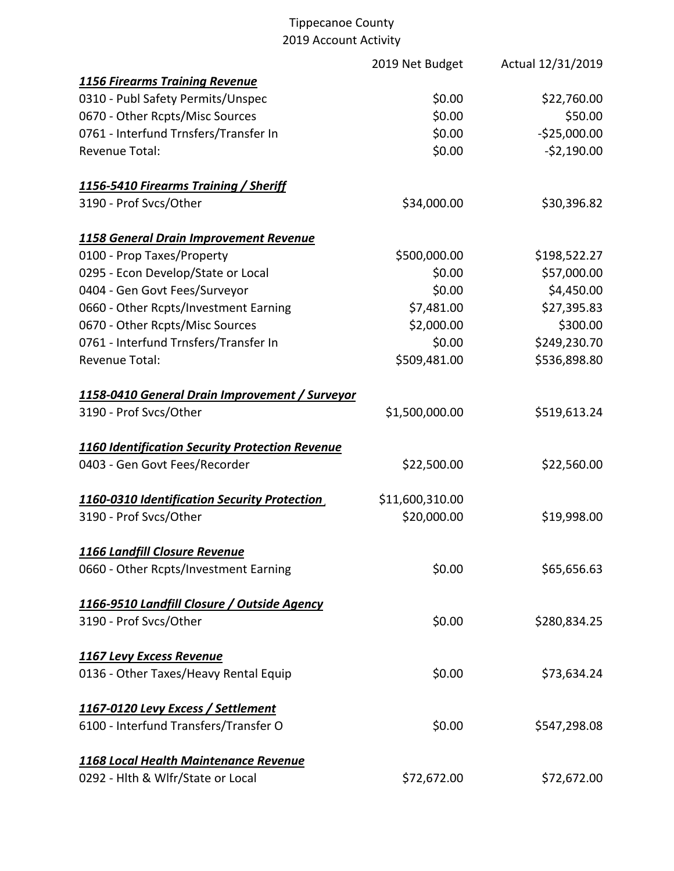|                                                 | 2019 Net Budget | Actual 12/31/2019 |
|-------------------------------------------------|-----------------|-------------------|
| <b>1156 Firearms Training Revenue</b>           |                 |                   |
| 0310 - Publ Safety Permits/Unspec               | \$0.00          | \$22,760.00       |
| 0670 - Other Rcpts/Misc Sources                 | \$0.00          | \$50.00           |
| 0761 - Interfund Trnsfers/Transfer In           | \$0.00          | $-$25,000.00$     |
| <b>Revenue Total:</b>                           | \$0.00          | $-52,190.00$      |
| 1156-5410 Firearms Training / Sheriff           |                 |                   |
| 3190 - Prof Svcs/Other                          | \$34,000.00     | \$30,396.82       |
| 1158 General Drain Improvement Revenue          |                 |                   |
| 0100 - Prop Taxes/Property                      | \$500,000.00    | \$198,522.27      |
| 0295 - Econ Develop/State or Local              | \$0.00          | \$57,000.00       |
| 0404 - Gen Govt Fees/Surveyor                   | \$0.00          | \$4,450.00        |
| 0660 - Other Rcpts/Investment Earning           | \$7,481.00      | \$27,395.83       |
| 0670 - Other Rcpts/Misc Sources                 | \$2,000.00      | \$300.00          |
| 0761 - Interfund Trnsfers/Transfer In           | \$0.00          | \$249,230.70      |
| Revenue Total:                                  | \$509,481.00    | \$536,898.80      |
| 1158-0410 General Drain Improvement / Surveyor  |                 |                   |
| 3190 - Prof Svcs/Other                          | \$1,500,000.00  | \$519,613.24      |
| 1160 Identification Security Protection Revenue |                 |                   |
| 0403 - Gen Govt Fees/Recorder                   | \$22,500.00     | \$22,560.00       |
| 1160-0310 Identification Security Protection    | \$11,600,310.00 |                   |
| 3190 - Prof Svcs/Other                          | \$20,000.00     | \$19,998.00       |
| 1166 Landfill Closure Revenue                   |                 |                   |
| 0660 - Other Rcpts/Investment Earning           | \$0.00          | \$65,656.63       |
| 1166-9510 Landfill Closure / Outside Agency     |                 |                   |
| 3190 - Prof Svcs/Other                          | \$0.00          | \$280,834.25      |
| 1167 Levy Excess Revenue                        |                 |                   |
| 0136 - Other Taxes/Heavy Rental Equip           | \$0.00          | \$73,634.24       |
| 1167-0120 Levy Excess / Settlement              |                 |                   |
| 6100 - Interfund Transfers/Transfer O           | \$0.00          | \$547,298.08      |
| 1168 Local Health Maintenance Revenue           |                 |                   |
| 0292 - Hlth & Wlfr/State or Local               | \$72,672.00     | \$72,672.00       |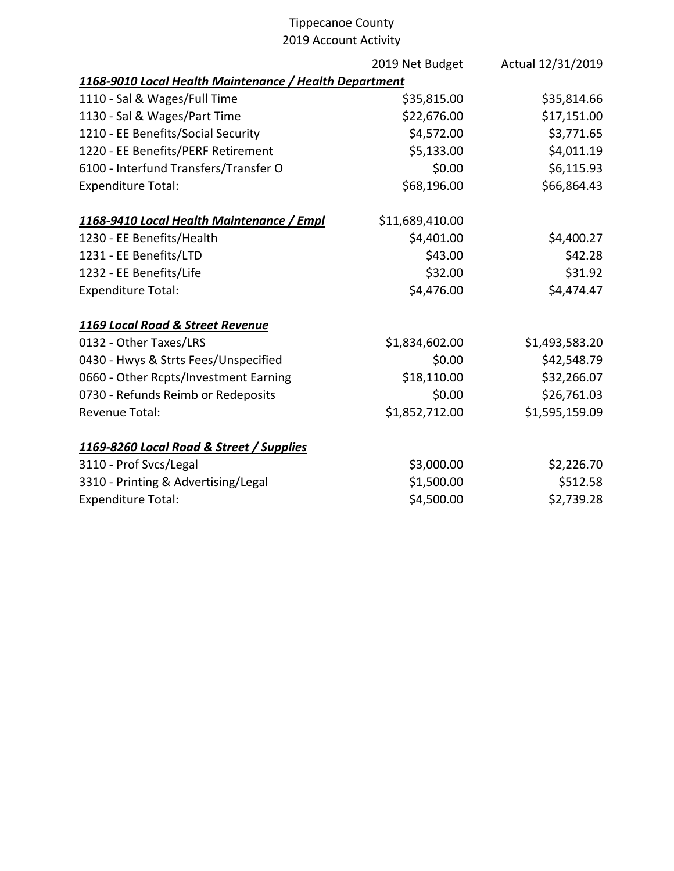|                                                        | 2019 Net Budget | Actual 12/31/2019 |
|--------------------------------------------------------|-----------------|-------------------|
| 1168-9010 Local Health Maintenance / Health Department |                 |                   |
| 1110 - Sal & Wages/Full Time                           | \$35,815.00     | \$35,814.66       |
| 1130 - Sal & Wages/Part Time                           | \$22,676.00     | \$17,151.00       |
| 1210 - EE Benefits/Social Security                     | \$4,572.00      | \$3,771.65        |
| 1220 - EE Benefits/PERF Retirement                     | \$5,133.00      | \$4,011.19        |
| 6100 - Interfund Transfers/Transfer O                  | \$0.00          | \$6,115.93        |
| <b>Expenditure Total:</b>                              | \$68,196.00     | \$66,864.43       |
| 1168-9410 Local Health Maintenance / Empl              | \$11,689,410.00 |                   |
| 1230 - EE Benefits/Health                              | \$4,401.00      | \$4,400.27        |
| 1231 - EE Benefits/LTD                                 | \$43.00         | \$42.28           |
| 1232 - EE Benefits/Life                                | \$32.00         | \$31.92           |
| <b>Expenditure Total:</b>                              | \$4,476.00      | \$4,474.47        |
| 1169 Local Road & Street Revenue                       |                 |                   |
| 0132 - Other Taxes/LRS                                 | \$1,834,602.00  | \$1,493,583.20    |
| 0430 - Hwys & Strts Fees/Unspecified                   | \$0.00          | \$42,548.79       |
| 0660 - Other Rcpts/Investment Earning                  | \$18,110.00     | \$32,266.07       |
| 0730 - Refunds Reimb or Redeposits                     | \$0.00          | \$26,761.03       |
| Revenue Total:                                         | \$1,852,712.00  | \$1,595,159.09    |
| 1169-8260 Local Road & Street / Supplies               |                 |                   |
| 3110 - Prof Svcs/Legal                                 | \$3,000.00      | \$2,226.70        |
| 3310 - Printing & Advertising/Legal                    | \$1,500.00      | \$512.58          |
| <b>Expenditure Total:</b>                              | \$4,500.00      | \$2,739.28        |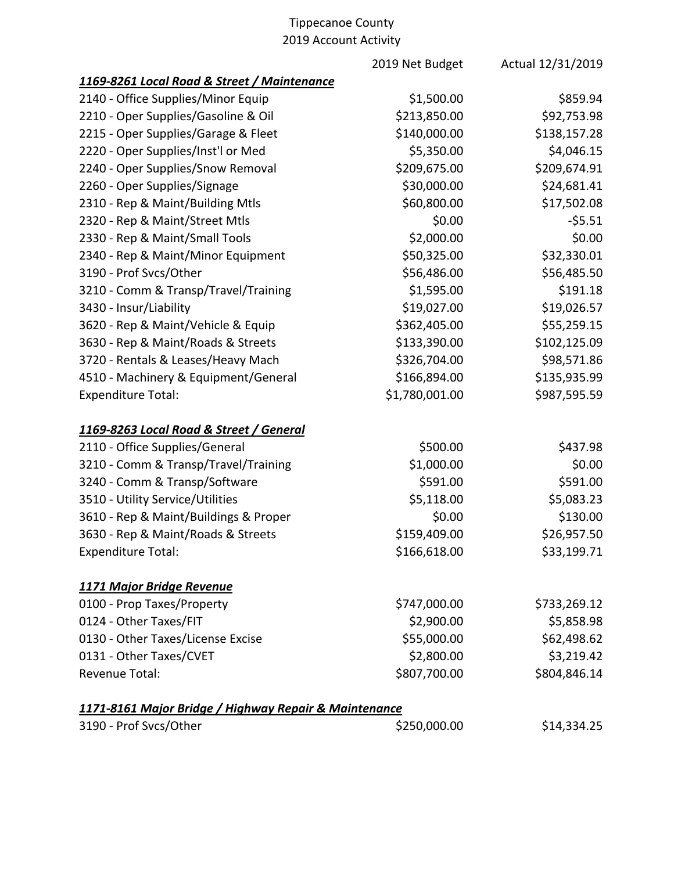|                                                       | 2019 Net Budget | Actual 12/31/2019 |
|-------------------------------------------------------|-----------------|-------------------|
| 1169-8261 Local Road & Street / Maintenance           |                 |                   |
| 2140 - Office Supplies/Minor Equip                    | \$1,500.00      | \$859.94          |
| 2210 - Oper Supplies/Gasoline & Oil                   | \$213,850.00    | \$92,753.98       |
| 2215 - Oper Supplies/Garage & Fleet                   | \$140,000.00    | \$138,157.28      |
| 2220 - Oper Supplies/Inst'l or Med                    | \$5,350.00      | \$4,046.15        |
| 2240 - Oper Supplies/Snow Removal                     | \$209,675.00    | \$209,674.91      |
| 2260 - Oper Supplies/Signage                          | \$30,000.00     | \$24,681.41       |
| 2310 - Rep & Maint/Building Mtls                      | \$60,800.00     | \$17,502.08       |
| 2320 - Rep & Maint/Street Mtls                        | \$0.00          | $-55.51$          |
| 2330 - Rep & Maint/Small Tools                        | \$2,000.00      | \$0.00            |
| 2340 - Rep & Maint/Minor Equipment                    | \$50,325.00     | \$32,330.01       |
| 3190 - Prof Svcs/Other                                | \$56,486.00     | \$56,485.50       |
| 3210 - Comm & Transp/Travel/Training                  | \$1,595.00      | \$191.18          |
| 3430 - Insur/Liability                                | \$19,027.00     | \$19,026.57       |
| 3620 - Rep & Maint/Vehicle & Equip                    | \$362,405.00    | \$55,259.15       |
| 3630 - Rep & Maint/Roads & Streets                    | \$133,390.00    | \$102,125.09      |
| 3720 - Rentals & Leases/Heavy Mach                    | \$326,704.00    | \$98,571.86       |
| 4510 - Machinery & Equipment/General                  | \$166,894.00    | \$135,935.99      |
| <b>Expenditure Total:</b>                             | \$1,780,001.00  | \$987,595.59      |
| 1169-8263 Local Road & Street / General               |                 |                   |
| 2110 - Office Supplies/General                        | \$500.00        | \$437.98          |
| 3210 - Comm & Transp/Travel/Training                  | \$1,000.00      | \$0.00            |
| 3240 - Comm & Transp/Software                         | \$591.00        | \$591.00          |
| 3510 - Utility Service/Utilities                      | \$5,118.00      | \$5,083.23        |
| 3610 - Rep & Maint/Buildings & Proper                 | \$0.00          | \$130.00          |
| 3630 - Rep & Maint/Roads & Streets                    | \$159,409.00    | \$26,957.50       |
| <b>Expenditure Total:</b>                             | \$166,618.00    | \$33,199.71       |
| <b>1171 Major Bridge Revenue</b>                      |                 |                   |
| 0100 - Prop Taxes/Property                            | \$747,000.00    | \$733,269.12      |
| 0124 - Other Taxes/FIT                                | \$2,900.00      | \$5,858.98        |
| 0130 - Other Taxes/License Excise                     | \$55,000.00     | \$62,498.62       |
| 0131 - Other Taxes/CVET                               | \$2,800.00      | \$3,219.42        |
| <b>Revenue Total:</b>                                 | \$807,700.00    | \$804,846.14      |
| 1171-8161 Major Bridge / Highway Repair & Maintenance |                 |                   |
| 3190 - Prof Svcs/Other                                | \$250,000.00    | \$14,334.25       |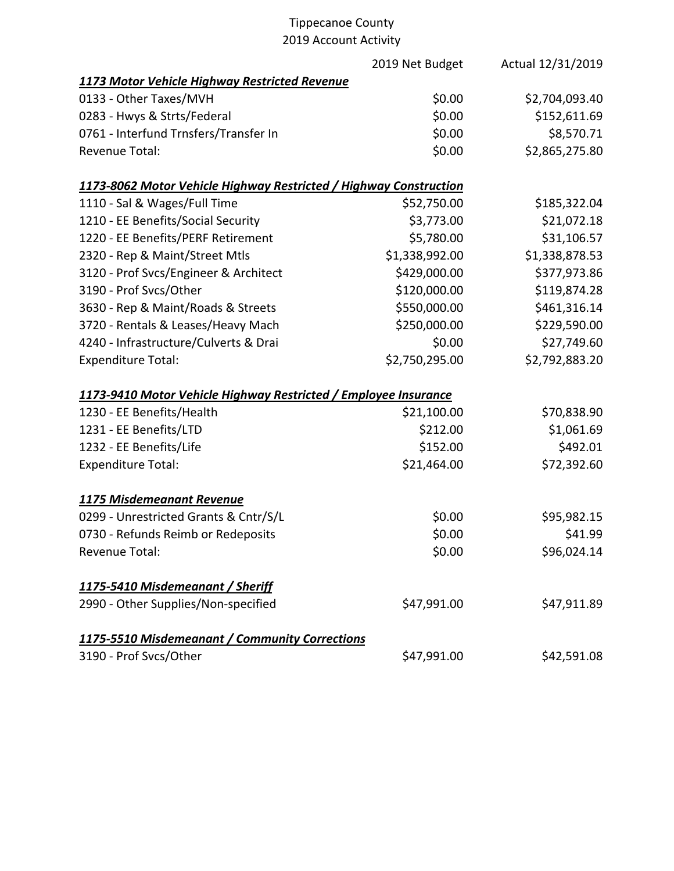|                                                                   | 2019 Net Budget | Actual 12/31/2019 |
|-------------------------------------------------------------------|-----------------|-------------------|
| 1173 Motor Vehicle Highway Restricted Revenue                     |                 |                   |
| 0133 - Other Taxes/MVH                                            | \$0.00          | \$2,704,093.40    |
| 0283 - Hwys & Strts/Federal                                       | \$0.00          | \$152,611.69      |
| 0761 - Interfund Trnsfers/Transfer In                             | \$0.00          | \$8,570.71        |
| Revenue Total:                                                    | \$0.00          | \$2,865,275.80    |
| 1173-8062 Motor Vehicle Highway Restricted / Highway Construction |                 |                   |
| 1110 - Sal & Wages/Full Time                                      | \$52,750.00     | \$185,322.04      |
| 1210 - EE Benefits/Social Security                                | \$3,773.00      | \$21,072.18       |
| 1220 - EE Benefits/PERF Retirement                                | \$5,780.00      | \$31,106.57       |
| 2320 - Rep & Maint/Street Mtls                                    | \$1,338,992.00  | \$1,338,878.53    |
| 3120 - Prof Svcs/Engineer & Architect                             | \$429,000.00    | \$377,973.86      |
| 3190 - Prof Svcs/Other                                            | \$120,000.00    | \$119,874.28      |
| 3630 - Rep & Maint/Roads & Streets                                | \$550,000.00    | \$461,316.14      |
| 3720 - Rentals & Leases/Heavy Mach                                | \$250,000.00    | \$229,590.00      |
| 4240 - Infrastructure/Culverts & Drai                             | \$0.00          | \$27,749.60       |
| <b>Expenditure Total:</b>                                         | \$2,750,295.00  | \$2,792,883.20    |
| 1173-9410 Motor Vehicle Highway Restricted / Employee Insurance   |                 |                   |
| 1230 - EE Benefits/Health                                         | \$21,100.00     | \$70,838.90       |
| 1231 - EE Benefits/LTD                                            | \$212.00        | \$1,061.69        |
| 1232 - EE Benefits/Life                                           | \$152.00        | \$492.01          |
| <b>Expenditure Total:</b>                                         | \$21,464.00     | \$72,392.60       |
| 1175 Misdemeanant Revenue                                         |                 |                   |
| 0299 - Unrestricted Grants & Cntr/S/L                             | \$0.00          | \$95,982.15       |
| 0730 - Refunds Reimb or Redeposits                                | \$0.00          | \$41.99           |
| Revenue Total:                                                    | \$0.00          | \$96,024.14       |
| 1175-5410 Misdemeanant / Sheriff                                  |                 |                   |
| 2990 - Other Supplies/Non-specified                               | \$47,991.00     | \$47,911.89       |
| 1175-5510 Misdemeanant / Community Corrections                    |                 |                   |
| 3190 - Prof Svcs/Other                                            | \$47,991.00     | \$42,591.08       |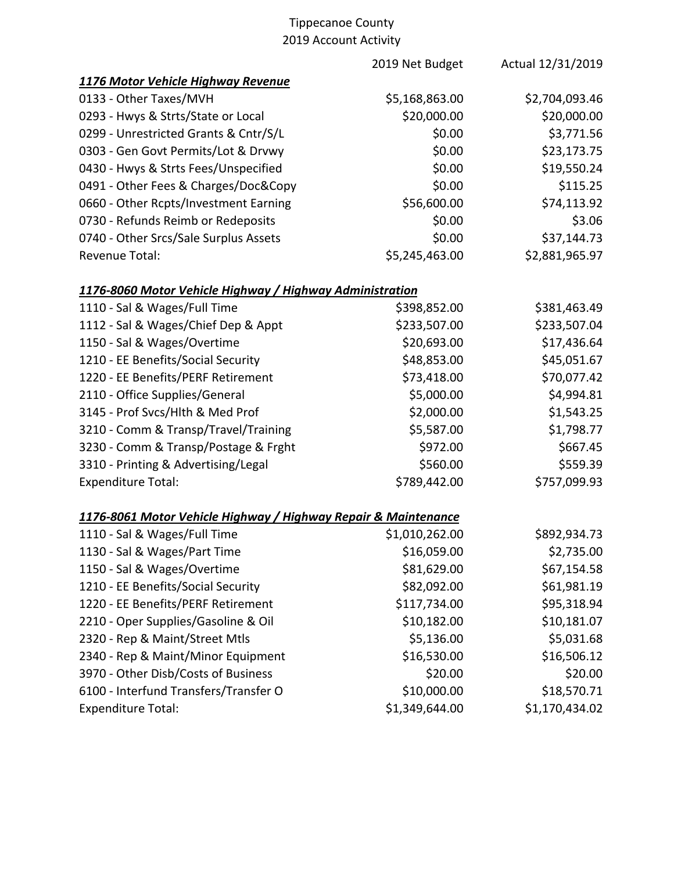|                                                                | 2019 Net Budget | Actual 12/31/2019 |
|----------------------------------------------------------------|-----------------|-------------------|
| 1176 Motor Vehicle Highway Revenue                             |                 |                   |
| 0133 - Other Taxes/MVH                                         | \$5,168,863.00  | \$2,704,093.46    |
| 0293 - Hwys & Strts/State or Local                             | \$20,000.00     | \$20,000.00       |
| 0299 - Unrestricted Grants & Cntr/S/L                          | \$0.00          | \$3,771.56        |
| 0303 - Gen Govt Permits/Lot & Drvwy                            | \$0.00          | \$23,173.75       |
| 0430 - Hwys & Strts Fees/Unspecified                           | \$0.00          | \$19,550.24       |
| 0491 - Other Fees & Charges/Doc&Copy                           | \$0.00          | \$115.25          |
| 0660 - Other Rcpts/Investment Earning                          | \$56,600.00     | \$74,113.92       |
| 0730 - Refunds Reimb or Redeposits                             | \$0.00          | \$3.06            |
| 0740 - Other Srcs/Sale Surplus Assets                          | \$0.00          | \$37,144.73       |
| Revenue Total:                                                 | \$5,245,463.00  | \$2,881,965.97    |
| 1176-8060 Motor Vehicle Highway / Highway Administration       |                 |                   |
| 1110 - Sal & Wages/Full Time                                   | \$398,852.00    | \$381,463.49      |
| 1112 - Sal & Wages/Chief Dep & Appt                            | \$233,507.00    | \$233,507.04      |
| 1150 - Sal & Wages/Overtime                                    | \$20,693.00     | \$17,436.64       |
| 1210 - EE Benefits/Social Security                             | \$48,853.00     | \$45,051.67       |
| 1220 - EE Benefits/PERF Retirement                             | \$73,418.00     | \$70,077.42       |
| 2110 - Office Supplies/General                                 | \$5,000.00      | \$4,994.81        |
| 3145 - Prof Svcs/Hlth & Med Prof                               | \$2,000.00      | \$1,543.25        |
| 3210 - Comm & Transp/Travel/Training                           | \$5,587.00      | \$1,798.77        |
| 3230 - Comm & Transp/Postage & Frght                           | \$972.00        | \$667.45          |
| 3310 - Printing & Advertising/Legal                            | \$560.00        | \$559.39          |
| <b>Expenditure Total:</b>                                      | \$789,442.00    | \$757,099.93      |
| 1176-8061 Motor Vehicle Highway / Highway Repair & Maintenance |                 |                   |
| 1110 - Sal & Wages/Full Time                                   | \$1,010,262.00  | \$892,934.73      |
| 1130 - Sal & Wages/Part Time                                   | \$16,059.00     | \$2,735.00        |
| 1150 - Sal & Wages/Overtime                                    | \$81,629.00     | \$67,154.58       |
| 1210 - EE Benefits/Social Security                             | \$82,092.00     | \$61,981.19       |
| 1220 - EE Benefits/PERF Retirement                             | \$117,734.00    | \$95,318.94       |
| 2210 - Oper Supplies/Gasoline & Oil                            | \$10,182.00     | \$10,181.07       |
| 2320 - Rep & Maint/Street Mtls                                 | \$5,136.00      | \$5,031.68        |
| 2340 - Rep & Maint/Minor Equipment                             | \$16,530.00     | \$16,506.12       |
| 3970 - Other Disb/Costs of Business                            | \$20.00         | \$20.00           |
| 6100 - Interfund Transfers/Transfer O                          | \$10,000.00     | \$18,570.71       |
| <b>Expenditure Total:</b>                                      | \$1,349,644.00  | \$1,170,434.02    |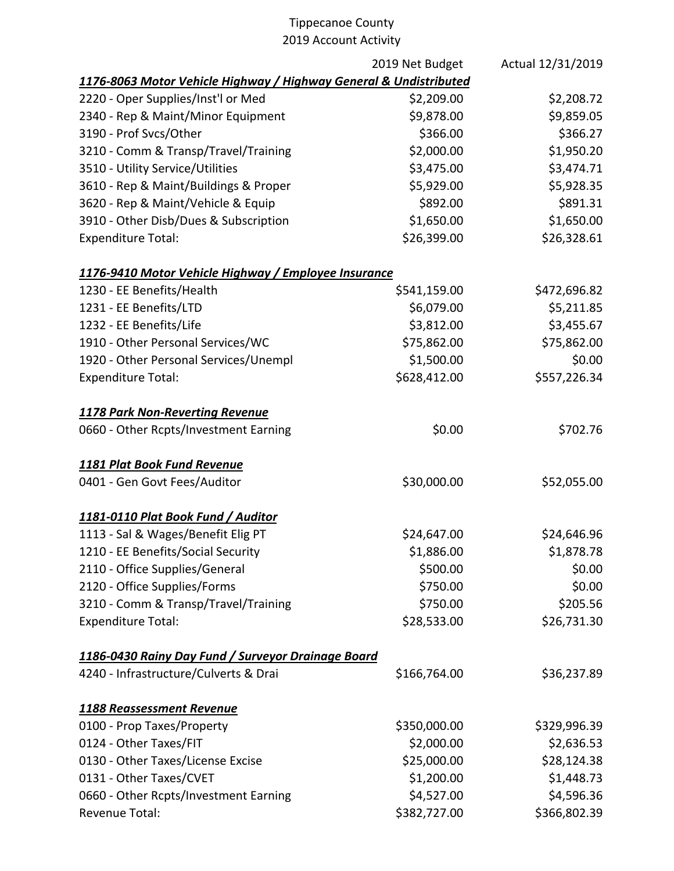|                                                                   | 2019 Net Budget | Actual 12/31/2019 |
|-------------------------------------------------------------------|-----------------|-------------------|
| 1176-8063 Motor Vehicle Highway / Highway General & Undistributed |                 |                   |
| 2220 - Oper Supplies/Inst'l or Med                                | \$2,209.00      | \$2,208.72        |
| 2340 - Rep & Maint/Minor Equipment                                | \$9,878.00      | \$9,859.05        |
| 3190 - Prof Svcs/Other                                            | \$366.00        | \$366.27          |
| 3210 - Comm & Transp/Travel/Training                              | \$2,000.00      | \$1,950.20        |
| 3510 - Utility Service/Utilities                                  | \$3,475.00      | \$3,474.71        |
| 3610 - Rep & Maint/Buildings & Proper                             | \$5,929.00      | \$5,928.35        |
| 3620 - Rep & Maint/Vehicle & Equip                                | \$892.00        | \$891.31          |
| 3910 - Other Disb/Dues & Subscription                             | \$1,650.00      | \$1,650.00        |
| <b>Expenditure Total:</b>                                         | \$26,399.00     | \$26,328.61       |
| 1176-9410 Motor Vehicle Highway / Employee Insurance              |                 |                   |
| 1230 - EE Benefits/Health                                         | \$541,159.00    | \$472,696.82      |
| 1231 - EE Benefits/LTD                                            | \$6,079.00      | \$5,211.85        |
| 1232 - EE Benefits/Life                                           | \$3,812.00      | \$3,455.67        |
| 1910 - Other Personal Services/WC                                 | \$75,862.00     | \$75,862.00       |
| 1920 - Other Personal Services/Unempl                             | \$1,500.00      | \$0.00            |
| <b>Expenditure Total:</b>                                         | \$628,412.00    | \$557,226.34      |
| <b>1178 Park Non-Reverting Revenue</b>                            |                 |                   |
| 0660 - Other Rcpts/Investment Earning                             | \$0.00          | \$702.76          |
| 1181 Plat Book Fund Revenue                                       |                 |                   |
| 0401 - Gen Govt Fees/Auditor                                      | \$30,000.00     | \$52,055.00       |
| 1181-0110 Plat Book Fund / Auditor                                |                 |                   |
| 1113 - Sal & Wages/Benefit Elig PT                                | \$24,647.00     | \$24,646.96       |
| 1210 - EE Benefits/Social Security                                | \$1,886.00      | \$1,878.78        |
| 2110 - Office Supplies/General                                    | \$500.00        | \$0.00            |
| 2120 - Office Supplies/Forms                                      | \$750.00        | \$0.00            |
| 3210 - Comm & Transp/Travel/Training                              | \$750.00        | \$205.56          |
| <b>Expenditure Total:</b>                                         | \$28,533.00     | \$26,731.30       |
| 1186-0430 Rainy Day Fund / Surveyor Drainage Board                |                 |                   |
| 4240 - Infrastructure/Culverts & Drai                             | \$166,764.00    | \$36,237.89       |
| 1188 Reassessment Revenue                                         |                 |                   |
| 0100 - Prop Taxes/Property                                        | \$350,000.00    | \$329,996.39      |
| 0124 - Other Taxes/FIT                                            | \$2,000.00      | \$2,636.53        |
| 0130 - Other Taxes/License Excise                                 | \$25,000.00     | \$28,124.38       |
| 0131 - Other Taxes/CVET                                           | \$1,200.00      | \$1,448.73        |
| 0660 - Other Rcpts/Investment Earning                             | \$4,527.00      | \$4,596.36        |
| Revenue Total:                                                    | \$382,727.00    | \$366,802.39      |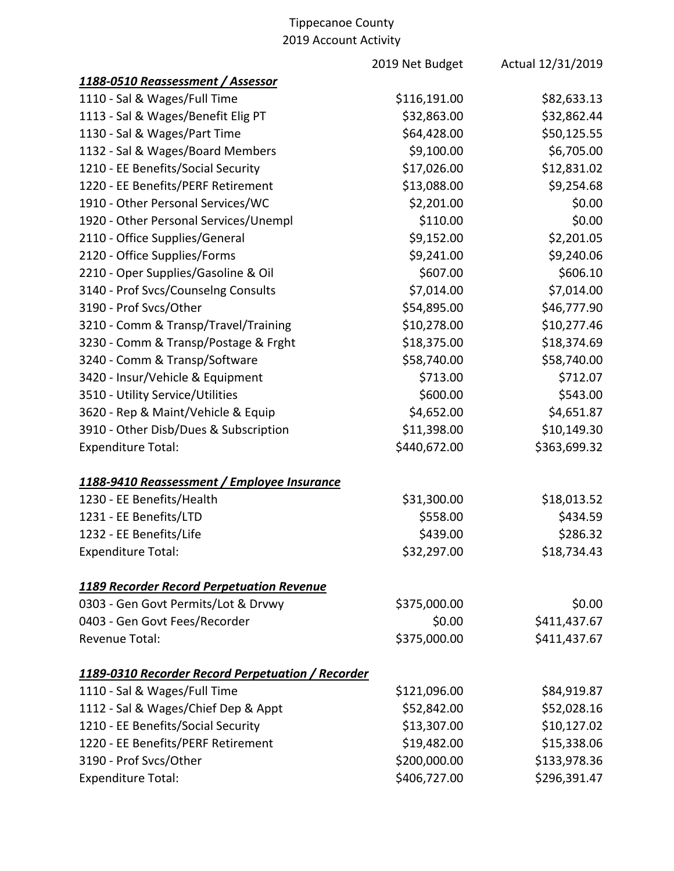|                                                   | 2019 Net Budget | Actual 12/31/2019 |
|---------------------------------------------------|-----------------|-------------------|
| 1188-0510 Reassessment / Assessor                 |                 |                   |
| 1110 - Sal & Wages/Full Time                      | \$116,191.00    | \$82,633.13       |
| 1113 - Sal & Wages/Benefit Elig PT                | \$32,863.00     | \$32,862.44       |
| 1130 - Sal & Wages/Part Time                      | \$64,428.00     | \$50,125.55       |
| 1132 - Sal & Wages/Board Members                  | \$9,100.00      | \$6,705.00        |
| 1210 - EE Benefits/Social Security                | \$17,026.00     | \$12,831.02       |
| 1220 - EE Benefits/PERF Retirement                | \$13,088.00     | \$9,254.68        |
| 1910 - Other Personal Services/WC                 | \$2,201.00      | \$0.00            |
| 1920 - Other Personal Services/Unempl             | \$110.00        | \$0.00            |
| 2110 - Office Supplies/General                    | \$9,152.00      | \$2,201.05        |
| 2120 - Office Supplies/Forms                      | \$9,241.00      | \$9,240.06        |
| 2210 - Oper Supplies/Gasoline & Oil               | \$607.00        | \$606.10          |
| 3140 - Prof Svcs/Counselng Consults               | \$7,014.00      | \$7,014.00        |
| 3190 - Prof Svcs/Other                            | \$54,895.00     | \$46,777.90       |
| 3210 - Comm & Transp/Travel/Training              | \$10,278.00     | \$10,277.46       |
| 3230 - Comm & Transp/Postage & Frght              | \$18,375.00     | \$18,374.69       |
| 3240 - Comm & Transp/Software                     | \$58,740.00     | \$58,740.00       |
| 3420 - Insur/Vehicle & Equipment                  | \$713.00        | \$712.07          |
| 3510 - Utility Service/Utilities                  | \$600.00        | \$543.00          |
| 3620 - Rep & Maint/Vehicle & Equip                | \$4,652.00      | \$4,651.87        |
| 3910 - Other Disb/Dues & Subscription             | \$11,398.00     | \$10,149.30       |
| <b>Expenditure Total:</b>                         | \$440,672.00    | \$363,699.32      |
| 1188-9410 Reassessment / Employee Insurance       |                 |                   |
| 1230 - EE Benefits/Health                         | \$31,300.00     | \$18,013.52       |
| 1231 - EE Benefits/LTD                            | \$558.00        | \$434.59          |
| 1232 - EE Benefits/Life                           | \$439.00        | \$286.32          |
| <b>Expenditure Total:</b>                         | \$32,297.00     | \$18,734.43       |
| <b>1189 Recorder Record Perpetuation Revenue</b>  |                 |                   |
| 0303 - Gen Govt Permits/Lot & Drvwy               | \$375,000.00    | \$0.00            |
| 0403 - Gen Govt Fees/Recorder                     | \$0.00          | \$411,437.67      |
| Revenue Total:                                    | \$375,000.00    | \$411,437.67      |
| 1189-0310 Recorder Record Perpetuation / Recorder |                 |                   |
| 1110 - Sal & Wages/Full Time                      | \$121,096.00    | \$84,919.87       |
| 1112 - Sal & Wages/Chief Dep & Appt               | \$52,842.00     | \$52,028.16       |
| 1210 - EE Benefits/Social Security                | \$13,307.00     | \$10,127.02       |
| 1220 - EE Benefits/PERF Retirement                | \$19,482.00     | \$15,338.06       |
| 3190 - Prof Svcs/Other                            | \$200,000.00    | \$133,978.36      |
| <b>Expenditure Total:</b>                         | \$406,727.00    | \$296,391.47      |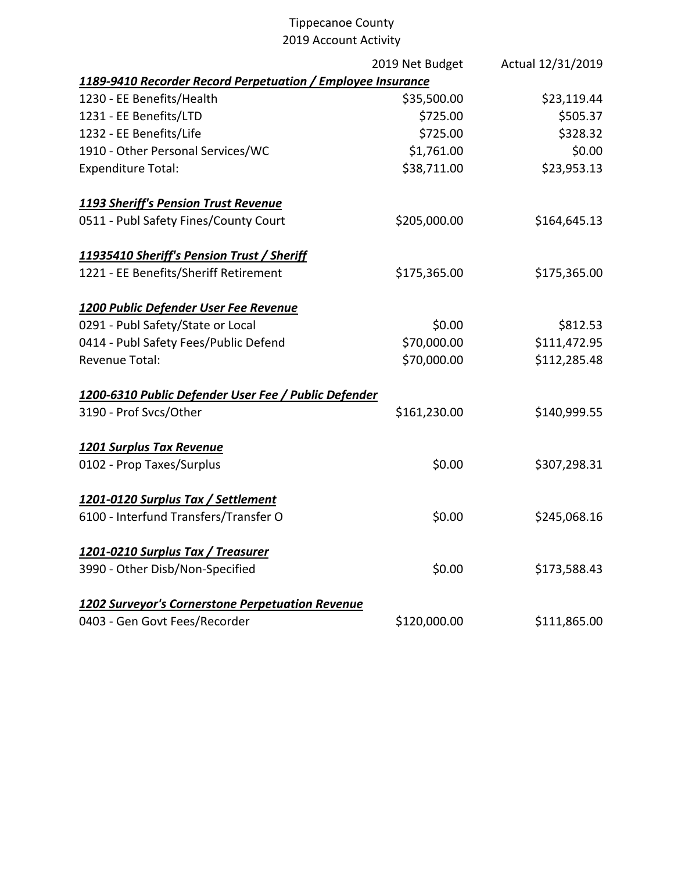|                                                             | 2019 Net Budget | Actual 12/31/2019 |
|-------------------------------------------------------------|-----------------|-------------------|
| 1189-9410 Recorder Record Perpetuation / Employee Insurance |                 |                   |
| 1230 - EE Benefits/Health                                   | \$35,500.00     | \$23,119.44       |
| 1231 - EE Benefits/LTD                                      | \$725.00        | \$505.37          |
| 1232 - EE Benefits/Life                                     | \$725.00        | \$328.32          |
| 1910 - Other Personal Services/WC                           | \$1,761.00      | \$0.00            |
| <b>Expenditure Total:</b>                                   | \$38,711.00     | \$23,953.13       |
| <b>1193 Sheriff's Pension Trust Revenue</b>                 |                 |                   |
| 0511 - Publ Safety Fines/County Court                       | \$205,000.00    | \$164,645.13      |
| 11935410 Sheriff's Pension Trust / Sheriff                  |                 |                   |
| 1221 - EE Benefits/Sheriff Retirement                       | \$175,365.00    | \$175,365.00      |
| 1200 Public Defender User Fee Revenue                       |                 |                   |
| 0291 - Publ Safety/State or Local                           | \$0.00          | \$812.53          |
| 0414 - Publ Safety Fees/Public Defend                       | \$70,000.00     | \$111,472.95      |
| <b>Revenue Total:</b>                                       | \$70,000.00     | \$112,285.48      |
| 1200-6310 Public Defender User Fee / Public Defender        |                 |                   |
| 3190 - Prof Svcs/Other                                      | \$161,230.00    | \$140,999.55      |
| <b>1201 Surplus Tax Revenue</b>                             |                 |                   |
| 0102 - Prop Taxes/Surplus                                   | \$0.00          | \$307,298.31      |
| 1201-0120 Surplus Tax / Settlement                          |                 |                   |
| 6100 - Interfund Transfers/Transfer O                       | \$0.00          | \$245,068.16      |
| 1201-0210 Surplus Tax / Treasurer                           |                 |                   |
| 3990 - Other Disb/Non-Specified                             | \$0.00          | \$173,588.43      |
| 1202 Surveyor's Cornerstone Perpetuation Revenue            |                 |                   |
| 0403 - Gen Govt Fees/Recorder                               | \$120,000.00    | \$111,865.00      |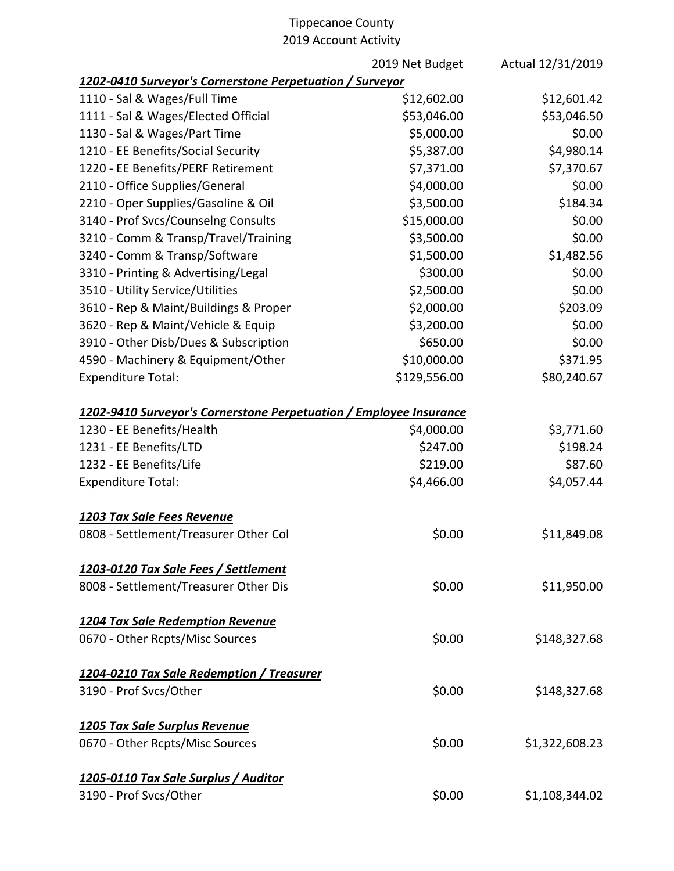|                                                                    | 2019 Net Budget | Actual 12/31/2019 |
|--------------------------------------------------------------------|-----------------|-------------------|
| 1202-0410 Surveyor's Cornerstone Perpetuation / Surveyor           |                 |                   |
| 1110 - Sal & Wages/Full Time                                       | \$12,602.00     | \$12,601.42       |
| 1111 - Sal & Wages/Elected Official                                | \$53,046.00     | \$53,046.50       |
| 1130 - Sal & Wages/Part Time                                       | \$5,000.00      | \$0.00            |
| 1210 - EE Benefits/Social Security                                 | \$5,387.00      | \$4,980.14        |
| 1220 - EE Benefits/PERF Retirement                                 | \$7,371.00      | \$7,370.67        |
| 2110 - Office Supplies/General                                     | \$4,000.00      | \$0.00            |
| 2210 - Oper Supplies/Gasoline & Oil                                | \$3,500.00      | \$184.34          |
| 3140 - Prof Svcs/Counselng Consults                                | \$15,000.00     | \$0.00            |
| 3210 - Comm & Transp/Travel/Training                               | \$3,500.00      | \$0.00            |
| 3240 - Comm & Transp/Software                                      | \$1,500.00      | \$1,482.56        |
| 3310 - Printing & Advertising/Legal                                | \$300.00        | \$0.00            |
| 3510 - Utility Service/Utilities                                   | \$2,500.00      | \$0.00            |
| 3610 - Rep & Maint/Buildings & Proper                              | \$2,000.00      | \$203.09          |
| 3620 - Rep & Maint/Vehicle & Equip                                 | \$3,200.00      | \$0.00            |
| 3910 - Other Disb/Dues & Subscription                              | \$650.00        | \$0.00            |
| 4590 - Machinery & Equipment/Other                                 | \$10,000.00     | \$371.95          |
| <b>Expenditure Total:</b>                                          | \$129,556.00    | \$80,240.67       |
| 1202-9410 Surveyor's Cornerstone Perpetuation / Employee Insurance |                 |                   |
| 1230 - EE Benefits/Health                                          | \$4,000.00      | \$3,771.60        |
| 1231 - EE Benefits/LTD                                             | \$247.00        | \$198.24          |
| 1232 - EE Benefits/Life                                            | \$219.00        | \$87.60           |
| <b>Expenditure Total:</b>                                          | \$4,466.00      | \$4,057.44        |
| 1203 Tax Sale Fees Revenue                                         |                 |                   |
| 0808 - Settlement/Treasurer Other Col                              | \$0.00          | \$11,849.08       |
| 1203-0120 Tax Sale Fees / Settlement                               |                 |                   |
| 8008 - Settlement/Treasurer Other Dis                              | \$0.00          | \$11,950.00       |
| 1204 Tax Sale Redemption Revenue                                   |                 |                   |
| 0670 - Other Rcpts/Misc Sources                                    | \$0.00          | \$148,327.68      |
| 1204-0210 Tax Sale Redemption / Treasurer                          |                 |                   |
| 3190 - Prof Svcs/Other                                             | \$0.00          | \$148,327.68      |
| 1205 Tax Sale Surplus Revenue                                      |                 |                   |
| 0670 - Other Rcpts/Misc Sources                                    | \$0.00          | \$1,322,608.23    |
| 1205-0110 Tax Sale Surplus / Auditor                               |                 |                   |
| 3190 - Prof Svcs/Other                                             | \$0.00          | \$1,108,344.02    |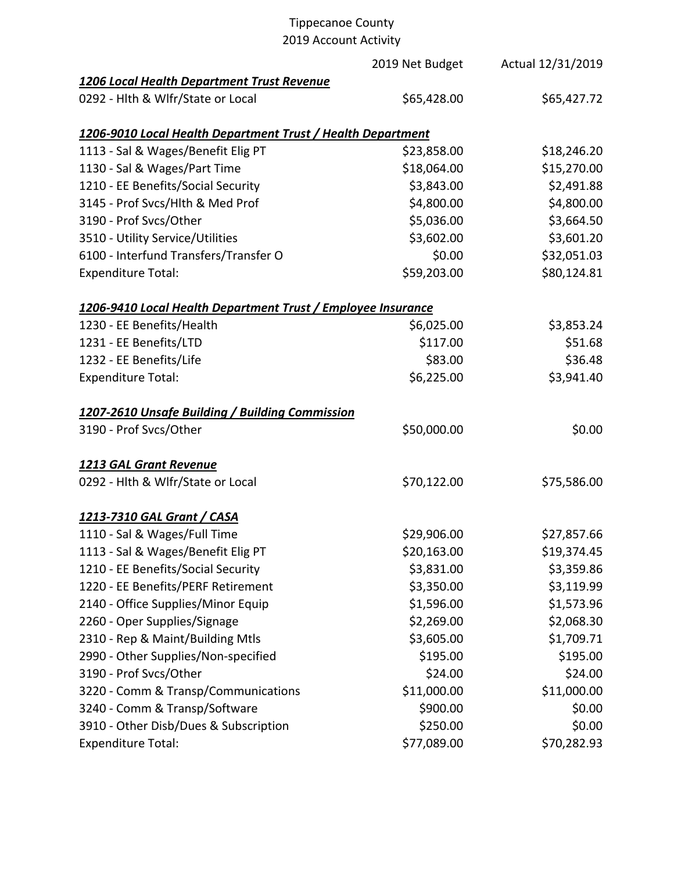# Tippecanoe County

2019 Account Activity

|                                                              | 2019 Net Budget | Actual 12/31/2019 |
|--------------------------------------------------------------|-----------------|-------------------|
| 1206 Local Health Department Trust Revenue                   |                 |                   |
| 0292 - Hlth & Wlfr/State or Local                            | \$65,428.00     | \$65,427.72       |
| 1206-9010 Local Health Department Trust / Health Department  |                 |                   |
| 1113 - Sal & Wages/Benefit Elig PT                           | \$23,858.00     | \$18,246.20       |
| 1130 - Sal & Wages/Part Time                                 | \$18,064.00     | \$15,270.00       |
| 1210 - EE Benefits/Social Security                           | \$3,843.00      | \$2,491.88        |
| 3145 - Prof Svcs/Hlth & Med Prof                             | \$4,800.00      | \$4,800.00        |
| 3190 - Prof Svcs/Other                                       | \$5,036.00      | \$3,664.50        |
| 3510 - Utility Service/Utilities                             | \$3,602.00      | \$3,601.20        |
| 6100 - Interfund Transfers/Transfer O                        | \$0.00          | \$32,051.03       |
| <b>Expenditure Total:</b>                                    | \$59,203.00     | \$80,124.81       |
| 1206-9410 Local Health Department Trust / Employee Insurance |                 |                   |
| 1230 - EE Benefits/Health                                    | \$6,025.00      | \$3,853.24        |
| 1231 - EE Benefits/LTD                                       | \$117.00        | \$51.68           |
| 1232 - EE Benefits/Life                                      | \$83.00         | \$36.48           |
| <b>Expenditure Total:</b>                                    | \$6,225.00      | \$3,941.40        |
| 1207-2610 Unsafe Building / Building Commission              |                 |                   |
| 3190 - Prof Svcs/Other                                       | \$50,000.00     | \$0.00            |
| 1213 GAL Grant Revenue                                       |                 |                   |
| 0292 - Hlth & Wlfr/State or Local                            | \$70,122.00     | \$75,586.00       |
| 1213-7310 GAL Grant / CASA                                   |                 |                   |
| 1110 - Sal & Wages/Full Time                                 | \$29,906.00     | \$27,857.66       |
| 1113 - Sal & Wages/Benefit Elig PT                           | \$20,163.00     | \$19,374.45       |
| 1210 - EE Benefits/Social Security                           | \$3,831.00      | \$3,359.86        |
| 1220 - EE Benefits/PERF Retirement                           | \$3,350.00      | \$3,119.99        |
| 2140 - Office Supplies/Minor Equip                           | \$1,596.00      | \$1,573.96        |
| 2260 - Oper Supplies/Signage                                 | \$2,269.00      | \$2,068.30        |
| 2310 - Rep & Maint/Building Mtls                             | \$3,605.00      | \$1,709.71        |
| 2990 - Other Supplies/Non-specified                          | \$195.00        | \$195.00          |
| 3190 - Prof Svcs/Other                                       | \$24.00         | \$24.00           |
| 3220 - Comm & Transp/Communications                          | \$11,000.00     | \$11,000.00       |
| 3240 - Comm & Transp/Software                                | \$900.00        | \$0.00            |
| 3910 - Other Disb/Dues & Subscription                        | \$250.00        | \$0.00            |
| <b>Expenditure Total:</b>                                    | \$77,089.00     | \$70,282.93       |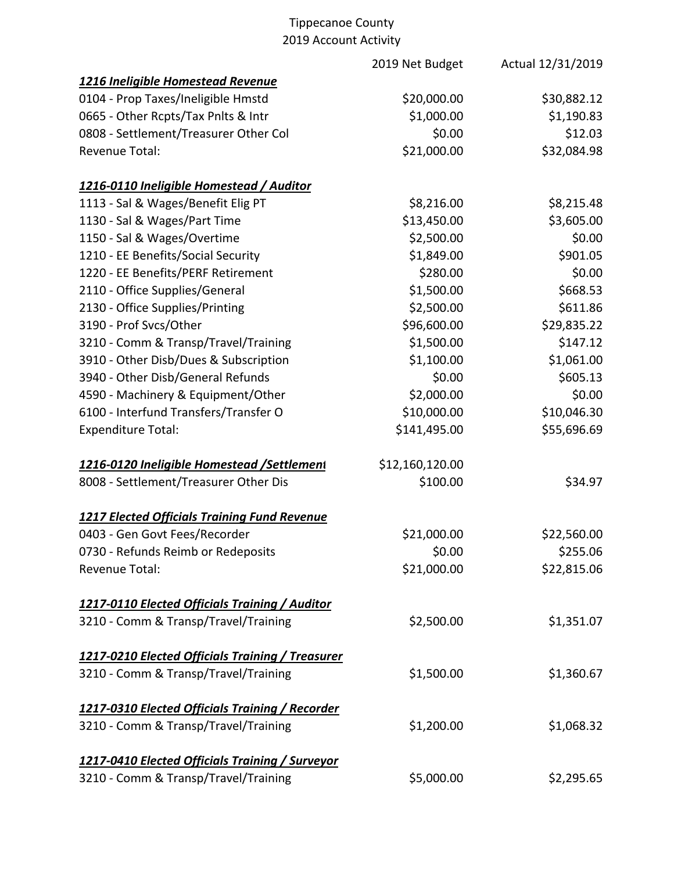|                                                     | 2019 Net Budget | Actual 12/31/2019 |
|-----------------------------------------------------|-----------------|-------------------|
| 1216 Ineligible Homestead Revenue                   |                 |                   |
| 0104 - Prop Taxes/Ineligible Hmstd                  | \$20,000.00     | \$30,882.12       |
| 0665 - Other Rcpts/Tax Pnlts & Intr                 | \$1,000.00      | \$1,190.83        |
| 0808 - Settlement/Treasurer Other Col               | \$0.00          | \$12.03           |
| <b>Revenue Total:</b>                               | \$21,000.00     | \$32,084.98       |
| 1216-0110 Ineligible Homestead / Auditor            |                 |                   |
| 1113 - Sal & Wages/Benefit Elig PT                  | \$8,216.00      | \$8,215.48        |
| 1130 - Sal & Wages/Part Time                        | \$13,450.00     | \$3,605.00        |
| 1150 - Sal & Wages/Overtime                         | \$2,500.00      | \$0.00            |
| 1210 - EE Benefits/Social Security                  | \$1,849.00      | \$901.05          |
| 1220 - EE Benefits/PERF Retirement                  | \$280.00        | \$0.00            |
| 2110 - Office Supplies/General                      | \$1,500.00      | \$668.53          |
| 2130 - Office Supplies/Printing                     | \$2,500.00      | \$611.86          |
| 3190 - Prof Svcs/Other                              | \$96,600.00     | \$29,835.22       |
| 3210 - Comm & Transp/Travel/Training                | \$1,500.00      | \$147.12          |
| 3910 - Other Disb/Dues & Subscription               | \$1,100.00      | \$1,061.00        |
| 3940 - Other Disb/General Refunds                   | \$0.00          | \$605.13          |
| 4590 - Machinery & Equipment/Other                  | \$2,000.00      | \$0.00            |
| 6100 - Interfund Transfers/Transfer O               | \$10,000.00     | \$10,046.30       |
| <b>Expenditure Total:</b>                           | \$141,495.00    | \$55,696.69       |
| 1216-0120 Ineligible Homestead /Settlement          | \$12,160,120.00 |                   |
| 8008 - Settlement/Treasurer Other Dis               | \$100.00        | \$34.97           |
| <b>1217 Elected Officials Training Fund Revenue</b> |                 |                   |
| 0403 - Gen Govt Fees/Recorder                       | \$21,000.00     | \$22,560.00       |
| 0730 - Refunds Reimb or Redeposits                  | \$0.00          | \$255.06          |
| Revenue Total:                                      | \$21,000.00     | \$22,815.06       |
| 1217-0110 Elected Officials Training / Auditor      |                 |                   |
| 3210 - Comm & Transp/Travel/Training                | \$2,500.00      | \$1,351.07        |
| 1217-0210 Elected Officials Training / Treasurer    |                 |                   |
| 3210 - Comm & Transp/Travel/Training                | \$1,500.00      | \$1,360.67        |
| 1217-0310 Elected Officials Training / Recorder     |                 |                   |
| 3210 - Comm & Transp/Travel/Training                | \$1,200.00      | \$1,068.32        |
| 1217-0410 Elected Officials Training / Surveyor     |                 |                   |
| 3210 - Comm & Transp/Travel/Training                | \$5,000.00      | \$2,295.65        |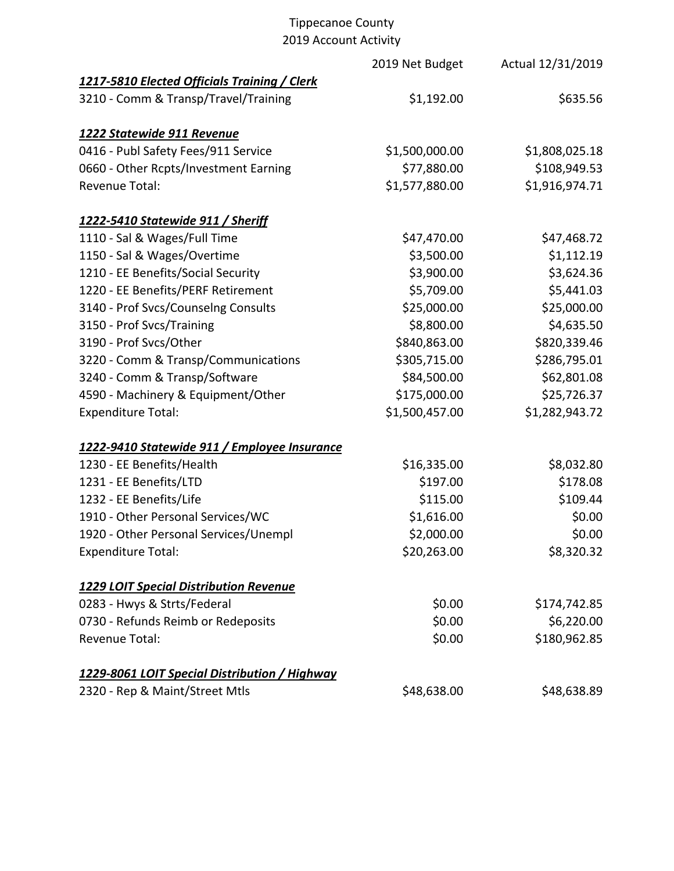|                                               | 2019 Net Budget | Actual 12/31/2019 |
|-----------------------------------------------|-----------------|-------------------|
| 1217-5810 Elected Officials Training / Clerk  |                 |                   |
| 3210 - Comm & Transp/Travel/Training          | \$1,192.00      | \$635.56          |
| 1222 Statewide 911 Revenue                    |                 |                   |
| 0416 - Publ Safety Fees/911 Service           | \$1,500,000.00  | \$1,808,025.18    |
| 0660 - Other Rcpts/Investment Earning         | \$77,880.00     | \$108,949.53      |
| Revenue Total:                                | \$1,577,880.00  | \$1,916,974.71    |
| <u>1222-5410 Statewide 911 / Sheriff</u>      |                 |                   |
| 1110 - Sal & Wages/Full Time                  | \$47,470.00     | \$47,468.72       |
| 1150 - Sal & Wages/Overtime                   | \$3,500.00      | \$1,112.19        |
| 1210 - EE Benefits/Social Security            | \$3,900.00      | \$3,624.36        |
| 1220 - EE Benefits/PERF Retirement            | \$5,709.00      | \$5,441.03        |
| 3140 - Prof Svcs/Counselng Consults           | \$25,000.00     | \$25,000.00       |
| 3150 - Prof Svcs/Training                     | \$8,800.00      | \$4,635.50        |
| 3190 - Prof Svcs/Other                        | \$840,863.00    | \$820,339.46      |
| 3220 - Comm & Transp/Communications           | \$305,715.00    | \$286,795.01      |
| 3240 - Comm & Transp/Software                 | \$84,500.00     | \$62,801.08       |
| 4590 - Machinery & Equipment/Other            | \$175,000.00    | \$25,726.37       |
| <b>Expenditure Total:</b>                     | \$1,500,457.00  | \$1,282,943.72    |
| 1222-9410 Statewide 911 / Employee Insurance  |                 |                   |
| 1230 - EE Benefits/Health                     | \$16,335.00     | \$8,032.80        |
| 1231 - EE Benefits/LTD                        | \$197.00        | \$178.08          |
| 1232 - EE Benefits/Life                       | \$115.00        | \$109.44          |
| 1910 - Other Personal Services/WC             | \$1,616.00      | \$0.00            |
| 1920 - Other Personal Services/Unempl         | \$2,000.00      | \$0.00            |
| <b>Expenditure Total:</b>                     | \$20,263.00     | \$8,320.32        |
| <b>1229 LOIT Special Distribution Revenue</b> |                 |                   |
| 0283 - Hwys & Strts/Federal                   | \$0.00          | \$174,742.85      |
| 0730 - Refunds Reimb or Redeposits            | \$0.00          | \$6,220.00        |
| Revenue Total:                                | \$0.00          | \$180,962.85      |
| 1229-8061 LOIT Special Distribution / Highway |                 |                   |
| 2320 - Rep & Maint/Street Mtls                | \$48,638.00     | \$48,638.89       |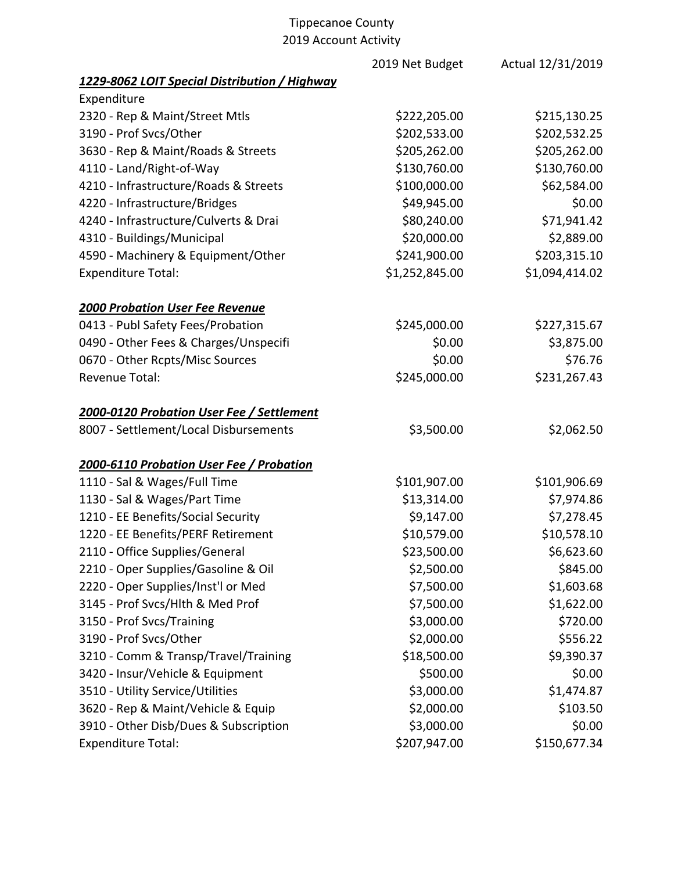|                                               | 2019 Net Budget | Actual 12/31/2019 |
|-----------------------------------------------|-----------------|-------------------|
| 1229-8062 LOIT Special Distribution / Highway |                 |                   |
| Expenditure                                   |                 |                   |
| 2320 - Rep & Maint/Street Mtls                | \$222,205.00    | \$215,130.25      |
| 3190 - Prof Svcs/Other                        | \$202,533.00    | \$202,532.25      |
| 3630 - Rep & Maint/Roads & Streets            | \$205,262.00    | \$205,262.00      |
| 4110 - Land/Right-of-Way                      | \$130,760.00    | \$130,760.00      |
| 4210 - Infrastructure/Roads & Streets         | \$100,000.00    | \$62,584.00       |
| 4220 - Infrastructure/Bridges                 | \$49,945.00     | \$0.00            |
| 4240 - Infrastructure/Culverts & Drai         | \$80,240.00     | \$71,941.42       |
| 4310 - Buildings/Municipal                    | \$20,000.00     | \$2,889.00        |
| 4590 - Machinery & Equipment/Other            | \$241,900.00    | \$203,315.10      |
| <b>Expenditure Total:</b>                     | \$1,252,845.00  | \$1,094,414.02    |
| <b>2000 Probation User Fee Revenue</b>        |                 |                   |
| 0413 - Publ Safety Fees/Probation             | \$245,000.00    | \$227,315.67      |
| 0490 - Other Fees & Charges/Unspecifi         | \$0.00          | \$3,875.00        |
| 0670 - Other Rcpts/Misc Sources               | \$0.00          | \$76.76           |
| <b>Revenue Total:</b>                         | \$245,000.00    | \$231,267.43      |
| 2000-0120 Probation User Fee / Settlement     |                 |                   |
| 8007 - Settlement/Local Disbursements         | \$3,500.00      | \$2,062.50        |
| 2000-6110 Probation User Fee / Probation      |                 |                   |
| 1110 - Sal & Wages/Full Time                  | \$101,907.00    | \$101,906.69      |
| 1130 - Sal & Wages/Part Time                  | \$13,314.00     | \$7,974.86        |
| 1210 - EE Benefits/Social Security            | \$9,147.00      | \$7,278.45        |
| 1220 - EE Benefits/PERF Retirement            | \$10,579.00     | \$10,578.10       |
| 2110 - Office Supplies/General                | \$23,500.00     | \$6,623.60        |
| 2210 - Oper Supplies/Gasoline & Oil           | \$2,500.00      | \$845.00          |
| 2220 - Oper Supplies/Inst'l or Med            | \$7,500.00      | \$1,603.68        |
| 3145 - Prof Svcs/Hlth & Med Prof              | \$7,500.00      | \$1,622.00        |
| 3150 - Prof Svcs/Training                     | \$3,000.00      | \$720.00          |
| 3190 - Prof Svcs/Other                        | \$2,000.00      | \$556.22          |
| 3210 - Comm & Transp/Travel/Training          | \$18,500.00     | \$9,390.37        |
| 3420 - Insur/Vehicle & Equipment              | \$500.00        | \$0.00            |
| 3510 - Utility Service/Utilities              | \$3,000.00      | \$1,474.87        |
| 3620 - Rep & Maint/Vehicle & Equip            | \$2,000.00      | \$103.50          |
| 3910 - Other Disb/Dues & Subscription         | \$3,000.00      | \$0.00            |
| <b>Expenditure Total:</b>                     | \$207,947.00    | \$150,677.34      |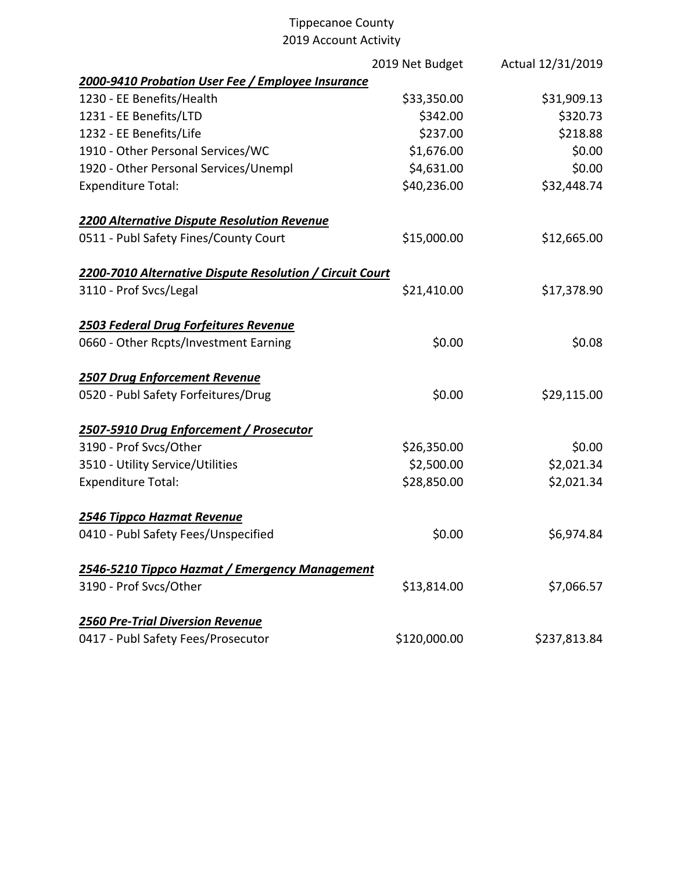|                                                          | 2019 Net Budget | Actual 12/31/2019 |
|----------------------------------------------------------|-----------------|-------------------|
| 2000-9410 Probation User Fee / Employee Insurance        |                 |                   |
| 1230 - EE Benefits/Health                                | \$33,350.00     | \$31,909.13       |
| 1231 - EE Benefits/LTD                                   | \$342.00        | \$320.73          |
| 1232 - EE Benefits/Life                                  | \$237.00        | \$218.88          |
| 1910 - Other Personal Services/WC                        | \$1,676.00      | \$0.00            |
| 1920 - Other Personal Services/Unempl                    | \$4,631.00      | \$0.00            |
| <b>Expenditure Total:</b>                                | \$40,236.00     | \$32,448.74       |
| 2200 Alternative Dispute Resolution Revenue              |                 |                   |
| 0511 - Publ Safety Fines/County Court                    | \$15,000.00     | \$12,665.00       |
| 2200-7010 Alternative Dispute Resolution / Circuit Court |                 |                   |
| 3110 - Prof Svcs/Legal                                   | \$21,410.00     | \$17,378.90       |
| 2503 Federal Drug Forfeitures Revenue                    |                 |                   |
| 0660 - Other Rcpts/Investment Earning                    | \$0.00          | \$0.08            |
| <b>2507 Drug Enforcement Revenue</b>                     |                 |                   |
| 0520 - Publ Safety Forfeitures/Drug                      | \$0.00          | \$29,115.00       |
| 2507-5910 Drug Enforcement / Prosecutor                  |                 |                   |
| 3190 - Prof Svcs/Other                                   | \$26,350.00     | \$0.00            |
| 3510 - Utility Service/Utilities                         | \$2,500.00      | \$2,021.34        |
| <b>Expenditure Total:</b>                                | \$28,850.00     | \$2,021.34        |
| 2546 Tippco Hazmat Revenue                               |                 |                   |
| 0410 - Publ Safety Fees/Unspecified                      | \$0.00          | \$6,974.84        |
| 2546-5210 Tippco Hazmat / Emergency Management           |                 |                   |
| 3190 - Prof Svcs/Other                                   | \$13,814.00     | \$7,066.57        |
| <b>2560 Pre-Trial Diversion Revenue</b>                  |                 |                   |
| 0417 - Publ Safety Fees/Prosecutor                       | \$120,000.00    | \$237,813.84      |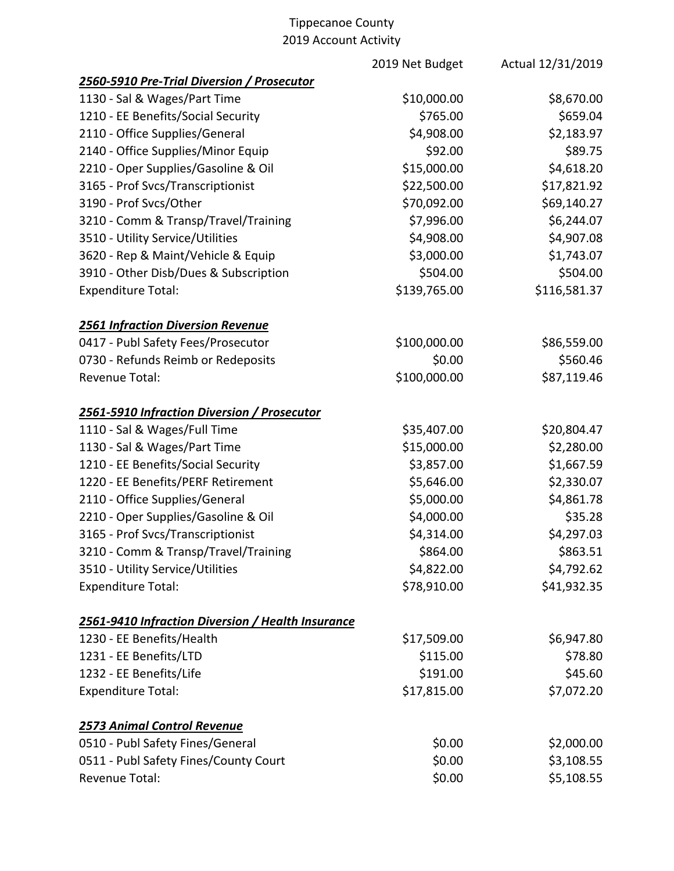|                                                   | 2019 Net Budget | Actual 12/31/2019 |
|---------------------------------------------------|-----------------|-------------------|
| 2560-5910 Pre-Trial Diversion / Prosecutor        |                 |                   |
| 1130 - Sal & Wages/Part Time                      | \$10,000.00     | \$8,670.00        |
| 1210 - EE Benefits/Social Security                | \$765.00        | \$659.04          |
| 2110 - Office Supplies/General                    | \$4,908.00      | \$2,183.97        |
| 2140 - Office Supplies/Minor Equip                | \$92.00         | \$89.75           |
| 2210 - Oper Supplies/Gasoline & Oil               | \$15,000.00     | \$4,618.20        |
| 3165 - Prof Svcs/Transcriptionist                 | \$22,500.00     | \$17,821.92       |
| 3190 - Prof Svcs/Other                            | \$70,092.00     | \$69,140.27       |
| 3210 - Comm & Transp/Travel/Training              | \$7,996.00      | \$6,244.07        |
| 3510 - Utility Service/Utilities                  | \$4,908.00      | \$4,907.08        |
| 3620 - Rep & Maint/Vehicle & Equip                | \$3,000.00      | \$1,743.07        |
| 3910 - Other Disb/Dues & Subscription             | \$504.00        | \$504.00          |
| <b>Expenditure Total:</b>                         | \$139,765.00    | \$116,581.37      |
| <b>2561 Infraction Diversion Revenue</b>          |                 |                   |
| 0417 - Publ Safety Fees/Prosecutor                | \$100,000.00    | \$86,559.00       |
| 0730 - Refunds Reimb or Redeposits                | \$0.00          | \$560.46          |
| <b>Revenue Total:</b>                             | \$100,000.00    | \$87,119.46       |
| 2561-5910 Infraction Diversion / Prosecutor       |                 |                   |
| 1110 - Sal & Wages/Full Time                      | \$35,407.00     | \$20,804.47       |
| 1130 - Sal & Wages/Part Time                      | \$15,000.00     | \$2,280.00        |
| 1210 - EE Benefits/Social Security                | \$3,857.00      | \$1,667.59        |
| 1220 - EE Benefits/PERF Retirement                | \$5,646.00      | \$2,330.07        |
| 2110 - Office Supplies/General                    | \$5,000.00      | \$4,861.78        |
| 2210 - Oper Supplies/Gasoline & Oil               | \$4,000.00      | \$35.28           |
| 3165 - Prof Svcs/Transcriptionist                 | \$4,314.00      | \$4,297.03        |
| 3210 - Comm & Transp/Travel/Training              | \$864.00        | \$863.51          |
| 3510 - Utility Service/Utilities                  | \$4,822.00      | \$4,792.62        |
| <b>Expenditure Total:</b>                         | \$78,910.00     | \$41,932.35       |
| 2561-9410 Infraction Diversion / Health Insurance |                 |                   |
| 1230 - EE Benefits/Health                         | \$17,509.00     | \$6,947.80        |
| 1231 - EE Benefits/LTD                            | \$115.00        | \$78.80           |
| 1232 - EE Benefits/Life                           | \$191.00        | \$45.60           |
| <b>Expenditure Total:</b>                         | \$17,815.00     | \$7,072.20        |
| <b>2573 Animal Control Revenue</b>                |                 |                   |
| 0510 - Publ Safety Fines/General                  | \$0.00          | \$2,000.00        |
| 0511 - Publ Safety Fines/County Court             | \$0.00          | \$3,108.55        |
| Revenue Total:                                    | \$0.00          | \$5,108.55        |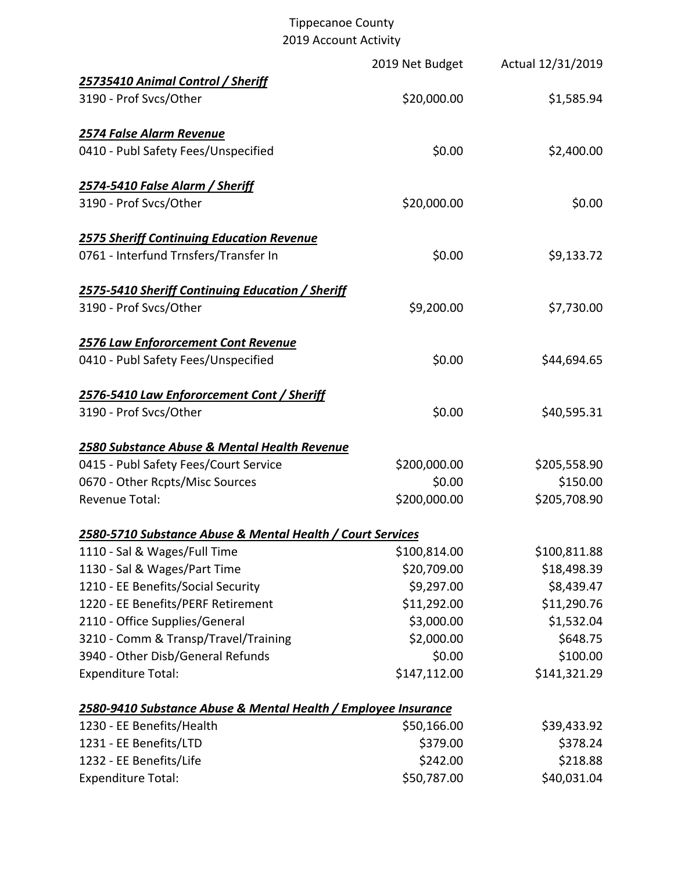|                                                                | 2019 Net Budget | Actual 12/31/2019 |
|----------------------------------------------------------------|-----------------|-------------------|
| 25735410 Animal Control / Sheriff                              |                 |                   |
| 3190 - Prof Svcs/Other                                         | \$20,000.00     | \$1,585.94        |
| 2574 False Alarm Revenue                                       |                 |                   |
| 0410 - Publ Safety Fees/Unspecified                            | \$0.00          | \$2,400.00        |
| 2574-5410 False Alarm / Sheriff                                |                 |                   |
| 3190 - Prof Svcs/Other                                         | \$20,000.00     | \$0.00            |
| <b>2575 Sheriff Continuing Education Revenue</b>               |                 |                   |
| 0761 - Interfund Trnsfers/Transfer In                          | \$0.00          | \$9,133.72        |
| 2575-5410 Sheriff Continuing Education / Sheriff               |                 |                   |
| 3190 - Prof Svcs/Other                                         | \$9,200.00      | \$7,730.00        |
| 2576 Law Enfororcement Cont Revenue                            |                 |                   |
| 0410 - Publ Safety Fees/Unspecified                            | \$0.00          | \$44,694.65       |
| 2576-5410 Law Enfororcement Cont / Sheriff                     |                 |                   |
| 3190 - Prof Svcs/Other                                         | \$0.00          | \$40,595.31       |
| 2580 Substance Abuse & Mental Health Revenue                   |                 |                   |
| 0415 - Publ Safety Fees/Court Service                          | \$200,000.00    | \$205,558.90      |
| 0670 - Other Rcpts/Misc Sources                                | \$0.00          | \$150.00          |
| <b>Revenue Total:</b>                                          | \$200,000.00    | \$205,708.90      |
| 2580-5710 Substance Abuse & Mental Health / Court Services     |                 |                   |
| 1110 - Sal & Wages/Full Time                                   | \$100,814.00    | \$100,811.88      |
| 1130 - Sal & Wages/Part Time                                   | \$20,709.00     | \$18,498.39       |
| 1210 - EE Benefits/Social Security                             | \$9,297.00      | \$8,439.47        |
| 1220 - EE Benefits/PERF Retirement                             | \$11,292.00     | \$11,290.76       |
| 2110 - Office Supplies/General                                 | \$3,000.00      | \$1,532.04        |
| 3210 - Comm & Transp/Travel/Training                           | \$2,000.00      | \$648.75          |
| 3940 - Other Disb/General Refunds                              | \$0.00          | \$100.00          |
| <b>Expenditure Total:</b>                                      | \$147,112.00    | \$141,321.29      |
| 2580-9410 Substance Abuse & Mental Health / Employee Insurance |                 |                   |
| 1230 - EE Benefits/Health                                      | \$50,166.00     | \$39,433.92       |
| 1231 - EE Benefits/LTD                                         | \$379.00        | \$378.24          |
| 1232 - EE Benefits/Life                                        | \$242.00        | \$218.88          |
| <b>Expenditure Total:</b>                                      | \$50,787.00     | \$40,031.04       |
|                                                                |                 |                   |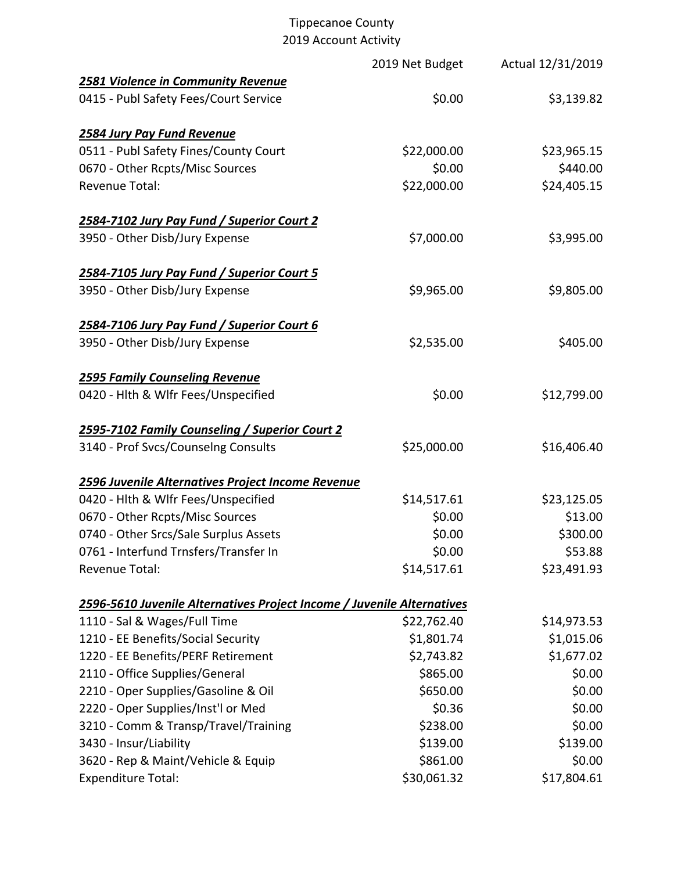|                                                                        | 2019 Net Budget | Actual 12/31/2019 |
|------------------------------------------------------------------------|-----------------|-------------------|
| <b>2581 Violence in Community Revenue</b>                              |                 |                   |
| 0415 - Publ Safety Fees/Court Service                                  | \$0.00          | \$3,139.82        |
| 2584 Jury Pay Fund Revenue                                             |                 |                   |
| 0511 - Publ Safety Fines/County Court                                  | \$22,000.00     | \$23,965.15       |
| 0670 - Other Rcpts/Misc Sources                                        | \$0.00          | \$440.00          |
| <b>Revenue Total:</b>                                                  | \$22,000.00     | \$24,405.15       |
| 2584-7102 Jury Pay Fund / Superior Court 2                             |                 |                   |
| 3950 - Other Disb/Jury Expense                                         | \$7,000.00      | \$3,995.00        |
| 2584-7105 Jury Pay Fund / Superior Court 5                             |                 |                   |
| 3950 - Other Disb/Jury Expense                                         | \$9,965.00      | \$9,805.00        |
| 2584-7106 Jury Pay Fund / Superior Court 6                             |                 |                   |
| 3950 - Other Disb/Jury Expense                                         | \$2,535.00      | \$405.00          |
| <b>2595 Family Counseling Revenue</b>                                  |                 |                   |
| 0420 - Hlth & Wlfr Fees/Unspecified                                    | \$0.00          | \$12,799.00       |
| 2595-7102 Family Counseling / Superior Court 2                         |                 |                   |
| 3140 - Prof Svcs/Counselng Consults                                    | \$25,000.00     | \$16,406.40       |
| 2596 Juvenile Alternatives Project Income Revenue                      |                 |                   |
| 0420 - Hlth & Wlfr Fees/Unspecified                                    | \$14,517.61     | \$23,125.05       |
| 0670 - Other Rcpts/Misc Sources                                        | \$0.00          | \$13.00           |
| 0740 - Other Srcs/Sale Surplus Assets                                  | \$0.00          | \$300.00          |
| 0761 - Interfund Trnsfers/Transfer In                                  | \$0.00          | \$53.88           |
| Revenue Total:                                                         | \$14,517.61     | \$23,491.93       |
| 2596-5610 Juvenile Alternatives Project Income / Juvenile Alternatives |                 |                   |
| 1110 - Sal & Wages/Full Time                                           | \$22,762.40     | \$14,973.53       |
| 1210 - EE Benefits/Social Security                                     | \$1,801.74      | \$1,015.06        |
| 1220 - EE Benefits/PERF Retirement                                     | \$2,743.82      | \$1,677.02        |
| 2110 - Office Supplies/General                                         | \$865.00        | \$0.00            |
| 2210 - Oper Supplies/Gasoline & Oil                                    | \$650.00        | \$0.00            |
| 2220 - Oper Supplies/Inst'l or Med                                     | \$0.36          | \$0.00            |
| 3210 - Comm & Transp/Travel/Training                                   | \$238.00        | \$0.00            |
| 3430 - Insur/Liability                                                 | \$139.00        | \$139.00          |
| 3620 - Rep & Maint/Vehicle & Equip                                     | \$861.00        | \$0.00            |
| <b>Expenditure Total:</b>                                              | \$30,061.32     | \$17,804.61       |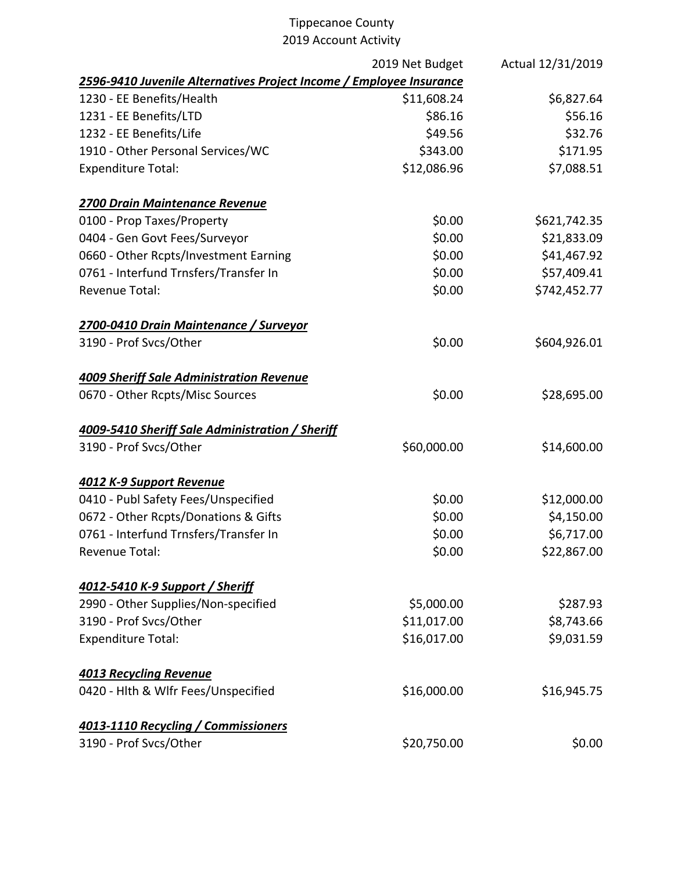|                                                                     | 2019 Net Budget | Actual 12/31/2019 |
|---------------------------------------------------------------------|-----------------|-------------------|
| 2596-9410 Juvenile Alternatives Project Income / Employee Insurance |                 |                   |
| 1230 - EE Benefits/Health                                           | \$11,608.24     | \$6,827.64        |
| 1231 - EE Benefits/LTD                                              | \$86.16         | \$56.16           |
| 1232 - EE Benefits/Life                                             | \$49.56         | \$32.76           |
| 1910 - Other Personal Services/WC                                   | \$343.00        | \$171.95          |
| <b>Expenditure Total:</b>                                           | \$12,086.96     | \$7,088.51        |
| 2700 Drain Maintenance Revenue                                      |                 |                   |
| 0100 - Prop Taxes/Property                                          | \$0.00          | \$621,742.35      |
| 0404 - Gen Govt Fees/Surveyor                                       | \$0.00          | \$21,833.09       |
| 0660 - Other Rcpts/Investment Earning                               | \$0.00          | \$41,467.92       |
| 0761 - Interfund Trnsfers/Transfer In                               | \$0.00          | \$57,409.41       |
| <b>Revenue Total:</b>                                               | \$0.00          | \$742,452.77      |
| 2700-0410 Drain Maintenance / Surveyor                              |                 |                   |
| 3190 - Prof Svcs/Other                                              | \$0.00          | \$604,926.01      |
| <b>4009 Sheriff Sale Administration Revenue</b>                     |                 |                   |
| 0670 - Other Rcpts/Misc Sources                                     | \$0.00          | \$28,695.00       |
| 4009-5410 Sheriff Sale Administration / Sheriff                     |                 |                   |
| 3190 - Prof Svcs/Other                                              | \$60,000.00     | \$14,600.00       |
| 4012 K-9 Support Revenue                                            |                 |                   |
| 0410 - Publ Safety Fees/Unspecified                                 | \$0.00          | \$12,000.00       |
| 0672 - Other Rcpts/Donations & Gifts                                | \$0.00          | \$4,150.00        |
| 0761 - Interfund Trnsfers/Transfer In                               | \$0.00          | \$6,717.00        |
| Revenue Total:                                                      | \$0.00          | \$22,867.00       |
| 4012-5410 K-9 Support / Sheriff                                     |                 |                   |
| 2990 - Other Supplies/Non-specified                                 | \$5,000.00      | \$287.93          |
| 3190 - Prof Svcs/Other                                              | \$11,017.00     | \$8,743.66        |
| <b>Expenditure Total:</b>                                           | \$16,017.00     | \$9,031.59        |
| <b>4013 Recycling Revenue</b>                                       |                 |                   |
| 0420 - Hlth & Wlfr Fees/Unspecified                                 | \$16,000.00     | \$16,945.75       |
| 4013-1110 Recycling / Commissioners                                 |                 |                   |
| 3190 - Prof Svcs/Other                                              | \$20,750.00     | \$0.00            |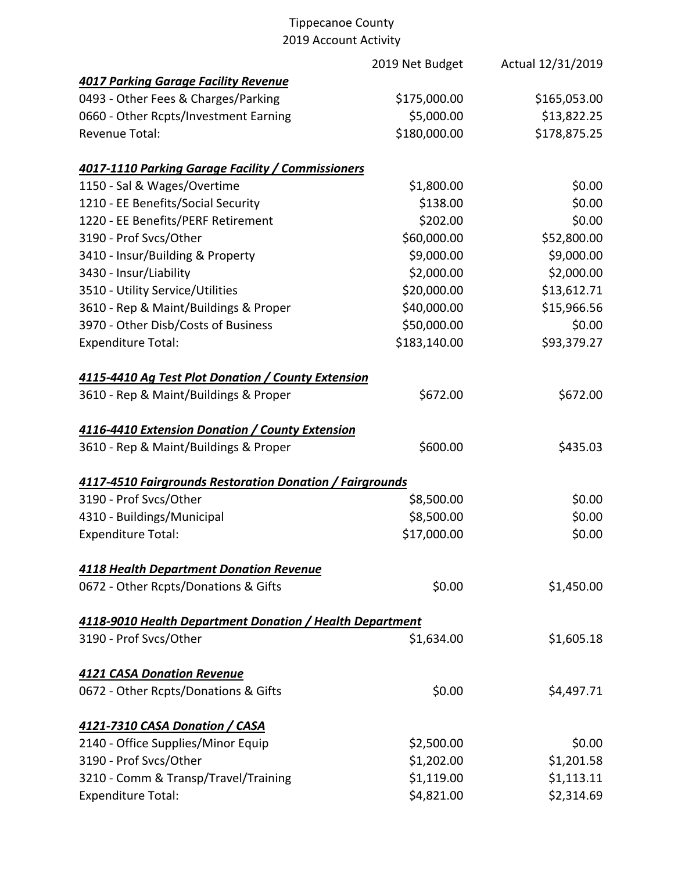| 2019 Net Budget                                                 | Actual 12/31/2019                                                                                                                                                               |
|-----------------------------------------------------------------|---------------------------------------------------------------------------------------------------------------------------------------------------------------------------------|
|                                                                 |                                                                                                                                                                                 |
| \$175,000.00                                                    | \$165,053.00                                                                                                                                                                    |
| \$5,000.00                                                      | \$13,822.25                                                                                                                                                                     |
| \$180,000.00                                                    | \$178,875.25                                                                                                                                                                    |
| <u>4017-1110 Parking Garage Facility / Commissioners</u>        |                                                                                                                                                                                 |
| \$1,800.00                                                      | \$0.00                                                                                                                                                                          |
| \$138.00                                                        | \$0.00                                                                                                                                                                          |
| \$202.00                                                        | \$0.00                                                                                                                                                                          |
| \$60,000.00                                                     | \$52,800.00                                                                                                                                                                     |
| \$9,000.00                                                      | \$9,000.00                                                                                                                                                                      |
| \$2,000.00                                                      | \$2,000.00                                                                                                                                                                      |
| \$20,000.00                                                     | \$13,612.71                                                                                                                                                                     |
| \$40,000.00                                                     | \$15,966.56                                                                                                                                                                     |
| \$50,000.00                                                     | \$0.00                                                                                                                                                                          |
| \$183,140.00                                                    | \$93,379.27                                                                                                                                                                     |
|                                                                 |                                                                                                                                                                                 |
| \$672.00                                                        | \$672.00                                                                                                                                                                        |
|                                                                 |                                                                                                                                                                                 |
| \$600.00                                                        | \$435.03                                                                                                                                                                        |
|                                                                 |                                                                                                                                                                                 |
| \$8,500.00                                                      | \$0.00                                                                                                                                                                          |
|                                                                 | \$0.00                                                                                                                                                                          |
| \$17,000.00                                                     | \$0.00                                                                                                                                                                          |
|                                                                 |                                                                                                                                                                                 |
| \$0.00                                                          | \$1,450.00                                                                                                                                                                      |
| <u>4118-9010 Health Department Donation / Health Department</u> |                                                                                                                                                                                 |
| \$1,634.00                                                      | \$1,605.18                                                                                                                                                                      |
|                                                                 |                                                                                                                                                                                 |
| \$0.00                                                          | \$4,497.71                                                                                                                                                                      |
|                                                                 |                                                                                                                                                                                 |
| \$2,500.00                                                      | \$0.00                                                                                                                                                                          |
| \$1,202.00                                                      | \$1,201.58                                                                                                                                                                      |
| \$1,119.00                                                      | \$1,113.11                                                                                                                                                                      |
| \$4,821.00                                                      | \$2,314.69                                                                                                                                                                      |
|                                                                 | 4115-4410 Ag Test Plot Donation / County Extension<br>4116-4410 Extension Donation / County Extension<br>4117-4510 Fairgrounds Restoration Donation / Fairgrounds<br>\$8,500.00 |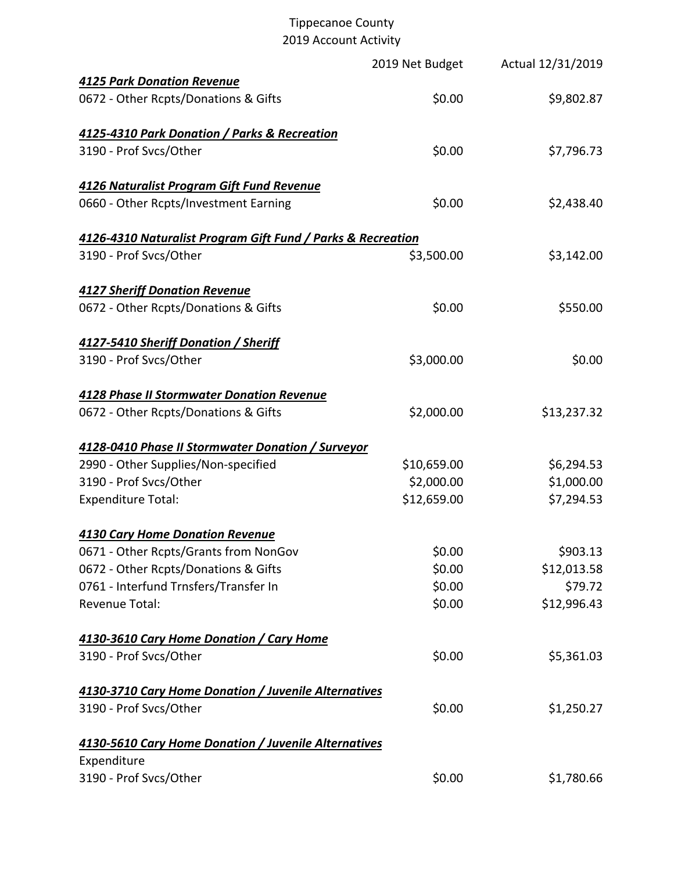# Tippecanoe County

2019 Account Activity

|                                                             | 2019 Net Budget | Actual 12/31/2019 |
|-------------------------------------------------------------|-----------------|-------------------|
| <b>4125 Park Donation Revenue</b>                           |                 |                   |
| 0672 - Other Rcpts/Donations & Gifts                        | \$0.00          | \$9,802.87        |
| 4125-4310 Park Donation / Parks & Recreation                |                 |                   |
| 3190 - Prof Svcs/Other                                      | \$0.00          | \$7,796.73        |
| 4126 Naturalist Program Gift Fund Revenue                   |                 |                   |
| 0660 - Other Rcpts/Investment Earning                       | \$0.00          | \$2,438.40        |
| 4126-4310 Naturalist Program Gift Fund / Parks & Recreation |                 |                   |
| 3190 - Prof Svcs/Other                                      | \$3,500.00      | \$3,142.00        |
| <b>4127 Sheriff Donation Revenue</b>                        |                 |                   |
| 0672 - Other Rcpts/Donations & Gifts                        | \$0.00          | \$550.00          |
| 4127-5410 Sheriff Donation / Sheriff                        |                 |                   |
| 3190 - Prof Svcs/Other                                      | \$3,000.00      | \$0.00            |
| 4128 Phase II Stormwater Donation Revenue                   |                 |                   |
| 0672 - Other Rcpts/Donations & Gifts                        | \$2,000.00      | \$13,237.32       |
| 4128-0410 Phase II Stormwater Donation / Surveyor           |                 |                   |
| 2990 - Other Supplies/Non-specified                         | \$10,659.00     | \$6,294.53        |
| 3190 - Prof Svcs/Other                                      | \$2,000.00      | \$1,000.00        |
| <b>Expenditure Total:</b>                                   | \$12,659.00     | \$7,294.53        |
| <b>4130 Cary Home Donation Revenue</b>                      |                 |                   |
| 0671 - Other Rcpts/Grants from NonGov                       | \$0.00          | \$903.13          |
| 0672 - Other Rcpts/Donations & Gifts                        | \$0.00          | \$12,013.58       |
| 0761 - Interfund Trnsfers/Transfer In                       | \$0.00          | \$79.72           |
| <b>Revenue Total:</b>                                       | \$0.00          | \$12,996.43       |
| 4130-3610 Cary Home Donation / Cary Home                    |                 |                   |
| 3190 - Prof Svcs/Other                                      | \$0.00          | \$5,361.03        |
| 4130-3710 Cary Home Donation / Juvenile Alternatives        |                 |                   |
| 3190 - Prof Svcs/Other                                      | \$0.00          | \$1,250.27        |
| 4130-5610 Cary Home Donation / Juvenile Alternatives        |                 |                   |
| Expenditure                                                 |                 |                   |
| 3190 - Prof Svcs/Other                                      | \$0.00          | \$1,780.66        |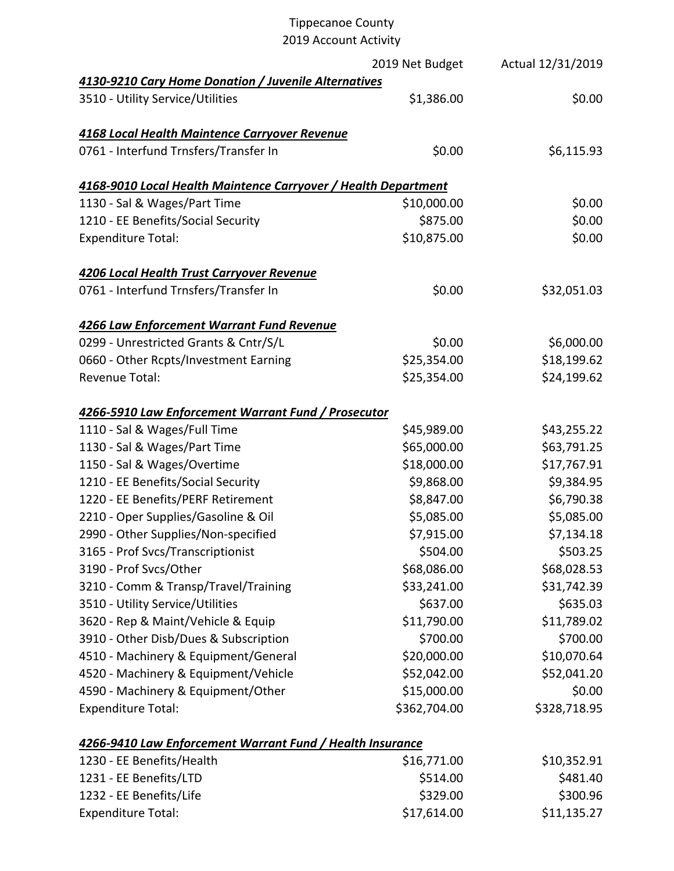|                                                                | 2019 Net Budget | Actual 12/31/2019 |
|----------------------------------------------------------------|-----------------|-------------------|
| 4130-9210 Cary Home Donation / Juvenile Alternatives           |                 |                   |
| 3510 - Utility Service/Utilities                               | \$1,386.00      | \$0.00            |
| 4168 Local Health Maintence Carryover Revenue                  |                 |                   |
| 0761 - Interfund Trnsfers/Transfer In                          | \$0.00          | \$6,115.93        |
| 4168-9010 Local Health Maintence Carryover / Health Department |                 |                   |
| 1130 - Sal & Wages/Part Time                                   | \$10,000.00     | \$0.00            |
| 1210 - EE Benefits/Social Security                             | \$875.00        | \$0.00            |
| <b>Expenditure Total:</b>                                      | \$10,875.00     | \$0.00            |
| 4206 Local Health Trust Carryover Revenue                      |                 |                   |
| 0761 - Interfund Trnsfers/Transfer In                          | \$0.00          | \$32,051.03       |
| 4266 Law Enforcement Warrant Fund Revenue                      |                 |                   |
| 0299 - Unrestricted Grants & Cntr/S/L                          | \$0.00          | \$6,000.00        |
| 0660 - Other Rcpts/Investment Earning                          | \$25,354.00     | \$18,199.62       |
| <b>Revenue Total:</b>                                          | \$25,354.00     | \$24,199.62       |
| 4266-5910 Law Enforcement Warrant Fund / Prosecutor            |                 |                   |
| 1110 - Sal & Wages/Full Time                                   | \$45,989.00     | \$43,255.22       |
| 1130 - Sal & Wages/Part Time                                   | \$65,000.00     | \$63,791.25       |
| 1150 - Sal & Wages/Overtime                                    | \$18,000.00     | \$17,767.91       |
| 1210 - EE Benefits/Social Security                             | \$9,868.00      | \$9,384.95        |
| 1220 - EE Benefits/PERF Retirement                             | \$8,847.00      | \$6,790.38        |
| 2210 - Oper Supplies/Gasoline & Oil                            | \$5,085.00      | \$5,085.00        |
| 2990 - Other Supplies/Non-specified                            | \$7,915.00      | \$7,134.18        |
| 3165 - Prof Svcs/Transcriptionist                              | \$504.00        | \$503.25          |
| 3190 - Prof Svcs/Other                                         | \$68,086.00     | \$68,028.53       |
| 3210 - Comm & Transp/Travel/Training                           | \$33,241.00     | \$31,742.39       |
| 3510 - Utility Service/Utilities                               | \$637.00        | \$635.03          |
| 3620 - Rep & Maint/Vehicle & Equip                             | \$11,790.00     | \$11,789.02       |
| 3910 - Other Disb/Dues & Subscription                          | \$700.00        | \$700.00          |
| 4510 - Machinery & Equipment/General                           | \$20,000.00     | \$10,070.64       |
| 4520 - Machinery & Equipment/Vehicle                           | \$52,042.00     | \$52,041.20       |
| 4590 - Machinery & Equipment/Other                             | \$15,000.00     | \$0.00            |
| <b>Expenditure Total:</b>                                      | \$362,704.00    | \$328,718.95      |
| 4266-9410 Law Enforcement Warrant Fund / Health Insurance      |                 |                   |
| 1230 - EE Benefits/Health                                      | \$16,771.00     | \$10,352.91       |
| 1231 - EE Benefits/LTD                                         | \$514.00        | \$481.40          |
| 1232 - EE Benefits/Life                                        | \$329.00        | \$300.96          |

Expenditure Total:  $$17,614.00$   $$11,135.27$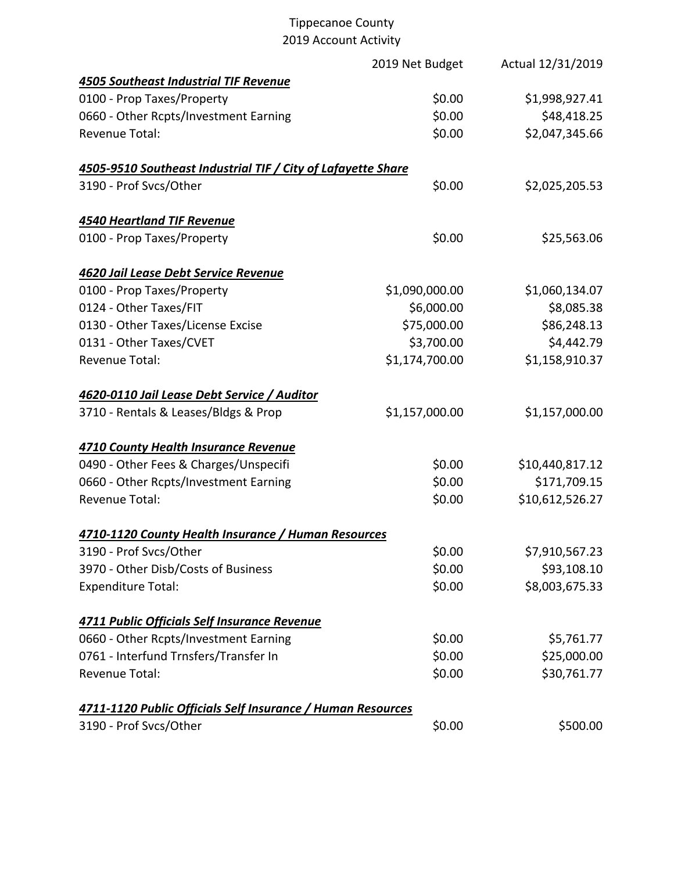|                                                              | 2019 Net Budget | Actual 12/31/2019 |
|--------------------------------------------------------------|-----------------|-------------------|
| <b>4505 Southeast Industrial TIF Revenue</b>                 |                 |                   |
| 0100 - Prop Taxes/Property                                   | \$0.00          | \$1,998,927.41    |
| 0660 - Other Rcpts/Investment Earning                        | \$0.00          | \$48,418.25       |
| <b>Revenue Total:</b>                                        | \$0.00          | \$2,047,345.66    |
| 4505-9510 Southeast Industrial TIF / City of Lafayette Share |                 |                   |
| 3190 - Prof Svcs/Other                                       | \$0.00          | \$2,025,205.53    |
| <b>4540 Heartland TIF Revenue</b>                            |                 |                   |
| 0100 - Prop Taxes/Property                                   | \$0.00          | \$25,563.06       |
| 4620 Jail Lease Debt Service Revenue                         |                 |                   |
| 0100 - Prop Taxes/Property                                   | \$1,090,000.00  | \$1,060,134.07    |
| 0124 - Other Taxes/FIT                                       | \$6,000.00      | \$8,085.38        |
| 0130 - Other Taxes/License Excise                            | \$75,000.00     | \$86,248.13       |
| 0131 - Other Taxes/CVET                                      | \$3,700.00      | \$4,442.79        |
| <b>Revenue Total:</b>                                        | \$1,174,700.00  | \$1,158,910.37    |
| 4620-0110 Jail Lease Debt Service / Auditor                  |                 |                   |
| 3710 - Rentals & Leases/Bldgs & Prop                         | \$1,157,000.00  | \$1,157,000.00    |
| 4710 County Health Insurance Revenue                         |                 |                   |
| 0490 - Other Fees & Charges/Unspecifi                        | \$0.00          | \$10,440,817.12   |
| 0660 - Other Rcpts/Investment Earning                        | \$0.00          | \$171,709.15      |
| <b>Revenue Total:</b>                                        | \$0.00          | \$10,612,526.27   |
| 4710-1120 County Health Insurance / Human Resources          |                 |                   |
| 3190 - Prof Svcs/Other                                       | \$0.00          | \$7,910,567.23    |
| 3970 - Other Disb/Costs of Business                          | \$0.00          | \$93,108.10       |
| <b>Expenditure Total:</b>                                    | \$0.00          | \$8,003,675.33    |
| 4711 Public Officials Self Insurance Revenue                 |                 |                   |
| 0660 - Other Rcpts/Investment Earning                        | \$0.00          | \$5,761.77        |
| 0761 - Interfund Trnsfers/Transfer In                        | \$0.00          | \$25,000.00       |
| <b>Revenue Total:</b>                                        | \$0.00          | \$30,761.77       |
| 4711-1120 Public Officials Self Insurance / Human Resources  |                 |                   |
| 3190 - Prof Svcs/Other                                       | \$0.00          | \$500.00          |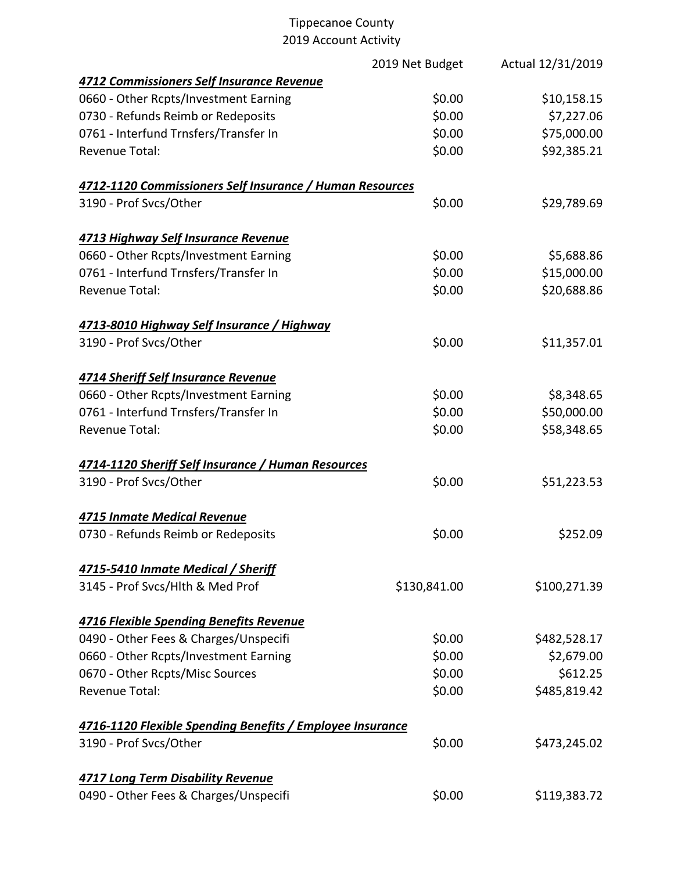|                                                           | 2019 Net Budget | Actual 12/31/2019 |
|-----------------------------------------------------------|-----------------|-------------------|
| 4712 Commissioners Self Insurance Revenue                 |                 |                   |
| 0660 - Other Rcpts/Investment Earning                     | \$0.00          | \$10,158.15       |
| 0730 - Refunds Reimb or Redeposits                        | \$0.00          | \$7,227.06        |
| 0761 - Interfund Trnsfers/Transfer In                     | \$0.00          | \$75,000.00       |
| <b>Revenue Total:</b>                                     | \$0.00          | \$92,385.21       |
| 4712-1120 Commissioners Self Insurance / Human Resources  |                 |                   |
| 3190 - Prof Svcs/Other                                    | \$0.00          | \$29,789.69       |
| 4713 Highway Self Insurance Revenue                       |                 |                   |
| 0660 - Other Rcpts/Investment Earning                     | \$0.00          | \$5,688.86        |
| 0761 - Interfund Trnsfers/Transfer In                     | \$0.00          | \$15,000.00       |
| <b>Revenue Total:</b>                                     | \$0.00          | \$20,688.86       |
| 4713-8010 Highway Self Insurance / Highway                |                 |                   |
| 3190 - Prof Svcs/Other                                    | \$0.00          | \$11,357.01       |
| <b>4714 Sheriff Self Insurance Revenue</b>                |                 |                   |
| 0660 - Other Rcpts/Investment Earning                     | \$0.00          | \$8,348.65        |
| 0761 - Interfund Trnsfers/Transfer In                     | \$0.00          | \$50,000.00       |
| <b>Revenue Total:</b>                                     | \$0.00          | \$58,348.65       |
| 4714-1120 Sheriff Self Insurance / Human Resources        |                 |                   |
| 3190 - Prof Svcs/Other                                    | \$0.00          | \$51,223.53       |
| 4715 Inmate Medical Revenue                               |                 |                   |
| 0730 - Refunds Reimb or Redeposits                        | \$0.00          | \$252.09          |
| 4715-5410 Inmate Medical / Sheriff                        |                 |                   |
| 3145 - Prof Svcs/Hlth & Med Prof                          | \$130,841.00    | \$100,271.39      |
| 4716 Flexible Spending Benefits Revenue                   |                 |                   |
| 0490 - Other Fees & Charges/Unspecifi                     | \$0.00          | \$482,528.17      |
| 0660 - Other Rcpts/Investment Earning                     | \$0.00          | \$2,679.00        |
| 0670 - Other Rcpts/Misc Sources                           | \$0.00          | \$612.25          |
| <b>Revenue Total:</b>                                     | \$0.00          | \$485,819.42      |
| 4716-1120 Flexible Spending Benefits / Employee Insurance |                 |                   |
| 3190 - Prof Svcs/Other                                    | \$0.00          | \$473,245.02      |
| <b>4717 Long Term Disability Revenue</b>                  |                 |                   |
| 0490 - Other Fees & Charges/Unspecifi                     | \$0.00          | \$119,383.72      |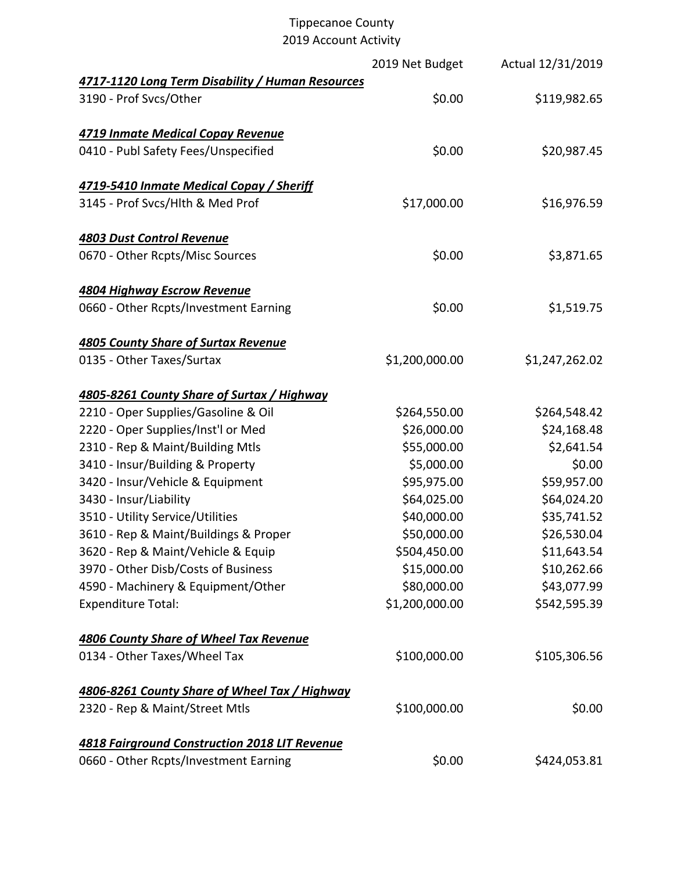|                                                      | 2019 Net Budget | Actual 12/31/2019 |
|------------------------------------------------------|-----------------|-------------------|
| 4717-1120 Long Term Disability / Human Resources     |                 |                   |
| 3190 - Prof Svcs/Other                               | \$0.00          | \$119,982.65      |
| 4719 Inmate Medical Copay Revenue                    |                 |                   |
| 0410 - Publ Safety Fees/Unspecified                  | \$0.00          | \$20,987.45       |
| 4719-5410 Inmate Medical Copay / Sheriff             |                 |                   |
| 3145 - Prof Svcs/Hlth & Med Prof                     | \$17,000.00     | \$16,976.59       |
| <b>4803 Dust Control Revenue</b>                     |                 |                   |
| 0670 - Other Rcpts/Misc Sources                      | \$0.00          | \$3,871.65        |
| <b>4804 Highway Escrow Revenue</b>                   |                 |                   |
| 0660 - Other Rcpts/Investment Earning                | \$0.00          | \$1,519.75        |
| <b>4805 County Share of Surtax Revenue</b>           |                 |                   |
| 0135 - Other Taxes/Surtax                            | \$1,200,000.00  | \$1,247,262.02    |
| 4805-8261 County Share of Surtax / Highway           |                 |                   |
| 2210 - Oper Supplies/Gasoline & Oil                  | \$264,550.00    | \$264,548.42      |
| 2220 - Oper Supplies/Inst'l or Med                   | \$26,000.00     | \$24,168.48       |
| 2310 - Rep & Maint/Building Mtls                     | \$55,000.00     | \$2,641.54        |
| 3410 - Insur/Building & Property                     | \$5,000.00      | \$0.00            |
| 3420 - Insur/Vehicle & Equipment                     | \$95,975.00     | \$59,957.00       |
| 3430 - Insur/Liability                               | \$64,025.00     | \$64,024.20       |
| 3510 - Utility Service/Utilities                     | \$40,000.00     | \$35,741.52       |
| 3610 - Rep & Maint/Buildings & Proper                | \$50,000.00     | \$26,530.04       |
| 3620 - Rep & Maint/Vehicle & Equip                   | \$504,450.00    | \$11,643.54       |
| 3970 - Other Disb/Costs of Business                  | \$15,000.00     | \$10,262.66       |
| 4590 - Machinery & Equipment/Other                   | \$80,000.00     | \$43,077.99       |
| <b>Expenditure Total:</b>                            | \$1,200,000.00  | \$542,595.39      |
| <b>4806 County Share of Wheel Tax Revenue</b>        |                 |                   |
| 0134 - Other Taxes/Wheel Tax                         | \$100,000.00    | \$105,306.56      |
| 4806-8261 County Share of Wheel Tax / Highway        |                 |                   |
| 2320 - Rep & Maint/Street Mtls                       | \$100,000.00    | \$0.00            |
| <b>4818 Fairground Construction 2018 LIT Revenue</b> |                 |                   |
| 0660 - Other Rcpts/Investment Earning                | \$0.00          | \$424,053.81      |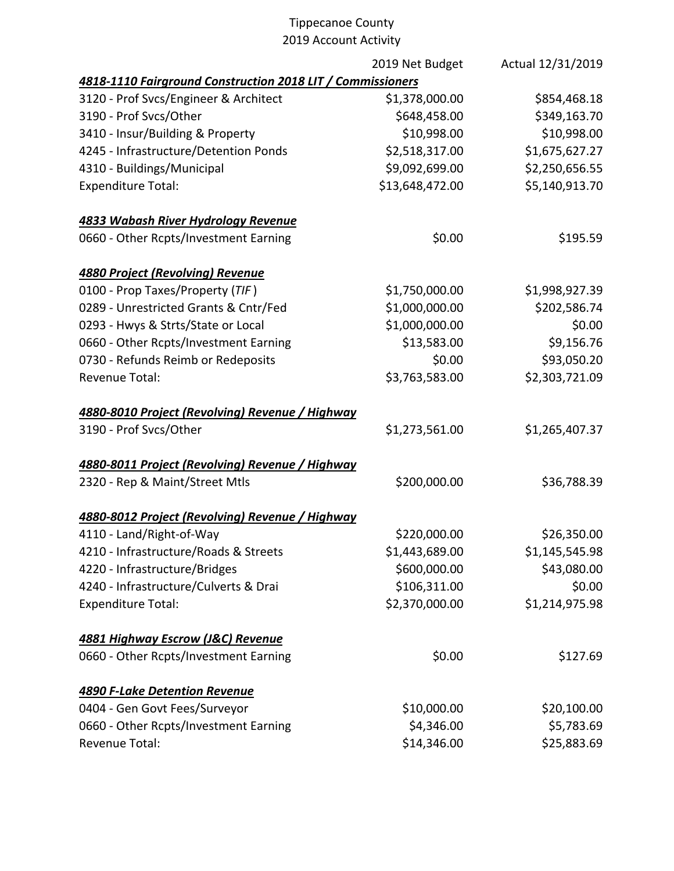|                                                            | 2019 Net Budget | Actual 12/31/2019 |
|------------------------------------------------------------|-----------------|-------------------|
| 4818-1110 Fairground Construction 2018 LIT / Commissioners |                 |                   |
| 3120 - Prof Svcs/Engineer & Architect                      | \$1,378,000.00  | \$854,468.18      |
| 3190 - Prof Svcs/Other                                     | \$648,458.00    | \$349,163.70      |
| 3410 - Insur/Building & Property                           | \$10,998.00     | \$10,998.00       |
| 4245 - Infrastructure/Detention Ponds                      | \$2,518,317.00  | \$1,675,627.27    |
| 4310 - Buildings/Municipal                                 | \$9,092,699.00  | \$2,250,656.55    |
| <b>Expenditure Total:</b>                                  | \$13,648,472.00 | \$5,140,913.70    |
| 4833 Wabash River Hydrology Revenue                        |                 |                   |
| 0660 - Other Rcpts/Investment Earning                      | \$0.00          | \$195.59          |
| <b>4880 Project (Revolving) Revenue</b>                    |                 |                   |
| 0100 - Prop Taxes/Property (TIF)                           | \$1,750,000.00  | \$1,998,927.39    |
| 0289 - Unrestricted Grants & Cntr/Fed                      | \$1,000,000.00  | \$202,586.74      |
| 0293 - Hwys & Strts/State or Local                         | \$1,000,000.00  | \$0.00            |
| 0660 - Other Rcpts/Investment Earning                      | \$13,583.00     | \$9,156.76        |
| 0730 - Refunds Reimb or Redeposits                         | \$0.00          | \$93,050.20       |
| <b>Revenue Total:</b>                                      | \$3,763,583.00  | \$2,303,721.09    |
| 4880-8010 Project (Revolving) Revenue / Highway            |                 |                   |
| 3190 - Prof Svcs/Other                                     | \$1,273,561.00  | \$1,265,407.37    |
| 4880-8011 Project (Revolving) Revenue / Highway            |                 |                   |
| 2320 - Rep & Maint/Street Mtls                             | \$200,000.00    | \$36,788.39       |
| 4880-8012 Project (Revolving) Revenue / Highway            |                 |                   |
| 4110 - Land/Right-of-Way                                   | \$220,000.00    | \$26,350.00       |
| 4210 - Infrastructure/Roads & Streets                      | \$1,443,689.00  | \$1,145,545.98    |
| 4220 - Infrastructure/Bridges                              | \$600,000.00    | \$43,080.00       |
| 4240 - Infrastructure/Culverts & Drai                      | \$106,311.00    | \$0.00            |
| <b>Expenditure Total:</b>                                  | \$2,370,000.00  | \$1,214,975.98    |
| 4881 Highway Escrow (J&C) Revenue                          |                 |                   |
| 0660 - Other Rcpts/Investment Earning                      | \$0.00          | \$127.69          |
| <b>4890 F-Lake Detention Revenue</b>                       |                 |                   |
| 0404 - Gen Govt Fees/Surveyor                              | \$10,000.00     | \$20,100.00       |
| 0660 - Other Rcpts/Investment Earning                      | \$4,346.00      | \$5,783.69        |
| Revenue Total:                                             | \$14,346.00     | \$25,883.69       |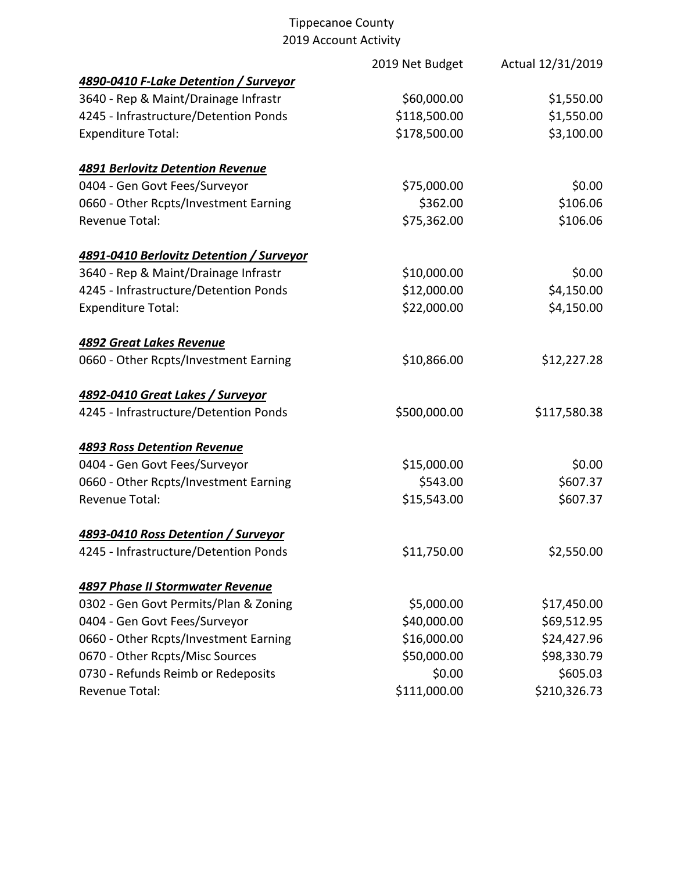|                                          | 2019 Net Budget | Actual 12/31/2019 |
|------------------------------------------|-----------------|-------------------|
| 4890-0410 F-Lake Detention / Surveyor    |                 |                   |
| 3640 - Rep & Maint/Drainage Infrastr     | \$60,000.00     | \$1,550.00        |
| 4245 - Infrastructure/Detention Ponds    | \$118,500.00    | \$1,550.00        |
| <b>Expenditure Total:</b>                | \$178,500.00    | \$3,100.00        |
| <b>4891 Berlovitz Detention Revenue</b>  |                 |                   |
| 0404 - Gen Govt Fees/Surveyor            | \$75,000.00     | \$0.00            |
| 0660 - Other Rcpts/Investment Earning    | \$362.00        | \$106.06          |
| <b>Revenue Total:</b>                    | \$75,362.00     | \$106.06          |
| 4891-0410 Berlovitz Detention / Surveyor |                 |                   |
| 3640 - Rep & Maint/Drainage Infrastr     | \$10,000.00     | \$0.00            |
| 4245 - Infrastructure/Detention Ponds    | \$12,000.00     | \$4,150.00        |
| <b>Expenditure Total:</b>                | \$22,000.00     | \$4,150.00        |
| <b>4892 Great Lakes Revenue</b>          |                 |                   |
| 0660 - Other Rcpts/Investment Earning    | \$10,866.00     | \$12,227.28       |
| 4892-0410 Great Lakes / Surveyor         |                 |                   |
| 4245 - Infrastructure/Detention Ponds    | \$500,000.00    | \$117,580.38      |
| <b>4893 Ross Detention Revenue</b>       |                 |                   |
| 0404 - Gen Govt Fees/Surveyor            | \$15,000.00     | \$0.00            |
| 0660 - Other Rcpts/Investment Earning    | \$543.00        | \$607.37          |
| <b>Revenue Total:</b>                    | \$15,543.00     | \$607.37          |
| 4893-0410 Ross Detention / Surveyor      |                 |                   |
| 4245 - Infrastructure/Detention Ponds    | \$11,750.00     | \$2,550.00        |
| <b>4897 Phase II Stormwater Revenue</b>  |                 |                   |
| 0302 - Gen Govt Permits/Plan & Zoning    | \$5,000.00      | \$17,450.00       |
| 0404 - Gen Govt Fees/Surveyor            | \$40,000.00     | \$69,512.95       |
| 0660 - Other Rcpts/Investment Earning    | \$16,000.00     | \$24,427.96       |
| 0670 - Other Rcpts/Misc Sources          | \$50,000.00     | \$98,330.79       |
| 0730 - Refunds Reimb or Redeposits       | \$0.00          | \$605.03          |
| <b>Revenue Total:</b>                    | \$111,000.00    | \$210,326.73      |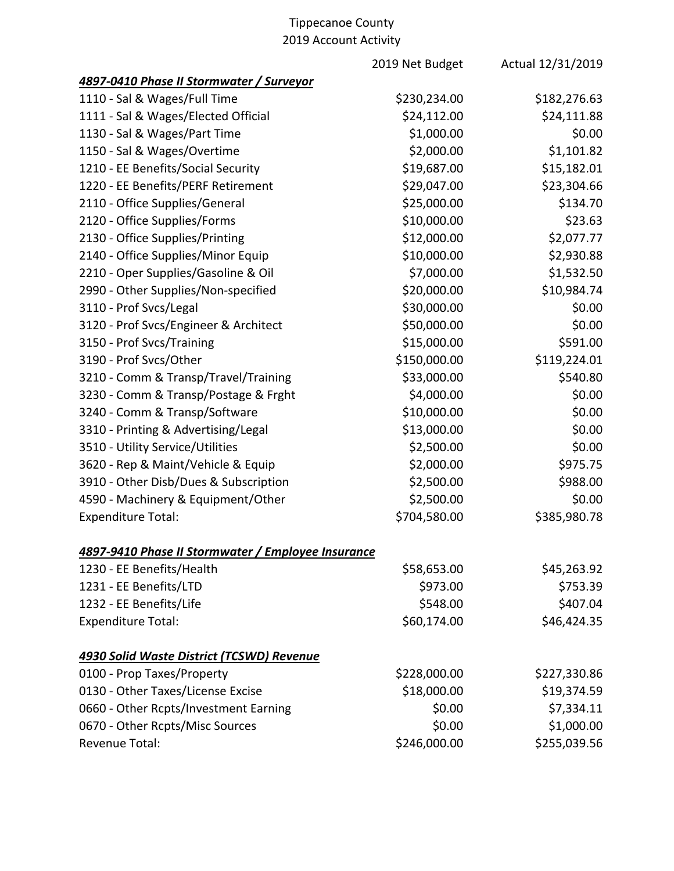|                                                    | 2019 Net Budget | Actual 12/31/2019 |
|----------------------------------------------------|-----------------|-------------------|
| 4897-0410 Phase II Stormwater / Surveyor           |                 |                   |
| 1110 - Sal & Wages/Full Time                       | \$230,234.00    | \$182,276.63      |
| 1111 - Sal & Wages/Elected Official                | \$24,112.00     | \$24,111.88       |
| 1130 - Sal & Wages/Part Time                       | \$1,000.00      | \$0.00            |
| 1150 - Sal & Wages/Overtime                        | \$2,000.00      | \$1,101.82        |
| 1210 - EE Benefits/Social Security                 | \$19,687.00     | \$15,182.01       |
| 1220 - EE Benefits/PERF Retirement                 | \$29,047.00     | \$23,304.66       |
| 2110 - Office Supplies/General                     | \$25,000.00     | \$134.70          |
| 2120 - Office Supplies/Forms                       | \$10,000.00     | \$23.63           |
| 2130 - Office Supplies/Printing                    | \$12,000.00     | \$2,077.77        |
| 2140 - Office Supplies/Minor Equip                 | \$10,000.00     | \$2,930.88        |
| 2210 - Oper Supplies/Gasoline & Oil                | \$7,000.00      | \$1,532.50        |
| 2990 - Other Supplies/Non-specified                | \$20,000.00     | \$10,984.74       |
| 3110 - Prof Svcs/Legal                             | \$30,000.00     | \$0.00            |
| 3120 - Prof Svcs/Engineer & Architect              | \$50,000.00     | \$0.00            |
| 3150 - Prof Svcs/Training                          | \$15,000.00     | \$591.00          |
| 3190 - Prof Svcs/Other                             | \$150,000.00    | \$119,224.01      |
| 3210 - Comm & Transp/Travel/Training               | \$33,000.00     | \$540.80          |
| 3230 - Comm & Transp/Postage & Frght               | \$4,000.00      | \$0.00            |
| 3240 - Comm & Transp/Software                      | \$10,000.00     | \$0.00            |
| 3310 - Printing & Advertising/Legal                | \$13,000.00     | \$0.00            |
| 3510 - Utility Service/Utilities                   | \$2,500.00      | \$0.00            |
| 3620 - Rep & Maint/Vehicle & Equip                 | \$2,000.00      | \$975.75          |
| 3910 - Other Disb/Dues & Subscription              | \$2,500.00      | \$988.00          |
| 4590 - Machinery & Equipment/Other                 | \$2,500.00      | \$0.00            |
| <b>Expenditure Total:</b>                          | \$704,580.00    | \$385,980.78      |
| 4897-9410 Phase II Stormwater / Employee Insurance |                 |                   |
| 1230 - EE Benefits/Health                          | \$58,653.00     | \$45,263.92       |
| 1231 - EE Benefits/LTD                             | \$973.00        | \$753.39          |
| 1232 - EE Benefits/Life                            | \$548.00        | \$407.04          |
| <b>Expenditure Total:</b>                          | \$60,174.00     | \$46,424.35       |
| 4930 Solid Waste District (TCSWD) Revenue          |                 |                   |
| 0100 - Prop Taxes/Property                         | \$228,000.00    | \$227,330.86      |
| 0130 - Other Taxes/License Excise                  | \$18,000.00     | \$19,374.59       |
| 0660 - Other Rcpts/Investment Earning              | \$0.00          | \$7,334.11        |
| 0670 - Other Rcpts/Misc Sources                    | \$0.00          | \$1,000.00        |
| <b>Revenue Total:</b>                              | \$246,000.00    | \$255,039.56      |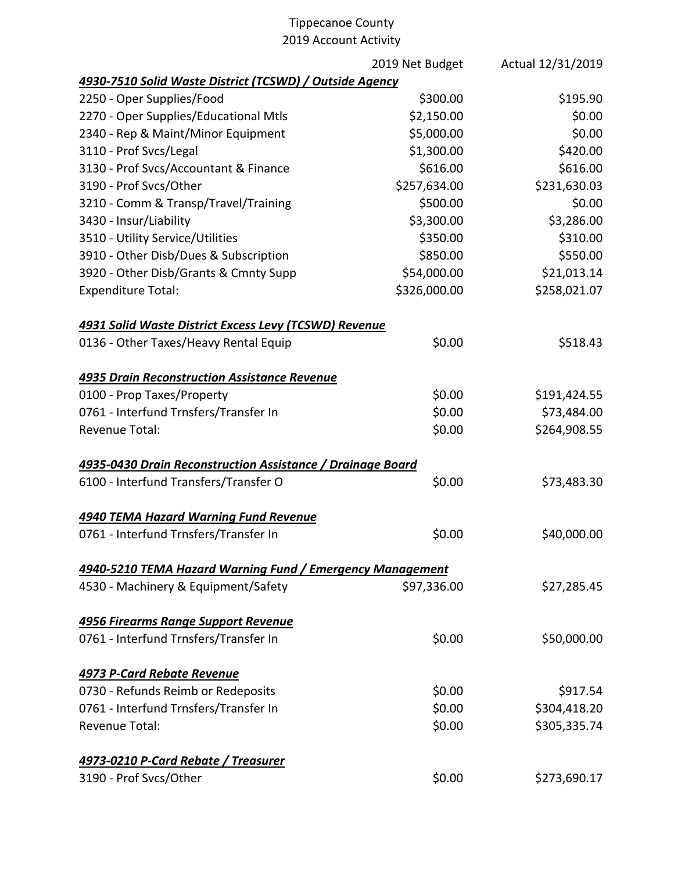|                                                            | 2019 Net Budget | Actual 12/31/2019 |
|------------------------------------------------------------|-----------------|-------------------|
| 4930-7510 Solid Waste District (TCSWD) / Outside Agency    |                 |                   |
| 2250 - Oper Supplies/Food                                  | \$300.00        | \$195.90          |
| 2270 - Oper Supplies/Educational Mtls                      | \$2,150.00      | \$0.00            |
| 2340 - Rep & Maint/Minor Equipment                         | \$5,000.00      | \$0.00            |
| 3110 - Prof Svcs/Legal                                     | \$1,300.00      | \$420.00          |
| 3130 - Prof Svcs/Accountant & Finance                      | \$616.00        | \$616.00          |
| 3190 - Prof Svcs/Other                                     | \$257,634.00    | \$231,630.03      |
| 3210 - Comm & Transp/Travel/Training                       | \$500.00        | \$0.00            |
| 3430 - Insur/Liability                                     | \$3,300.00      | \$3,286.00        |
| 3510 - Utility Service/Utilities                           | \$350.00        | \$310.00          |
| 3910 - Other Disb/Dues & Subscription                      | \$850.00        | \$550.00          |
| 3920 - Other Disb/Grants & Cmnty Supp                      | \$54,000.00     | \$21,013.14       |
| <b>Expenditure Total:</b>                                  | \$326,000.00    | \$258,021.07      |
| 4931 Solid Waste District Excess Levy (TCSWD) Revenue      |                 |                   |
| 0136 - Other Taxes/Heavy Rental Equip                      | \$0.00          | \$518.43          |
| <b>4935 Drain Reconstruction Assistance Revenue</b>        |                 |                   |
| 0100 - Prop Taxes/Property                                 | \$0.00          | \$191,424.55      |
| 0761 - Interfund Trnsfers/Transfer In                      | \$0.00          | \$73,484.00       |
| Revenue Total:                                             | \$0.00          | \$264,908.55      |
| 4935-0430 Drain Reconstruction Assistance / Drainage Board |                 |                   |
| 6100 - Interfund Transfers/Transfer O                      | \$0.00          | \$73,483.30       |
| <b>4940 TEMA Hazard Warning Fund Revenue</b>               |                 |                   |
| 0761 - Interfund Trnsfers/Transfer In                      | \$0.00          | \$40,000.00       |
| 4940-5210 TEMA Hazard Warning Fund / Emergency Management  |                 |                   |
| 4530 - Machinery & Equipment/Safety                        | \$97,336.00     | \$27,285.45       |
| 4956 Firearms Range Support Revenue                        |                 |                   |
| 0761 - Interfund Trnsfers/Transfer In                      | \$0.00          | \$50,000.00       |
| 4973 P-Card Rebate Revenue                                 |                 |                   |
| 0730 - Refunds Reimb or Redeposits                         | \$0.00          | \$917.54          |
| 0761 - Interfund Trnsfers/Transfer In                      | \$0.00          | \$304,418.20      |
| Revenue Total:                                             | \$0.00          | \$305,335.74      |
| <u>4973-0210 P-Card Rebate / Treasurer</u>                 |                 |                   |
| 3190 - Prof Svcs/Other                                     | \$0.00          | \$273,690.17      |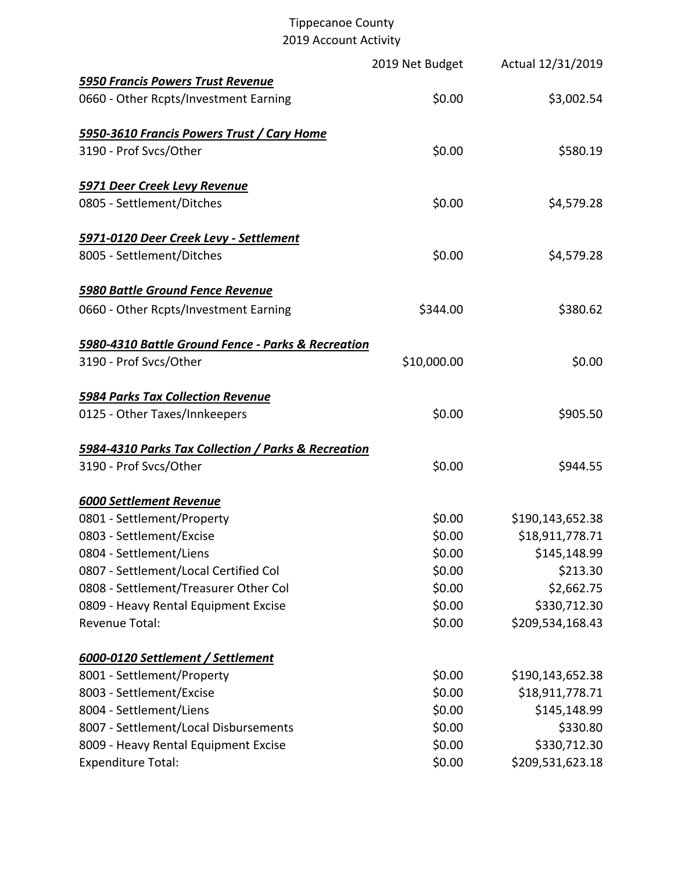|                                                     | 2019 Net Budget | Actual 12/31/2019 |
|-----------------------------------------------------|-----------------|-------------------|
| <b>5950 Francis Powers Trust Revenue</b>            |                 |                   |
| 0660 - Other Rcpts/Investment Earning               | \$0.00          | \$3,002.54        |
| 5950-3610 Francis Powers Trust / Cary Home          |                 |                   |
| 3190 - Prof Svcs/Other                              | \$0.00          | \$580.19          |
| 5971 Deer Creek Levy Revenue                        |                 |                   |
| 0805 - Settlement/Ditches                           | \$0.00          | \$4,579.28        |
| 5971-0120 Deer Creek Levy - Settlement              |                 |                   |
| 8005 - Settlement/Ditches                           | \$0.00          | \$4,579.28        |
| <b>5980 Battle Ground Fence Revenue</b>             |                 |                   |
| 0660 - Other Rcpts/Investment Earning               | \$344.00        | \$380.62          |
| 5980-4310 Battle Ground Fence - Parks & Recreation  |                 |                   |
| 3190 - Prof Svcs/Other                              | \$10,000.00     | \$0.00            |
| <b>5984 Parks Tax Collection Revenue</b>            |                 |                   |
| 0125 - Other Taxes/Innkeepers                       | \$0.00          | \$905.50          |
| 5984-4310 Parks Tax Collection / Parks & Recreation |                 |                   |
| 3190 - Prof Svcs/Other                              | \$0.00          | \$944.55          |
| <b>6000 Settlement Revenue</b>                      |                 |                   |
| 0801 - Settlement/Property                          | \$0.00          | \$190,143,652.38  |
| 0803 - Settlement/Excise                            | \$0.00          | \$18,911,778.71   |
| 0804 - Settlement/Liens                             | \$0.00          | \$145,148.99      |
| 0807 - Settlement/Local Certified Col               | \$0.00          | \$213.30          |
| 0808 - Settlement/Treasurer Other Col               | \$0.00          | \$2,662.75        |
| 0809 - Heavy Rental Equipment Excise                | \$0.00          | \$330,712.30      |
| Revenue Total:                                      | \$0.00          | \$209,534,168.43  |
| 6000-0120 Settlement / Settlement                   |                 |                   |
| 8001 - Settlement/Property                          | \$0.00          | \$190,143,652.38  |
| 8003 - Settlement/Excise                            | \$0.00          | \$18,911,778.71   |
| 8004 - Settlement/Liens                             | \$0.00          | \$145,148.99      |
| 8007 - Settlement/Local Disbursements               | \$0.00          | \$330.80          |
| 8009 - Heavy Rental Equipment Excise                | \$0.00          | \$330,712.30      |
| <b>Expenditure Total:</b>                           | \$0.00          | \$209,531,623.18  |
|                                                     |                 |                   |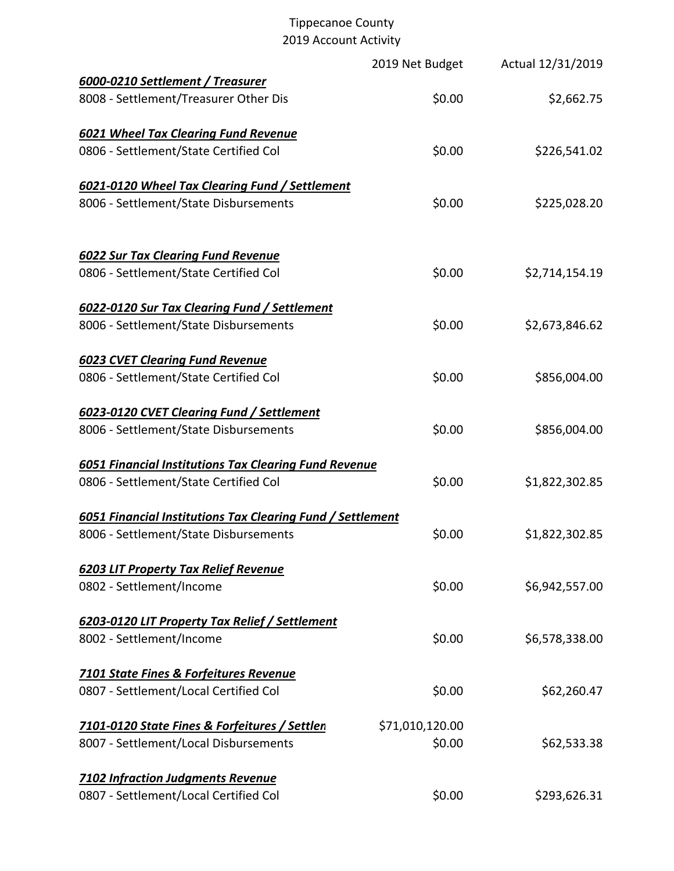|                                                                   | 2019 Net Budget | Actual 12/31/2019 |
|-------------------------------------------------------------------|-----------------|-------------------|
| 6000-0210 Settlement / Treasurer                                  |                 |                   |
| 8008 - Settlement/Treasurer Other Dis                             | \$0.00          | \$2,662.75        |
| <b>6021 Wheel Tax Clearing Fund Revenue</b>                       |                 |                   |
| 0806 - Settlement/State Certified Col                             | \$0.00          | \$226,541.02      |
| 6021-0120 Wheel Tax Clearing Fund / Settlement                    |                 |                   |
| 8006 - Settlement/State Disbursements                             | \$0.00          | \$225,028.20      |
| <b>6022 Sur Tax Clearing Fund Revenue</b>                         |                 |                   |
| 0806 - Settlement/State Certified Col                             | \$0.00          | \$2,714,154.19    |
| 6022-0120 Sur Tax Clearing Fund / Settlement                      |                 |                   |
| 8006 - Settlement/State Disbursements                             | \$0.00          | \$2,673,846.62    |
| <b>6023 CVET Clearing Fund Revenue</b>                            |                 |                   |
| 0806 - Settlement/State Certified Col                             | \$0.00          | \$856,004.00      |
| 6023-0120 CVET Clearing Fund / Settlement                         |                 |                   |
| 8006 - Settlement/State Disbursements                             | \$0.00          | \$856,004.00      |
| <b>6051 Financial Institutions Tax Clearing Fund Revenue</b>      |                 |                   |
| 0806 - Settlement/State Certified Col                             | \$0.00          | \$1,822,302.85    |
| <b>6051 Financial Institutions Tax Clearing Fund / Settlement</b> |                 |                   |
| 8006 - Settlement/State Disbursements                             | \$0.00          | \$1,822,302.85    |
| <b>6203 LIT Property Tax Relief Revenue</b>                       |                 |                   |
| 0802 - Settlement/Income                                          | \$0.00          | \$6,942,557.00    |
| 6203-0120 LIT Property Tax Relief / Settlement                    |                 |                   |
| 8002 - Settlement/Income                                          | \$0.00          | \$6,578,338.00    |
| <b>7101 State Fines &amp; Forfeitures Revenue</b>                 |                 |                   |
| 0807 - Settlement/Local Certified Col                             | \$0.00          | \$62,260.47       |
| 7101-0120 State Fines & Forfeitures / Settlen                     | \$71,010,120.00 |                   |
| 8007 - Settlement/Local Disbursements                             | \$0.00          | \$62,533.38       |
| <b>7102 Infraction Judgments Revenue</b>                          |                 |                   |
| 0807 - Settlement/Local Certified Col                             | \$0.00          | \$293,626.31      |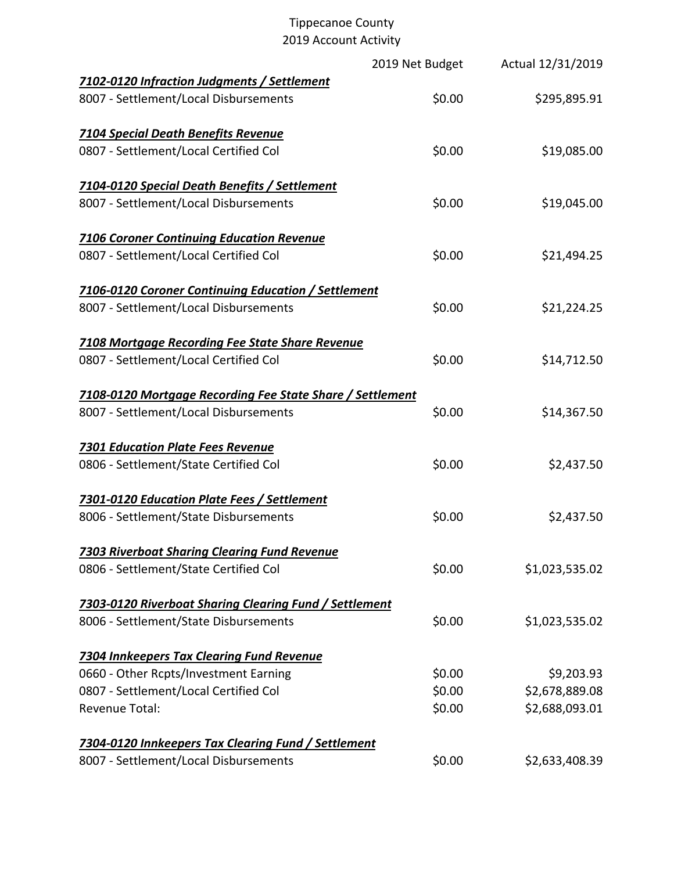|                                                                                      | 2019 Net Budget | Actual 12/31/2019 |
|--------------------------------------------------------------------------------------|-----------------|-------------------|
| 7102-0120 Infraction Judgments / Settlement<br>8007 - Settlement/Local Disbursements | \$0.00          | \$295,895.91      |
| <b>7104 Special Death Benefits Revenue</b>                                           |                 |                   |
| 0807 - Settlement/Local Certified Col                                                | \$0.00          | \$19,085.00       |
| 7104-0120 Special Death Benefits / Settlement                                        |                 |                   |
| 8007 - Settlement/Local Disbursements                                                | \$0.00          | \$19,045.00       |
| <b>7106 Coroner Continuing Education Revenue</b>                                     |                 |                   |
| 0807 - Settlement/Local Certified Col                                                | \$0.00          | \$21,494.25       |
| 7106-0120 Coroner Continuing Education / Settlement                                  |                 |                   |
| 8007 - Settlement/Local Disbursements                                                | \$0.00          | \$21,224.25       |
| <b>7108 Mortgage Recording Fee State Share Revenue</b>                               |                 |                   |
| 0807 - Settlement/Local Certified Col                                                | \$0.00          | \$14,712.50       |
| 7108-0120 Mortgage Recording Fee State Share / Settlement                            |                 |                   |
| 8007 - Settlement/Local Disbursements                                                | \$0.00          | \$14,367.50       |
| <b>7301 Education Plate Fees Revenue</b>                                             |                 |                   |
| 0806 - Settlement/State Certified Col                                                | \$0.00          | \$2,437.50        |
| 7301-0120 Education Plate Fees / Settlement                                          |                 |                   |
| 8006 - Settlement/State Disbursements                                                | \$0.00          | \$2,437.50        |
| <b>7303 Riverboat Sharing Clearing Fund Revenue</b>                                  |                 |                   |
| 0806 - Settlement/State Certified Col                                                | \$0.00          | \$1,023,535.02    |
| 7303-0120 Riverboat Sharing Clearing Fund / Settlement                               |                 |                   |
| 8006 - Settlement/State Disbursements                                                | \$0.00          | \$1,023,535.02    |
| 7304 Innkeepers Tax Clearing Fund Revenue                                            |                 |                   |
| 0660 - Other Rcpts/Investment Earning                                                | \$0.00          | \$9,203.93        |
| 0807 - Settlement/Local Certified Col                                                | \$0.00          | \$2,678,889.08    |
| <b>Revenue Total:</b>                                                                | \$0.00          | \$2,688,093.01    |
| 7304-0120 Innkeepers Tax Clearing Fund / Settlement                                  |                 |                   |
| 8007 - Settlement/Local Disbursements                                                | \$0.00          | \$2,633,408.39    |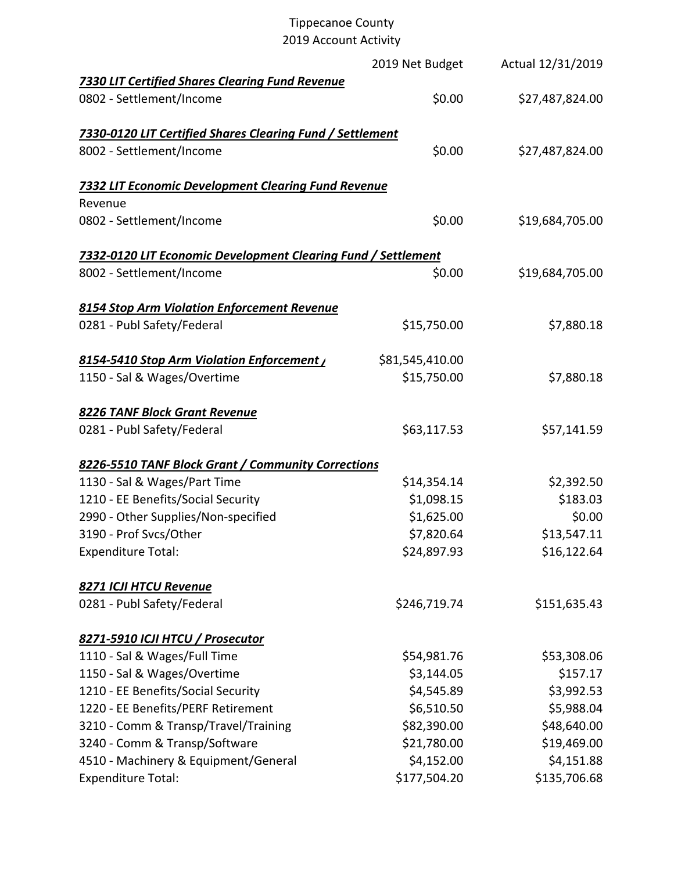## Tippecanoe County

| 2019 Account Activity                                         |                 |                   |
|---------------------------------------------------------------|-----------------|-------------------|
|                                                               | 2019 Net Budget | Actual 12/31/2019 |
| <b>7330 LIT Certified Shares Clearing Fund Revenue</b>        |                 |                   |
| 0802 - Settlement/Income                                      | \$0.00          | \$27,487,824.00   |
| 7330-0120 LIT Certified Shares Clearing Fund / Settlement     |                 |                   |
| 8002 - Settlement/Income                                      | \$0.00          | \$27,487,824.00   |
| <b>7332 LIT Economic Development Clearing Fund Revenue</b>    |                 |                   |
| Revenue                                                       |                 |                   |
| 0802 - Settlement/Income                                      | \$0.00          | \$19,684,705.00   |
| 7332-0120 LIT Economic Development Clearing Fund / Settlement |                 |                   |
| 8002 - Settlement/Income                                      | \$0.00          | \$19,684,705.00   |
| 8154 Stop Arm Violation Enforcement Revenue                   |                 |                   |
| 0281 - Publ Safety/Federal                                    | \$15,750.00     | \$7,880.18        |
| 8154-5410 Stop Arm Violation Enforcement /                    | \$81,545,410.00 |                   |
| 1150 - Sal & Wages/Overtime                                   | \$15,750.00     | \$7,880.18        |
| 8226 TANF Block Grant Revenue                                 |                 |                   |
| 0281 - Publ Safety/Federal                                    | \$63,117.53     | \$57,141.59       |
| 8226-5510 TANF Block Grant / Community Corrections            |                 |                   |
| 1130 - Sal & Wages/Part Time                                  | \$14,354.14     | \$2,392.50        |
| 1210 - EE Benefits/Social Security                            | \$1,098.15      | \$183.03          |
| 2990 - Other Supplies/Non-specified                           | \$1,625.00      | \$0.00            |
| 3190 - Prof Svcs/Other                                        | \$7,820.64      | \$13,547.11       |
| <b>Expenditure Total:</b>                                     | \$24,897.93     | \$16,122.64       |
| 8271 ICJI HTCU Revenue                                        |                 |                   |
| 0281 - Publ Safety/Federal                                    | \$246,719.74    | \$151,635.43      |
| 8271-5910 ICJI HTCU / Prosecutor                              |                 |                   |
| 1110 - Sal & Wages/Full Time                                  | \$54,981.76     | \$53,308.06       |
| 1150 - Sal & Wages/Overtime                                   | \$3,144.05      | \$157.17          |
| 1210 - EE Benefits/Social Security                            | \$4,545.89      | \$3,992.53        |
| 1220 - EE Benefits/PERF Retirement                            | \$6,510.50      | \$5,988.04        |
| 3210 - Comm & Transp/Travel/Training                          | \$82,390.00     | \$48,640.00       |
| 3240 - Comm & Transp/Software                                 | \$21,780.00     | \$19,469.00       |
| 4510 - Machinery & Equipment/General                          | \$4,152.00      | \$4,151.88        |
| <b>Expenditure Total:</b>                                     | \$177,504.20    | \$135,706.68      |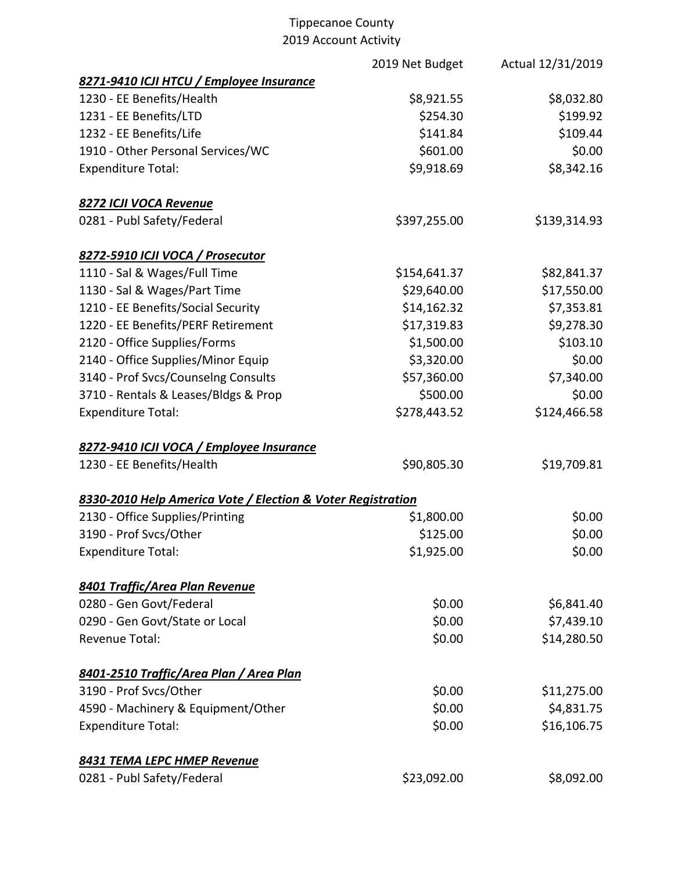|                                                             | 2019 Net Budget | Actual 12/31/2019 |
|-------------------------------------------------------------|-----------------|-------------------|
| 8271-9410 ICJI HTCU / Employee Insurance                    |                 |                   |
| 1230 - EE Benefits/Health                                   | \$8,921.55      | \$8,032.80        |
| 1231 - EE Benefits/LTD                                      | \$254.30        | \$199.92          |
| 1232 - EE Benefits/Life                                     | \$141.84        | \$109.44          |
| 1910 - Other Personal Services/WC                           | \$601.00        | \$0.00            |
| <b>Expenditure Total:</b>                                   | \$9,918.69      | \$8,342.16        |
| 8272 ICJI VOCA Revenue                                      |                 |                   |
| 0281 - Publ Safety/Federal                                  | \$397,255.00    | \$139,314.93      |
| 8272-5910 ICJI VOCA / Prosecutor                            |                 |                   |
| 1110 - Sal & Wages/Full Time                                | \$154,641.37    | \$82,841.37       |
| 1130 - Sal & Wages/Part Time                                | \$29,640.00     | \$17,550.00       |
| 1210 - EE Benefits/Social Security                          | \$14,162.32     | \$7,353.81        |
| 1220 - EE Benefits/PERF Retirement                          | \$17,319.83     | \$9,278.30        |
| 2120 - Office Supplies/Forms                                | \$1,500.00      | \$103.10          |
| 2140 - Office Supplies/Minor Equip                          | \$3,320.00      | \$0.00            |
| 3140 - Prof Svcs/Counselng Consults                         | \$57,360.00     | \$7,340.00        |
| 3710 - Rentals & Leases/Bldgs & Prop                        | \$500.00        | \$0.00            |
| <b>Expenditure Total:</b>                                   | \$278,443.52    | \$124,466.58      |
| 8272-9410 ICJI VOCA / Employee Insurance                    |                 |                   |
| 1230 - EE Benefits/Health                                   | \$90,805.30     | \$19,709.81       |
| 8330-2010 Help America Vote / Election & Voter Registration |                 |                   |
| 2130 - Office Supplies/Printing                             | \$1,800.00      | \$0.00            |
| 3190 - Prof Svcs/Other                                      | \$125.00        | \$0.00            |
| <b>Expenditure Total:</b>                                   | \$1,925.00      | \$0.00            |
| 8401 Traffic/Area Plan Revenue                              |                 |                   |
| 0280 - Gen Govt/Federal                                     | \$0.00          | \$6,841.40        |
| 0290 - Gen Govt/State or Local                              | \$0.00          | \$7,439.10        |
| Revenue Total:                                              | \$0.00          | \$14,280.50       |
| 8401-2510 Traffic/Area Plan / Area Plan                     |                 |                   |
| 3190 - Prof Svcs/Other                                      | \$0.00          | \$11,275.00       |
| 4590 - Machinery & Equipment/Other                          | \$0.00          | \$4,831.75        |
| <b>Expenditure Total:</b>                                   | \$0.00          | \$16,106.75       |
| <b>8431 TEMA LEPC HMEP Revenue</b>                          |                 |                   |
| 0281 - Publ Safety/Federal                                  | \$23,092.00     | \$8,092.00        |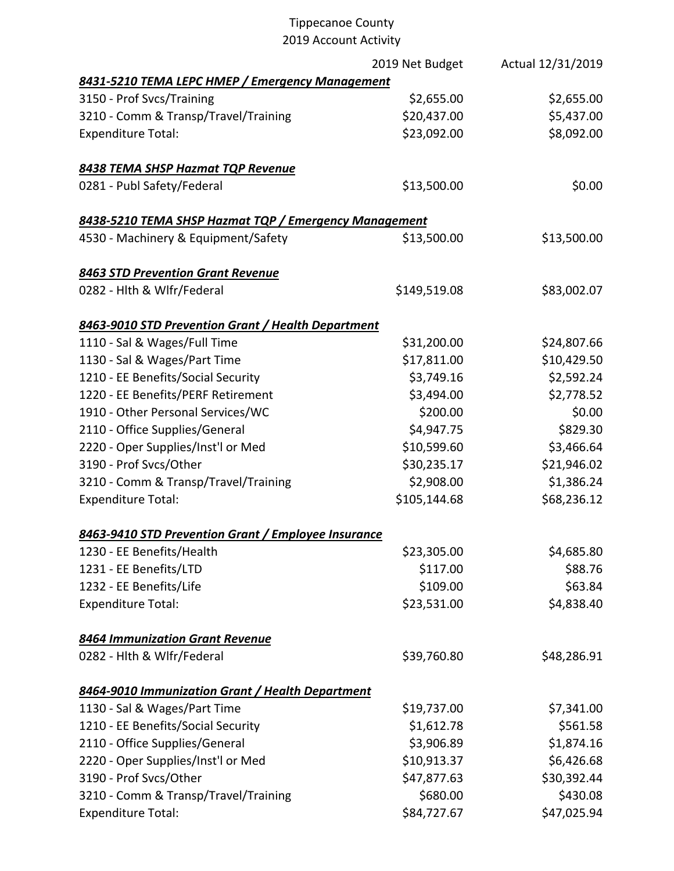|                                                       | 2019 Net Budget | Actual 12/31/2019 |
|-------------------------------------------------------|-----------------|-------------------|
| 8431-5210 TEMA LEPC HMEP / Emergency Management       |                 |                   |
| 3150 - Prof Svcs/Training                             | \$2,655.00      | \$2,655.00        |
| 3210 - Comm & Transp/Travel/Training                  | \$20,437.00     | \$5,437.00        |
| <b>Expenditure Total:</b>                             | \$23,092.00     | \$8,092.00        |
| 8438 TEMA SHSP Hazmat TQP Revenue                     |                 |                   |
| 0281 - Publ Safety/Federal                            | \$13,500.00     | \$0.00            |
| 8438-5210 TEMA SHSP Hazmat TQP / Emergency Management |                 |                   |
| 4530 - Machinery & Equipment/Safety                   | \$13,500.00     | \$13,500.00       |
| 8463 STD Prevention Grant Revenue                     |                 |                   |
| 0282 - Hlth & Wlfr/Federal                            | \$149,519.08    | \$83,002.07       |
| 8463-9010 STD Prevention Grant / Health Department    |                 |                   |
| 1110 - Sal & Wages/Full Time                          | \$31,200.00     | \$24,807.66       |
| 1130 - Sal & Wages/Part Time                          | \$17,811.00     | \$10,429.50       |
| 1210 - EE Benefits/Social Security                    | \$3,749.16      | \$2,592.24        |
| 1220 - EE Benefits/PERF Retirement                    | \$3,494.00      | \$2,778.52        |
| 1910 - Other Personal Services/WC                     | \$200.00        | \$0.00            |
| 2110 - Office Supplies/General                        | \$4,947.75      | \$829.30          |
| 2220 - Oper Supplies/Inst'l or Med                    | \$10,599.60     | \$3,466.64        |
| 3190 - Prof Svcs/Other                                | \$30,235.17     | \$21,946.02       |
| 3210 - Comm & Transp/Travel/Training                  | \$2,908.00      | \$1,386.24        |
| <b>Expenditure Total:</b>                             | \$105,144.68    | \$68,236.12       |
| 8463-9410 STD Prevention Grant / Employee Insurance   |                 |                   |
| 1230 - EE Benefits/Health                             | \$23,305.00     | \$4,685.80        |
| 1231 - EE Benefits/LTD                                | \$117.00        | \$88.76           |
| 1232 - EE Benefits/Life                               | \$109.00        | \$63.84           |
| <b>Expenditure Total:</b>                             | \$23,531.00     | \$4,838.40        |
| 8464 Immunization Grant Revenue                       |                 |                   |
| 0282 - Hlth & Wlfr/Federal                            | \$39,760.80     | \$48,286.91       |
| 8464-9010 Immunization Grant / Health Department      |                 |                   |
| 1130 - Sal & Wages/Part Time                          | \$19,737.00     | \$7,341.00        |
| 1210 - EE Benefits/Social Security                    | \$1,612.78      | \$561.58          |
| 2110 - Office Supplies/General                        | \$3,906.89      | \$1,874.16        |
| 2220 - Oper Supplies/Inst'l or Med                    | \$10,913.37     | \$6,426.68        |
| 3190 - Prof Svcs/Other                                | \$47,877.63     | \$30,392.44       |
| 3210 - Comm & Transp/Travel/Training                  | \$680.00        | \$430.08          |
| <b>Expenditure Total:</b>                             | \$84,727.67     | \$47,025.94       |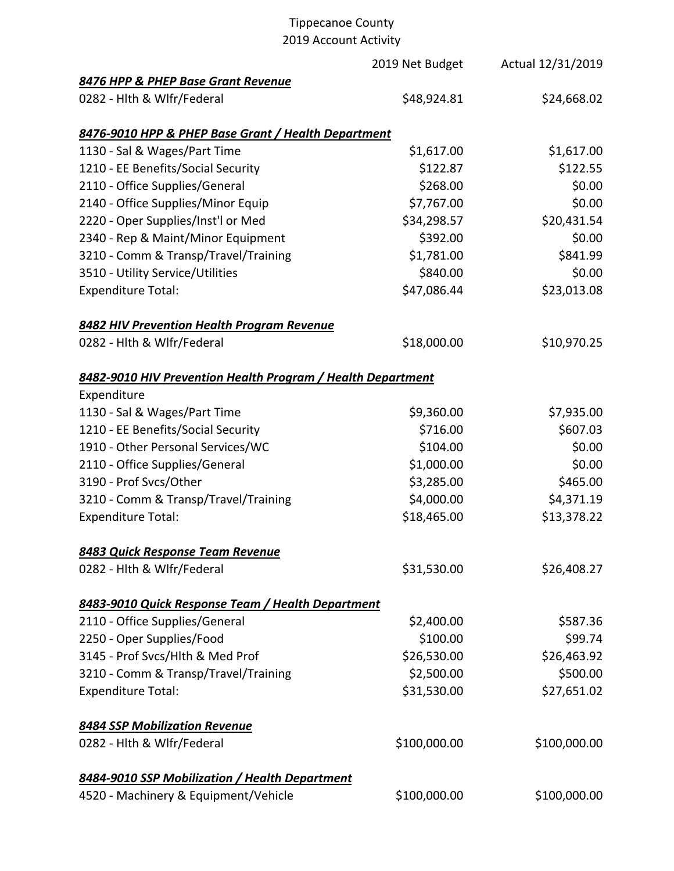# Tippecanoe County

2019 Account Activity

|                                                             | 2019 Net Budget | Actual 12/31/2019 |
|-------------------------------------------------------------|-----------------|-------------------|
| 8476 HPP & PHEP Base Grant Revenue                          |                 |                   |
| 0282 - Hlth & Wlfr/Federal                                  | \$48,924.81     | \$24,668.02       |
| 8476-9010 HPP & PHEP Base Grant / Health Department         |                 |                   |
| 1130 - Sal & Wages/Part Time                                | \$1,617.00      | \$1,617.00        |
| 1210 - EE Benefits/Social Security                          | \$122.87        | \$122.55          |
| 2110 - Office Supplies/General                              | \$268.00        | \$0.00            |
| 2140 - Office Supplies/Minor Equip                          | \$7,767.00      | \$0.00            |
| 2220 - Oper Supplies/Inst'l or Med                          | \$34,298.57     | \$20,431.54       |
| 2340 - Rep & Maint/Minor Equipment                          | \$392.00        | \$0.00            |
| 3210 - Comm & Transp/Travel/Training                        | \$1,781.00      | \$841.99          |
| 3510 - Utility Service/Utilities                            | \$840.00        | \$0.00            |
| <b>Expenditure Total:</b>                                   | \$47,086.44     | \$23,013.08       |
| 8482 HIV Prevention Health Program Revenue                  |                 |                   |
| 0282 - Hlth & Wlfr/Federal                                  | \$18,000.00     | \$10,970.25       |
| 8482-9010 HIV Prevention Health Program / Health Department |                 |                   |
| Expenditure                                                 |                 |                   |
| 1130 - Sal & Wages/Part Time                                | \$9,360.00      | \$7,935.00        |
| 1210 - EE Benefits/Social Security                          | \$716.00        | \$607.03          |
| 1910 - Other Personal Services/WC                           | \$104.00        | \$0.00            |
| 2110 - Office Supplies/General                              | \$1,000.00      | \$0.00            |
| 3190 - Prof Svcs/Other                                      | \$3,285.00      | \$465.00          |
| 3210 - Comm & Transp/Travel/Training                        | \$4,000.00      | \$4,371.19        |
| <b>Expenditure Total:</b>                                   | \$18,465.00     | \$13,378.22       |
| 8483 Quick Response Team Revenue                            |                 |                   |
| 0282 - Hlth & Wlfr/Federal                                  | \$31,530.00     | \$26,408.27       |
| 8483-9010 Quick Response Team / Health Department           |                 |                   |
| 2110 - Office Supplies/General                              | \$2,400.00      | \$587.36          |
| 2250 - Oper Supplies/Food                                   | \$100.00        | \$99.74           |
| 3145 - Prof Svcs/Hlth & Med Prof                            | \$26,530.00     | \$26,463.92       |
| 3210 - Comm & Transp/Travel/Training                        | \$2,500.00      | \$500.00          |
| <b>Expenditure Total:</b>                                   | \$31,530.00     | \$27,651.02       |
| <b>8484 SSP Mobilization Revenue</b>                        |                 |                   |
| 0282 - Hlth & Wlfr/Federal                                  | \$100,000.00    | \$100,000.00      |
| 8484-9010 SSP Mobilization / Health Department              |                 |                   |
| 4520 - Machinery & Equipment/Vehicle                        | \$100,000.00    | \$100,000.00      |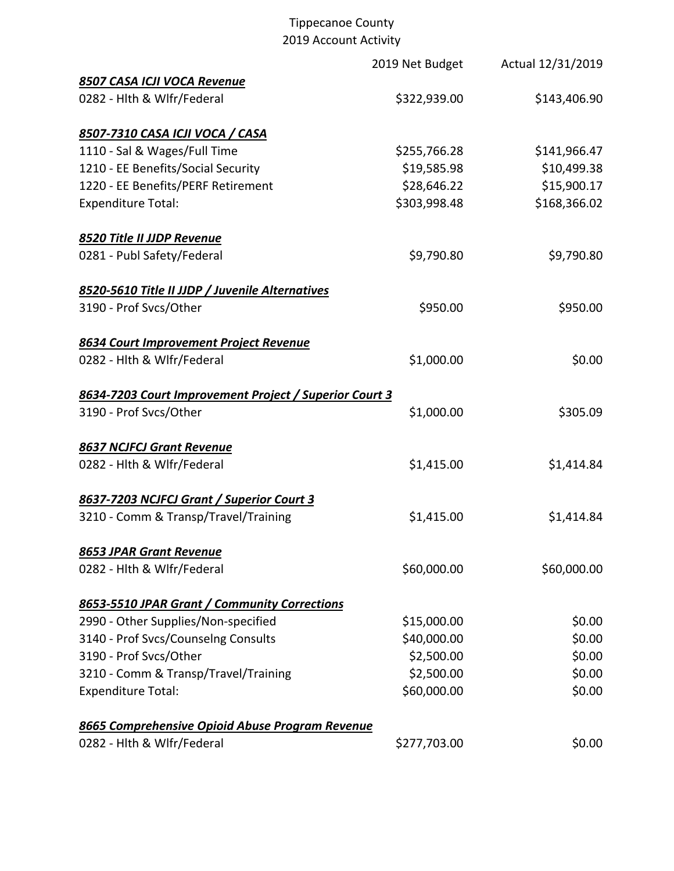|                                                        | 2019 Net Budget | Actual 12/31/2019 |
|--------------------------------------------------------|-----------------|-------------------|
| 8507 CASA ICJI VOCA Revenue                            |                 |                   |
| 0282 - Hlth & Wlfr/Federal                             | \$322,939.00    | \$143,406.90      |
| 8507-7310 CASA ICJI VOCA / CASA                        |                 |                   |
| 1110 - Sal & Wages/Full Time                           | \$255,766.28    | \$141,966.47      |
| 1210 - EE Benefits/Social Security                     | \$19,585.98     | \$10,499.38       |
| 1220 - EE Benefits/PERF Retirement                     | \$28,646.22     | \$15,900.17       |
| <b>Expenditure Total:</b>                              | \$303,998.48    | \$168,366.02      |
| 8520 Title II JJDP Revenue                             |                 |                   |
| 0281 - Publ Safety/Federal                             | \$9,790.80      | \$9,790.80        |
| 8520-5610 Title II JJDP / Juvenile Alternatives        |                 |                   |
| 3190 - Prof Svcs/Other                                 | \$950.00        | \$950.00          |
| 8634 Court Improvement Project Revenue                 |                 |                   |
| 0282 - Hlth & Wlfr/Federal                             | \$1,000.00      | \$0.00            |
| 8634-7203 Court Improvement Project / Superior Court 3 |                 |                   |
| 3190 - Prof Svcs/Other                                 | \$1,000.00      | \$305.09          |
| <b>8637 NCJFCJ Grant Revenue</b>                       |                 |                   |
| 0282 - Hlth & Wlfr/Federal                             | \$1,415.00      | \$1,414.84        |
| 8637-7203 NCJFCJ Grant / Superior Court 3              |                 |                   |
| 3210 - Comm & Transp/Travel/Training                   | \$1,415.00      | \$1,414.84        |
| 8653 JPAR Grant Revenue                                |                 |                   |
| 0282 - Hlth & Wlfr/Federal                             | \$60,000.00     | \$60,000.00       |
| 8653-5510 JPAR Grant / Community Corrections           |                 |                   |
| 2990 - Other Supplies/Non-specified                    | \$15,000.00     | \$0.00            |
| 3140 - Prof Svcs/Counselng Consults                    | \$40,000.00     | \$0.00            |
| 3190 - Prof Svcs/Other                                 | \$2,500.00      | \$0.00            |
| 3210 - Comm & Transp/Travel/Training                   | \$2,500.00      | \$0.00            |
| <b>Expenditure Total:</b>                              | \$60,000.00     | \$0.00            |
| 8665 Comprehensive Opioid Abuse Program Revenue        |                 |                   |
| 0282 - Hlth & Wlfr/Federal                             | \$277,703.00    | \$0.00            |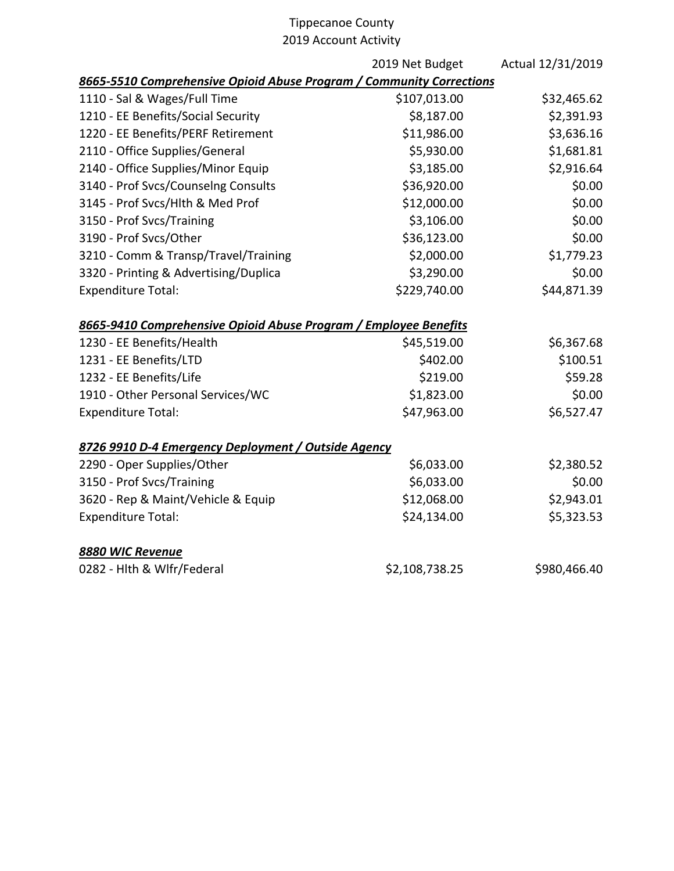|                                                                      | 2019 Net Budget | Actual 12/31/2019 |
|----------------------------------------------------------------------|-----------------|-------------------|
| 8665-5510 Comprehensive Opioid Abuse Program / Community Corrections |                 |                   |
| 1110 - Sal & Wages/Full Time                                         | \$107,013.00    | \$32,465.62       |
| 1210 - EE Benefits/Social Security                                   | \$8,187.00      | \$2,391.93        |
| 1220 - EE Benefits/PERF Retirement                                   | \$11,986.00     | \$3,636.16        |
| 2110 - Office Supplies/General                                       | \$5,930.00      | \$1,681.81        |
| 2140 - Office Supplies/Minor Equip                                   | \$3,185.00      | \$2,916.64        |
| 3140 - Prof Svcs/Counselng Consults                                  | \$36,920.00     | \$0.00            |
| 3145 - Prof Svcs/Hlth & Med Prof                                     | \$12,000.00     | \$0.00            |
| 3150 - Prof Svcs/Training                                            | \$3,106.00      | \$0.00            |
| 3190 - Prof Svcs/Other                                               | \$36,123.00     | \$0.00            |
| 3210 - Comm & Transp/Travel/Training                                 | \$2,000.00      | \$1,779.23        |
| 3320 - Printing & Advertising/Duplica                                | \$3,290.00      | \$0.00            |
| <b>Expenditure Total:</b>                                            | \$229,740.00    | \$44,871.39       |
| 8665-9410 Comprehensive Opioid Abuse Program / Employee Benefits     |                 |                   |
| 1230 - EE Benefits/Health                                            | \$45,519.00     | \$6,367.68        |
| 1231 - EE Benefits/LTD                                               | \$402.00        | \$100.51          |
| 1232 - EE Benefits/Life                                              | \$219.00        | \$59.28           |
| 1910 - Other Personal Services/WC                                    | \$1,823.00      | \$0.00            |
| <b>Expenditure Total:</b>                                            | \$47,963.00     | \$6,527.47        |
| 8726 9910 D-4 Emergency Deployment / Outside Agency                  |                 |                   |
| 2290 - Oper Supplies/Other                                           | \$6,033.00      | \$2,380.52        |
| 3150 - Prof Svcs/Training                                            | \$6,033.00      | \$0.00            |
| 3620 - Rep & Maint/Vehicle & Equip                                   | \$12,068.00     | \$2,943.01        |
| <b>Expenditure Total:</b>                                            | \$24,134.00     | \$5,323.53        |
| 8880 WIC Revenue                                                     |                 |                   |
| 0282 - Hlth & Wlfr/Federal                                           | \$2,108,738.25  | \$980,466.40      |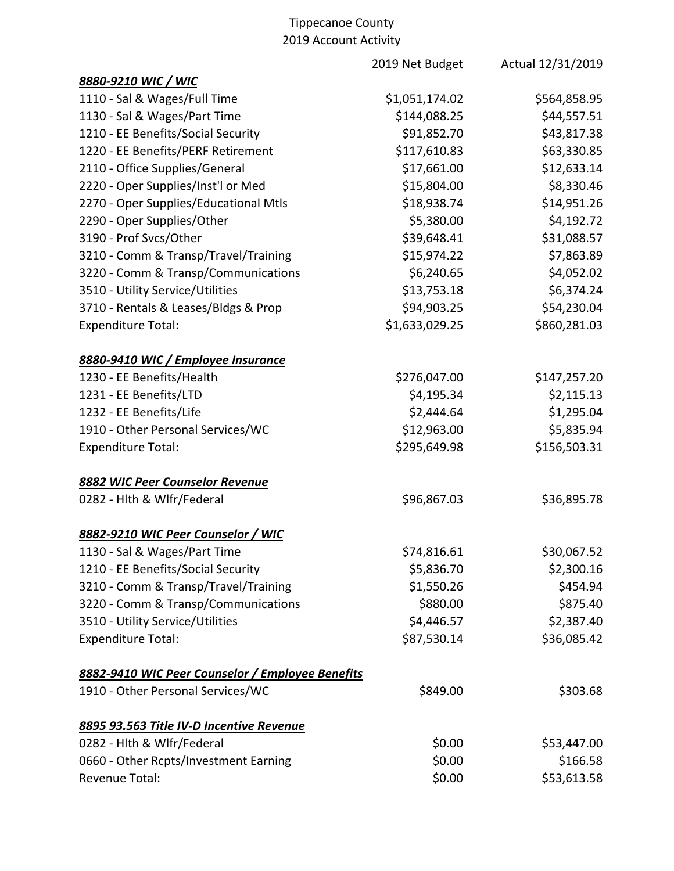|                                                  | 2019 Net Budget | Actual 12/31/2019 |
|--------------------------------------------------|-----------------|-------------------|
| 8880-9210 WIC / WIC                              |                 |                   |
| 1110 - Sal & Wages/Full Time                     | \$1,051,174.02  | \$564,858.95      |
| 1130 - Sal & Wages/Part Time                     | \$144,088.25    | \$44,557.51       |
| 1210 - EE Benefits/Social Security               | \$91,852.70     | \$43,817.38       |
| 1220 - EE Benefits/PERF Retirement               | \$117,610.83    | \$63,330.85       |
| 2110 - Office Supplies/General                   | \$17,661.00     | \$12,633.14       |
| 2220 - Oper Supplies/Inst'l or Med               | \$15,804.00     | \$8,330.46        |
| 2270 - Oper Supplies/Educational Mtls            | \$18,938.74     | \$14,951.26       |
| 2290 - Oper Supplies/Other                       | \$5,380.00      | \$4,192.72        |
| 3190 - Prof Svcs/Other                           | \$39,648.41     | \$31,088.57       |
| 3210 - Comm & Transp/Travel/Training             | \$15,974.22     | \$7,863.89        |
| 3220 - Comm & Transp/Communications              | \$6,240.65      | \$4,052.02        |
| 3510 - Utility Service/Utilities                 | \$13,753.18     | \$6,374.24        |
| 3710 - Rentals & Leases/Bldgs & Prop             | \$94,903.25     | \$54,230.04       |
| <b>Expenditure Total:</b>                        | \$1,633,029.25  | \$860,281.03      |
| 8880-9410 WIC / Employee Insurance               |                 |                   |
| 1230 - EE Benefits/Health                        | \$276,047.00    | \$147,257.20      |
| 1231 - EE Benefits/LTD                           | \$4,195.34      | \$2,115.13        |
| 1232 - EE Benefits/Life                          | \$2,444.64      | \$1,295.04        |
| 1910 - Other Personal Services/WC                | \$12,963.00     | \$5,835.94        |
| <b>Expenditure Total:</b>                        | \$295,649.98    | \$156,503.31      |
| 8882 WIC Peer Counselor Revenue                  |                 |                   |
| 0282 - Hlth & Wlfr/Federal                       | \$96,867.03     | \$36,895.78       |
| 8882-9210 WIC Peer Counselor / WIC               |                 |                   |
| 1130 - Sal & Wages/Part Time                     | \$74,816.61     | \$30,067.52       |
| 1210 - EE Benefits/Social Security               | \$5,836.70      | \$2,300.16        |
| 3210 - Comm & Transp/Travel/Training             | \$1,550.26      | \$454.94          |
| 3220 - Comm & Transp/Communications              | \$880.00        | \$875.40          |
| 3510 - Utility Service/Utilities                 | \$4,446.57      | \$2,387.40        |
| <b>Expenditure Total:</b>                        | \$87,530.14     | \$36,085.42       |
| 8882-9410 WIC Peer Counselor / Employee Benefits |                 |                   |
| 1910 - Other Personal Services/WC                | \$849.00        | \$303.68          |
| 8895 93.563 Title IV-D Incentive Revenue         |                 |                   |
| 0282 - Hlth & Wlfr/Federal                       | \$0.00          | \$53,447.00       |
| 0660 - Other Rcpts/Investment Earning            | \$0.00          | \$166.58          |
| Revenue Total:                                   | \$0.00          | \$53,613.58       |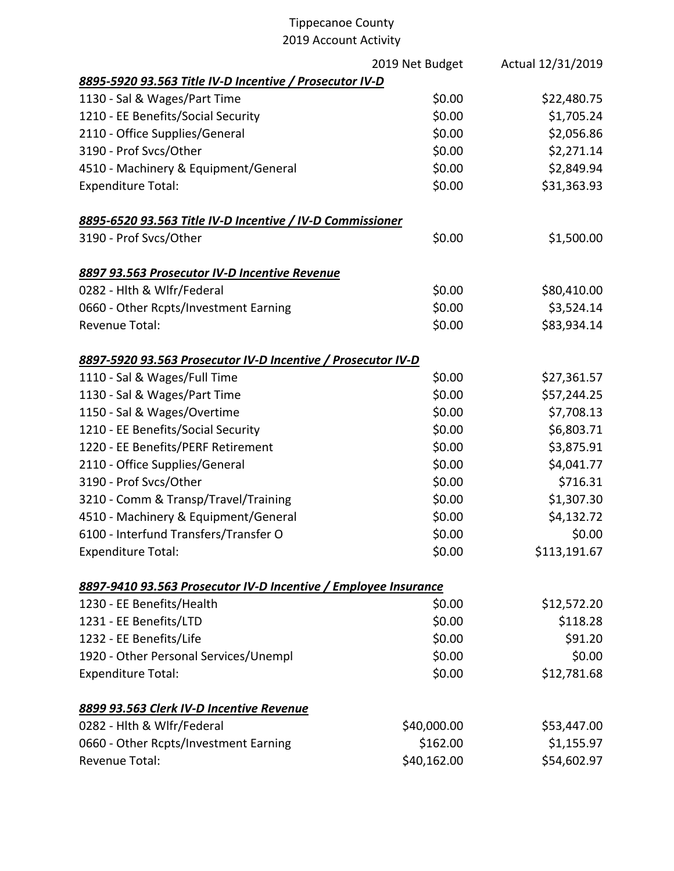|                                                                 | 2019 Net Budget | Actual 12/31/2019 |
|-----------------------------------------------------------------|-----------------|-------------------|
| 8895-5920 93.563 Title IV-D Incentive / Prosecutor IV-D         |                 |                   |
| 1130 - Sal & Wages/Part Time                                    | \$0.00          | \$22,480.75       |
| 1210 - EE Benefits/Social Security                              | \$0.00          | \$1,705.24        |
| 2110 - Office Supplies/General                                  | \$0.00          | \$2,056.86        |
| 3190 - Prof Svcs/Other                                          | \$0.00          | \$2,271.14        |
| 4510 - Machinery & Equipment/General                            | \$0.00          | \$2,849.94        |
| <b>Expenditure Total:</b>                                       | \$0.00          | \$31,363.93       |
| 8895-6520 93.563 Title IV-D Incentive / IV-D Commissioner       |                 |                   |
| 3190 - Prof Svcs/Other                                          | \$0.00          | \$1,500.00        |
| 8897 93.563 Prosecutor IV-D Incentive Revenue                   |                 |                   |
| 0282 - Hlth & Wlfr/Federal                                      | \$0.00          | \$80,410.00       |
| 0660 - Other Rcpts/Investment Earning                           | \$0.00          | \$3,524.14        |
| Revenue Total:                                                  | \$0.00          | \$83,934.14       |
| 8897-5920 93.563 Prosecutor IV-D Incentive / Prosecutor IV-D    |                 |                   |
| 1110 - Sal & Wages/Full Time                                    | \$0.00          | \$27,361.57       |
| 1130 - Sal & Wages/Part Time                                    | \$0.00          | \$57,244.25       |
| 1150 - Sal & Wages/Overtime                                     | \$0.00          | \$7,708.13        |
| 1210 - EE Benefits/Social Security                              | \$0.00          | \$6,803.71        |
| 1220 - EE Benefits/PERF Retirement                              | \$0.00          | \$3,875.91        |
| 2110 - Office Supplies/General                                  | \$0.00          | \$4,041.77        |
| 3190 - Prof Svcs/Other                                          | \$0.00          | \$716.31          |
| 3210 - Comm & Transp/Travel/Training                            | \$0.00          | \$1,307.30        |
| 4510 - Machinery & Equipment/General                            | \$0.00          | \$4,132.72        |
| 6100 - Interfund Transfers/Transfer O                           | \$0.00          | \$0.00            |
| <b>Expenditure Total:</b>                                       | \$0.00          | \$113,191.67      |
| 8897-9410 93.563 Prosecutor IV-D Incentive / Employee Insurance |                 |                   |
| 1230 - EE Benefits/Health                                       | \$0.00          | \$12,572.20       |
| 1231 - EE Benefits/LTD                                          | \$0.00          | \$118.28          |
| 1232 - EE Benefits/Life                                         | \$0.00          | \$91.20           |
| 1920 - Other Personal Services/Unempl                           | \$0.00          | \$0.00            |
| <b>Expenditure Total:</b>                                       | \$0.00          | \$12,781.68       |
| 8899 93.563 Clerk IV-D Incentive Revenue                        |                 |                   |
| 0282 - Hlth & Wlfr/Federal                                      | \$40,000.00     | \$53,447.00       |
| 0660 - Other Rcpts/Investment Earning                           | \$162.00        | \$1,155.97        |
| <b>Revenue Total:</b>                                           | \$40,162.00     | \$54,602.97       |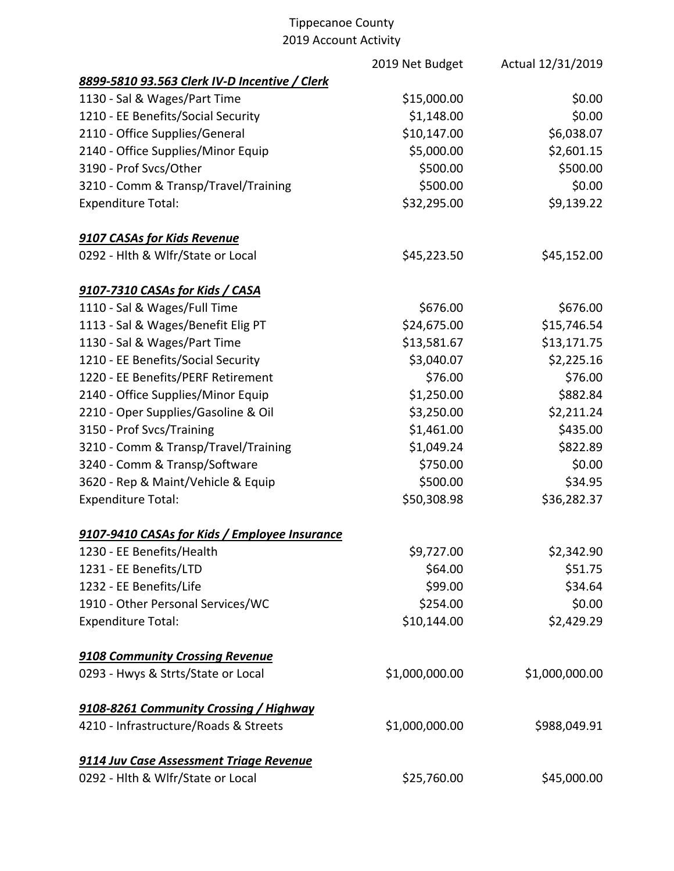|                                               | 2019 Net Budget | Actual 12/31/2019 |
|-----------------------------------------------|-----------------|-------------------|
| 8899-5810 93.563 Clerk IV-D Incentive / Clerk |                 |                   |
| 1130 - Sal & Wages/Part Time                  | \$15,000.00     | \$0.00            |
| 1210 - EE Benefits/Social Security            | \$1,148.00      | \$0.00            |
| 2110 - Office Supplies/General                | \$10,147.00     | \$6,038.07        |
| 2140 - Office Supplies/Minor Equip            | \$5,000.00      | \$2,601.15        |
| 3190 - Prof Svcs/Other                        | \$500.00        | \$500.00          |
| 3210 - Comm & Transp/Travel/Training          | \$500.00        | \$0.00            |
| <b>Expenditure Total:</b>                     | \$32,295.00     | \$9,139.22        |
| 9107 CASAs for Kids Revenue                   |                 |                   |
| 0292 - Hlth & Wlfr/State or Local             | \$45,223.50     | \$45,152.00       |
| 9107-7310 CASAs for Kids / CASA               |                 |                   |
| 1110 - Sal & Wages/Full Time                  | \$676.00        | \$676.00          |
| 1113 - Sal & Wages/Benefit Elig PT            | \$24,675.00     | \$15,746.54       |
| 1130 - Sal & Wages/Part Time                  | \$13,581.67     | \$13,171.75       |
| 1210 - EE Benefits/Social Security            | \$3,040.07      | \$2,225.16        |
| 1220 - EE Benefits/PERF Retirement            | \$76.00         | \$76.00           |
| 2140 - Office Supplies/Minor Equip            | \$1,250.00      | \$882.84          |
| 2210 - Oper Supplies/Gasoline & Oil           | \$3,250.00      | \$2,211.24        |
| 3150 - Prof Svcs/Training                     | \$1,461.00      | \$435.00          |
| 3210 - Comm & Transp/Travel/Training          | \$1,049.24      | \$822.89          |
| 3240 - Comm & Transp/Software                 | \$750.00        | \$0.00            |
| 3620 - Rep & Maint/Vehicle & Equip            | \$500.00        | \$34.95           |
| <b>Expenditure Total:</b>                     | \$50,308.98     | \$36,282.37       |
| 9107-9410 CASAs for Kids / Employee Insurance |                 |                   |
| 1230 - EE Benefits/Health                     | \$9,727.00      | \$2,342.90        |
| 1231 - EE Benefits/LTD                        | \$64.00         | \$51.75           |
| 1232 - EE Benefits/Life                       | \$99.00         | \$34.64           |
| 1910 - Other Personal Services/WC             | \$254.00        | \$0.00            |
| <b>Expenditure Total:</b>                     | \$10,144.00     | \$2,429.29        |
| 9108 Community Crossing Revenue               |                 |                   |
| 0293 - Hwys & Strts/State or Local            | \$1,000,000.00  | \$1,000,000.00    |
| 9108-8261 Community Crossing / Highway        |                 |                   |
| 4210 - Infrastructure/Roads & Streets         | \$1,000,000.00  | \$988,049.91      |
| 9114 Juv Case Assessment Triage Revenue       |                 |                   |
| 0292 - Hlth & Wlfr/State or Local             | \$25,760.00     | \$45,000.00       |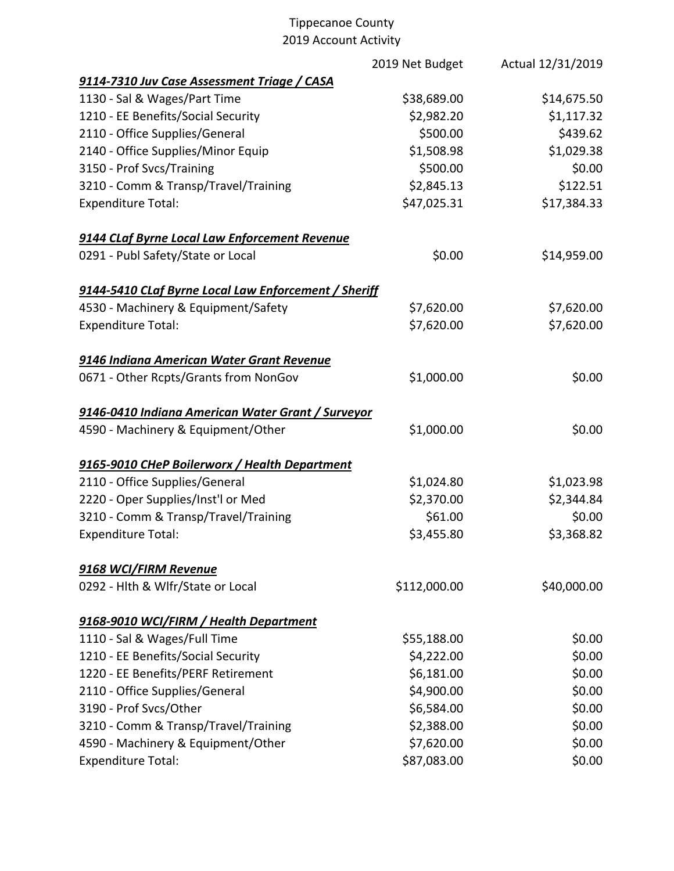|                                                      | 2019 Net Budget | Actual 12/31/2019 |
|------------------------------------------------------|-----------------|-------------------|
| 9114-7310 Juv Case Assessment Triage / CASA          |                 |                   |
| 1130 - Sal & Wages/Part Time                         | \$38,689.00     | \$14,675.50       |
| 1210 - EE Benefits/Social Security                   | \$2,982.20      | \$1,117.32        |
| 2110 - Office Supplies/General                       | \$500.00        | \$439.62          |
| 2140 - Office Supplies/Minor Equip                   | \$1,508.98      | \$1,029.38        |
| 3150 - Prof Svcs/Training                            | \$500.00        | \$0.00            |
| 3210 - Comm & Transp/Travel/Training                 | \$2,845.13      | \$122.51          |
| <b>Expenditure Total:</b>                            | \$47,025.31     | \$17,384.33       |
| 9144 CLaf Byrne Local Law Enforcement Revenue        |                 |                   |
| 0291 - Publ Safety/State or Local                    | \$0.00          | \$14,959.00       |
| 9144-5410 CLaf Byrne Local Law Enforcement / Sheriff |                 |                   |
| 4530 - Machinery & Equipment/Safety                  | \$7,620.00      | \$7,620.00        |
| <b>Expenditure Total:</b>                            | \$7,620.00      | \$7,620.00        |
| 9146 Indiana American Water Grant Revenue            |                 |                   |
| 0671 - Other Rcpts/Grants from NonGov                | \$1,000.00      | \$0.00            |
| 9146-0410 Indiana American Water Grant / Surveyor    |                 |                   |
| 4590 - Machinery & Equipment/Other                   | \$1,000.00      | \$0.00            |
| 9165-9010 CHeP Boilerworx / Health Department        |                 |                   |
| 2110 - Office Supplies/General                       | \$1,024.80      | \$1,023.98        |
| 2220 - Oper Supplies/Inst'l or Med                   | \$2,370.00      | \$2,344.84        |
| 3210 - Comm & Transp/Travel/Training                 | \$61.00         | \$0.00            |
| <b>Expenditure Total:</b>                            | \$3,455.80      | \$3,368.82        |
| 9168 WCI/FIRM Revenue                                |                 |                   |
| 0292 - Hith & Wifr/State or Local                    | \$112,000.00    | \$40,000.00       |
| 9168-9010 WCI/FIRM / Health Department               |                 |                   |
| 1110 - Sal & Wages/Full Time                         | \$55,188.00     | \$0.00            |
| 1210 - EE Benefits/Social Security                   | \$4,222.00      | \$0.00            |
| 1220 - EE Benefits/PERF Retirement                   | \$6,181.00      | \$0.00            |
| 2110 - Office Supplies/General                       | \$4,900.00      | \$0.00            |
| 3190 - Prof Svcs/Other                               | \$6,584.00      | \$0.00            |
| 3210 - Comm & Transp/Travel/Training                 | \$2,388.00      | \$0.00            |
| 4590 - Machinery & Equipment/Other                   | \$7,620.00      | \$0.00            |
| <b>Expenditure Total:</b>                            | \$87,083.00     | \$0.00            |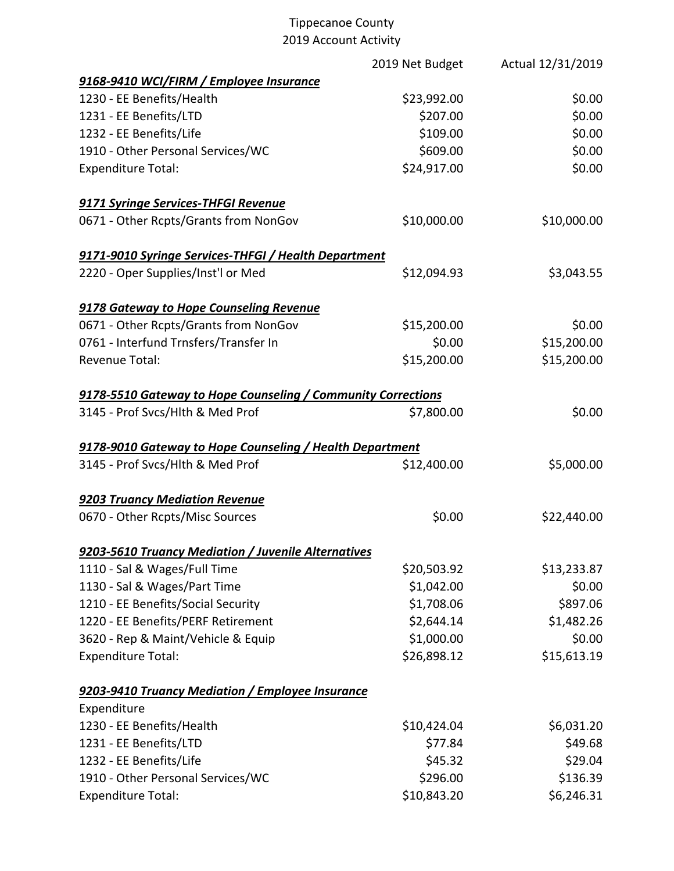|                                                              | 2019 Net Budget | Actual 12/31/2019 |
|--------------------------------------------------------------|-----------------|-------------------|
| 9168-9410 WCI/FIRM / Employee Insurance                      |                 |                   |
| 1230 - EE Benefits/Health                                    | \$23,992.00     | \$0.00            |
| 1231 - EE Benefits/LTD                                       | \$207.00        | \$0.00            |
| 1232 - EE Benefits/Life                                      | \$109.00        | \$0.00            |
| 1910 - Other Personal Services/WC                            | \$609.00        | \$0.00            |
| <b>Expenditure Total:</b>                                    | \$24,917.00     | \$0.00            |
| 9171 Syringe Services-THFGI Revenue                          |                 |                   |
| 0671 - Other Rcpts/Grants from NonGov                        | \$10,000.00     | \$10,000.00       |
| 9171-9010 Syringe Services-THFGI / Health Department         |                 |                   |
| 2220 - Oper Supplies/Inst'l or Med                           | \$12,094.93     | \$3,043.55        |
| 9178 Gateway to Hope Counseling Revenue                      |                 |                   |
| 0671 - Other Rcpts/Grants from NonGov                        | \$15,200.00     | \$0.00            |
| 0761 - Interfund Trnsfers/Transfer In                        | \$0.00          | \$15,200.00       |
| Revenue Total:                                               | \$15,200.00     | \$15,200.00       |
| 9178-5510 Gateway to Hope Counseling / Community Corrections |                 |                   |
| 3145 - Prof Svcs/Hlth & Med Prof                             | \$7,800.00      | \$0.00            |
| 9178-9010 Gateway to Hope Counseling / Health Department     |                 |                   |
| 3145 - Prof Svcs/Hlth & Med Prof                             | \$12,400.00     | \$5,000.00        |
| 9203 Truancy Mediation Revenue                               |                 |                   |
| 0670 - Other Rcpts/Misc Sources                              | \$0.00          | \$22,440.00       |
| 9203-5610 Truancy Mediation / Juvenile Alternatives          |                 |                   |
| 1110 - Sal & Wages/Full Time                                 | \$20,503.92     | \$13,233.87       |
| 1130 - Sal & Wages/Part Time                                 | \$1,042.00      | \$0.00            |
| 1210 - EE Benefits/Social Security                           | \$1,708.06      | \$897.06          |
| 1220 - EE Benefits/PERF Retirement                           | \$2,644.14      | \$1,482.26        |
| 3620 - Rep & Maint/Vehicle & Equip                           | \$1,000.00      | \$0.00            |
| <b>Expenditure Total:</b>                                    | \$26,898.12     | \$15,613.19       |
| 9203-9410 Truancy Mediation / Employee Insurance             |                 |                   |
| Expenditure                                                  |                 |                   |
| 1230 - EE Benefits/Health                                    | \$10,424.04     | \$6,031.20        |
| 1231 - EE Benefits/LTD                                       | \$77.84         | \$49.68           |
| 1232 - EE Benefits/Life                                      | \$45.32         | \$29.04           |
| 1910 - Other Personal Services/WC                            | \$296.00        | \$136.39          |
| <b>Expenditure Total:</b>                                    | \$10,843.20     | \$6,246.31        |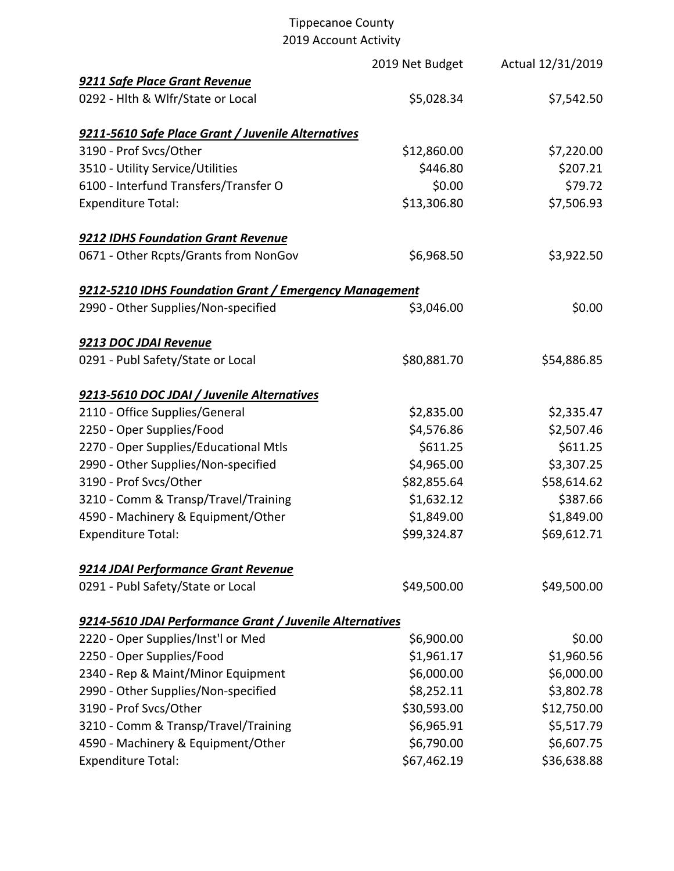|                                                          | 2019 Net Budget | Actual 12/31/2019 |
|----------------------------------------------------------|-----------------|-------------------|
| 9211 Safe Place Grant Revenue                            |                 |                   |
| 0292 - Hlth & Wlfr/State or Local                        | \$5,028.34      | \$7,542.50        |
| 9211-5610 Safe Place Grant / Juvenile Alternatives       |                 |                   |
| 3190 - Prof Svcs/Other                                   | \$12,860.00     | \$7,220.00        |
| 3510 - Utility Service/Utilities                         | \$446.80        | \$207.21          |
| 6100 - Interfund Transfers/Transfer O                    | \$0.00          | \$79.72           |
| <b>Expenditure Total:</b>                                | \$13,306.80     | \$7,506.93        |
| 9212 IDHS Foundation Grant Revenue                       |                 |                   |
| 0671 - Other Rcpts/Grants from NonGov                    | \$6,968.50      | \$3,922.50        |
| 9212-5210 IDHS Foundation Grant / Emergency Management   |                 |                   |
| 2990 - Other Supplies/Non-specified                      | \$3,046.00      | \$0.00            |
| 9213 DOC JDAI Revenue                                    |                 |                   |
| 0291 - Publ Safety/State or Local                        | \$80,881.70     | \$54,886.85       |
| 9213-5610 DOC JDAI / Juvenile Alternatives               |                 |                   |
| 2110 - Office Supplies/General                           | \$2,835.00      | \$2,335.47        |
| 2250 - Oper Supplies/Food                                | \$4,576.86      | \$2,507.46        |
| 2270 - Oper Supplies/Educational Mtls                    | \$611.25        | \$611.25          |
| 2990 - Other Supplies/Non-specified                      | \$4,965.00      | \$3,307.25        |
| 3190 - Prof Svcs/Other                                   | \$82,855.64     | \$58,614.62       |
| 3210 - Comm & Transp/Travel/Training                     | \$1,632.12      | \$387.66          |
| 4590 - Machinery & Equipment/Other                       | \$1,849.00      | \$1,849.00        |
| <b>Expenditure Total:</b>                                | \$99,324.87     | \$69,612.71       |
| 9214 JDAI Performance Grant Revenue                      |                 |                   |
| 0291 - Publ Safety/State or Local                        | \$49,500.00     | \$49,500.00       |
| 9214-5610 JDAI Performance Grant / Juvenile Alternatives |                 |                   |
| 2220 - Oper Supplies/Inst'l or Med                       | \$6,900.00      | \$0.00            |
| 2250 - Oper Supplies/Food                                | \$1,961.17      | \$1,960.56        |
| 2340 - Rep & Maint/Minor Equipment                       | \$6,000.00      | \$6,000.00        |
| 2990 - Other Supplies/Non-specified                      | \$8,252.11      | \$3,802.78        |
| 3190 - Prof Svcs/Other                                   | \$30,593.00     | \$12,750.00       |
| 3210 - Comm & Transp/Travel/Training                     | \$6,965.91      | \$5,517.79        |
| 4590 - Machinery & Equipment/Other                       | \$6,790.00      | \$6,607.75        |
| <b>Expenditure Total:</b>                                | \$67,462.19     | \$36,638.88       |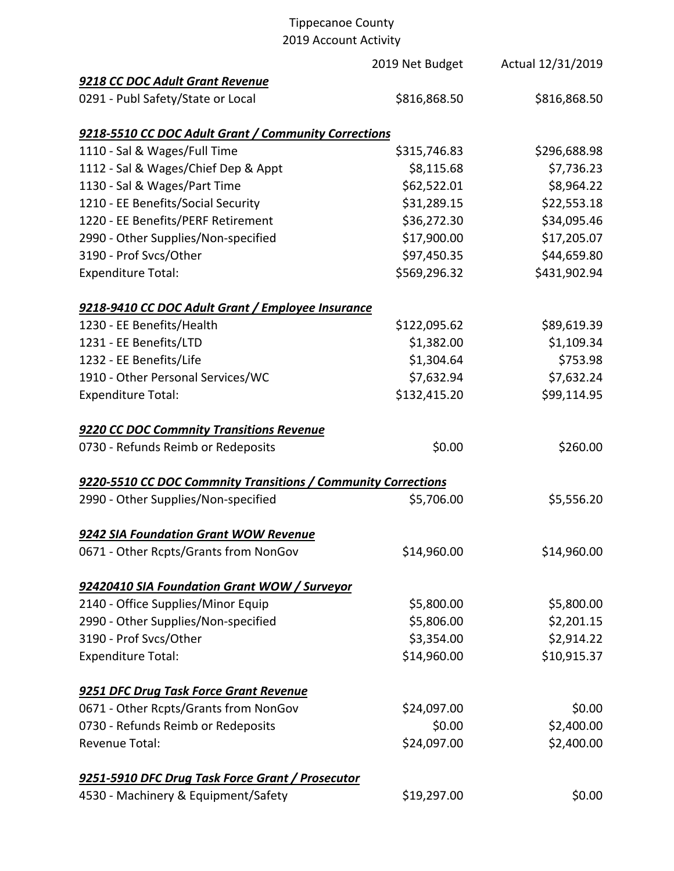# Tippecanoe County

2019 Account Activity

|                                                               | 2019 Net Budget | Actual 12/31/2019 |
|---------------------------------------------------------------|-----------------|-------------------|
| 9218 CC DOC Adult Grant Revenue                               |                 |                   |
| 0291 - Publ Safety/State or Local                             | \$816,868.50    | \$816,868.50      |
| 9218-5510 CC DOC Adult Grant / Community Corrections          |                 |                   |
| 1110 - Sal & Wages/Full Time                                  | \$315,746.83    | \$296,688.98      |
| 1112 - Sal & Wages/Chief Dep & Appt                           | \$8,115.68      | \$7,736.23        |
| 1130 - Sal & Wages/Part Time                                  | \$62,522.01     | \$8,964.22        |
| 1210 - EE Benefits/Social Security                            | \$31,289.15     | \$22,553.18       |
| 1220 - EE Benefits/PERF Retirement                            | \$36,272.30     | \$34,095.46       |
| 2990 - Other Supplies/Non-specified                           | \$17,900.00     | \$17,205.07       |
| 3190 - Prof Svcs/Other                                        | \$97,450.35     | \$44,659.80       |
| <b>Expenditure Total:</b>                                     | \$569,296.32    | \$431,902.94      |
| 9218-9410 CC DOC Adult Grant / Employee Insurance             |                 |                   |
| 1230 - EE Benefits/Health                                     | \$122,095.62    | \$89,619.39       |
| 1231 - EE Benefits/LTD                                        | \$1,382.00      | \$1,109.34        |
| 1232 - EE Benefits/Life                                       | \$1,304.64      | \$753.98          |
| 1910 - Other Personal Services/WC                             | \$7,632.94      | \$7,632.24        |
| <b>Expenditure Total:</b>                                     | \$132,415.20    | \$99,114.95       |
| 9220 CC DOC Commnity Transitions Revenue                      |                 |                   |
| 0730 - Refunds Reimb or Redeposits                            | \$0.00          | \$260.00          |
| 9220-5510 CC DOC Commnity Transitions / Community Corrections |                 |                   |
| 2990 - Other Supplies/Non-specified                           | \$5,706.00      | \$5,556.20        |
| 9242 SIA Foundation Grant WOW Revenue                         |                 |                   |
| 0671 - Other Rcpts/Grants from NonGov                         | \$14,960.00     | \$14,960.00       |
| 92420410 SIA Foundation Grant WOW / Surveyor                  |                 |                   |
| 2140 - Office Supplies/Minor Equip                            | \$5,800.00      | \$5,800.00        |
| 2990 - Other Supplies/Non-specified                           | \$5,806.00      | \$2,201.15        |
| 3190 - Prof Svcs/Other                                        | \$3,354.00      | \$2,914.22        |
| <b>Expenditure Total:</b>                                     | \$14,960.00     | \$10,915.37       |
| 9251 DFC Drug Task Force Grant Revenue                        |                 |                   |
| 0671 - Other Rcpts/Grants from NonGov                         | \$24,097.00     | \$0.00            |
| 0730 - Refunds Reimb or Redeposits                            | \$0.00          | \$2,400.00        |
| Revenue Total:                                                | \$24,097.00     | \$2,400.00        |
| 9251-5910 DFC Drug Task Force Grant / Prosecutor              |                 |                   |
| 4530 - Machinery & Equipment/Safety                           | \$19,297.00     | \$0.00            |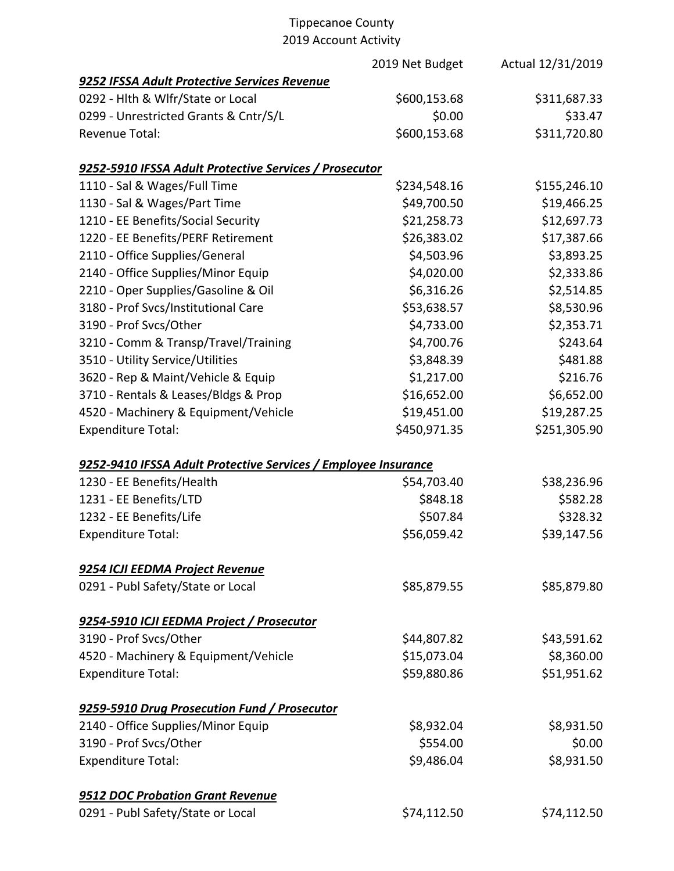|                                                                | 2019 Net Budget | Actual 12/31/2019 |
|----------------------------------------------------------------|-----------------|-------------------|
| 9252 IFSSA Adult Protective Services Revenue                   |                 |                   |
| 0292 - Hlth & Wlfr/State or Local                              | \$600,153.68    | \$311,687.33      |
| 0299 - Unrestricted Grants & Cntr/S/L                          | \$0.00          | \$33.47           |
| <b>Revenue Total:</b>                                          | \$600,153.68    | \$311,720.80      |
| 9252-5910 IFSSA Adult Protective Services / Prosecutor         |                 |                   |
| 1110 - Sal & Wages/Full Time                                   | \$234,548.16    | \$155,246.10      |
| 1130 - Sal & Wages/Part Time                                   | \$49,700.50     | \$19,466.25       |
| 1210 - EE Benefits/Social Security                             | \$21,258.73     | \$12,697.73       |
| 1220 - EE Benefits/PERF Retirement                             | \$26,383.02     | \$17,387.66       |
| 2110 - Office Supplies/General                                 | \$4,503.96      | \$3,893.25        |
| 2140 - Office Supplies/Minor Equip                             | \$4,020.00      | \$2,333.86        |
| 2210 - Oper Supplies/Gasoline & Oil                            | \$6,316.26      | \$2,514.85        |
| 3180 - Prof Svcs/Institutional Care                            | \$53,638.57     | \$8,530.96        |
| 3190 - Prof Svcs/Other                                         | \$4,733.00      | \$2,353.71        |
| 3210 - Comm & Transp/Travel/Training                           | \$4,700.76      | \$243.64          |
| 3510 - Utility Service/Utilities                               | \$3,848.39      | \$481.88          |
| 3620 - Rep & Maint/Vehicle & Equip                             | \$1,217.00      | \$216.76          |
| 3710 - Rentals & Leases/Bldgs & Prop                           | \$16,652.00     | \$6,652.00        |
| 4520 - Machinery & Equipment/Vehicle                           | \$19,451.00     | \$19,287.25       |
| <b>Expenditure Total:</b>                                      | \$450,971.35    | \$251,305.90      |
| 9252-9410 IFSSA Adult Protective Services / Employee Insurance |                 |                   |
| 1230 - EE Benefits/Health                                      | \$54,703.40     | \$38,236.96       |
| 1231 - EE Benefits/LTD                                         | \$848.18        | \$582.28          |
| 1232 - EE Benefits/Life                                        | \$507.84        | \$328.32          |
| <b>Expenditure Total:</b>                                      | \$56,059.42     | \$39,147.56       |
| 9254 ICJI EEDMA Project Revenue                                |                 |                   |
| 0291 - Publ Safety/State or Local                              | \$85,879.55     | \$85,879.80       |
| 9254-5910 ICJI EEDMA Project / Prosecutor                      |                 |                   |
| 3190 - Prof Svcs/Other                                         | \$44,807.82     | \$43,591.62       |
| 4520 - Machinery & Equipment/Vehicle                           | \$15,073.04     | \$8,360.00        |
| <b>Expenditure Total:</b>                                      | \$59,880.86     | \$51,951.62       |
| 9259-5910 Drug Prosecution Fund / Prosecutor                   |                 |                   |
| 2140 - Office Supplies/Minor Equip                             | \$8,932.04      | \$8,931.50        |
| 3190 - Prof Svcs/Other                                         | \$554.00        | \$0.00            |
| <b>Expenditure Total:</b>                                      | \$9,486.04      | \$8,931.50        |
| 9512 DOC Probation Grant Revenue                               |                 |                   |
| 0291 - Publ Safety/State or Local                              | \$74,112.50     | \$74,112.50       |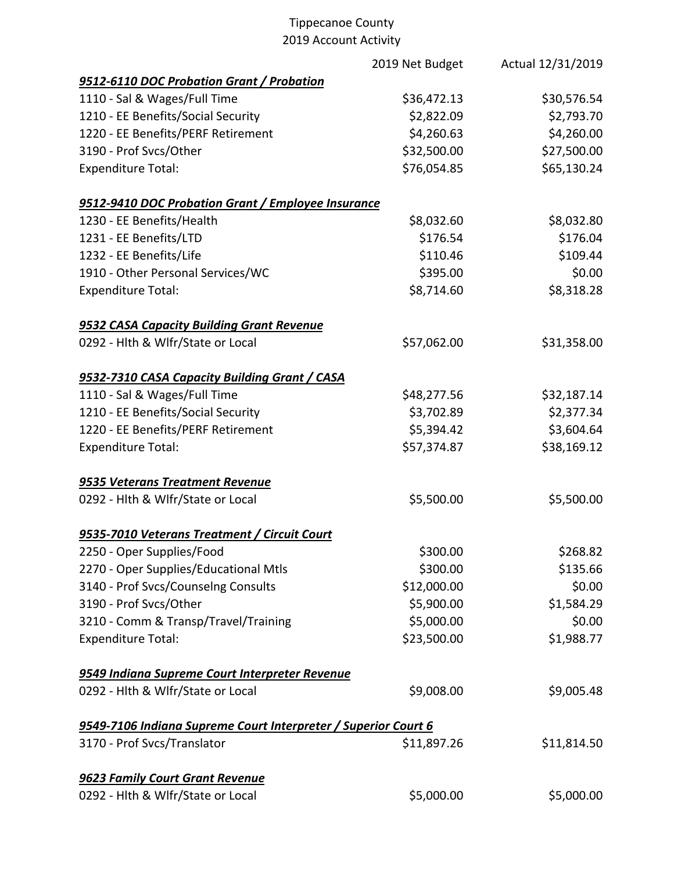|                                                                | 2019 Net Budget | Actual 12/31/2019 |
|----------------------------------------------------------------|-----------------|-------------------|
| 9512-6110 DOC Probation Grant / Probation                      |                 |                   |
| 1110 - Sal & Wages/Full Time                                   | \$36,472.13     | \$30,576.54       |
| 1210 - EE Benefits/Social Security                             | \$2,822.09      | \$2,793.70        |
| 1220 - EE Benefits/PERF Retirement                             | \$4,260.63      | \$4,260.00        |
| 3190 - Prof Svcs/Other                                         | \$32,500.00     | \$27,500.00       |
| <b>Expenditure Total:</b>                                      | \$76,054.85     | \$65,130.24       |
| 9512-9410 DOC Probation Grant / Employee Insurance             |                 |                   |
| 1230 - EE Benefits/Health                                      | \$8,032.60      | \$8,032.80        |
| 1231 - EE Benefits/LTD                                         | \$176.54        | \$176.04          |
| 1232 - EE Benefits/Life                                        | \$110.46        | \$109.44          |
| 1910 - Other Personal Services/WC                              | \$395.00        | \$0.00            |
| <b>Expenditure Total:</b>                                      | \$8,714.60      | \$8,318.28        |
| 9532 CASA Capacity Building Grant Revenue                      |                 |                   |
| 0292 - Hlth & Wlfr/State or Local                              | \$57,062.00     | \$31,358.00       |
| 9532-7310 CASA Capacity Building Grant / CASA                  |                 |                   |
| 1110 - Sal & Wages/Full Time                                   | \$48,277.56     | \$32,187.14       |
| 1210 - EE Benefits/Social Security                             | \$3,702.89      | \$2,377.34        |
| 1220 - EE Benefits/PERF Retirement                             | \$5,394.42      | \$3,604.64        |
| <b>Expenditure Total:</b>                                      | \$57,374.87     | \$38,169.12       |
| 9535 Veterans Treatment Revenue                                |                 |                   |
| 0292 - Hlth & Wlfr/State or Local                              | \$5,500.00      | \$5,500.00        |
| 9535-7010 Veterans Treatment / Circuit Court                   |                 |                   |
| 2250 - Oper Supplies/Food                                      | \$300.00        | \$268.82          |
| 2270 - Oper Supplies/Educational Mtls                          | \$300.00        | \$135.66          |
| 3140 - Prof Svcs/Counselng Consults                            | \$12,000.00     | \$0.00            |
| 3190 - Prof Svcs/Other                                         | \$5,900.00      | \$1,584.29        |
| 3210 - Comm & Transp/Travel/Training                           | \$5,000.00      | \$0.00            |
| <b>Expenditure Total:</b>                                      | \$23,500.00     | \$1,988.77        |
| 9549 Indiana Supreme Court Interpreter Revenue                 |                 |                   |
| 0292 - Hlth & Wlfr/State or Local                              | \$9,008.00      | \$9,005.48        |
| 9549-7106 Indiana Supreme Court Interpreter / Superior Court 6 |                 |                   |
| 3170 - Prof Svcs/Translator                                    | \$11,897.26     | \$11,814.50       |
| 9623 Family Court Grant Revenue                                |                 |                   |
| 0292 - Hlth & Wlfr/State or Local                              | \$5,000.00      | \$5,000.00        |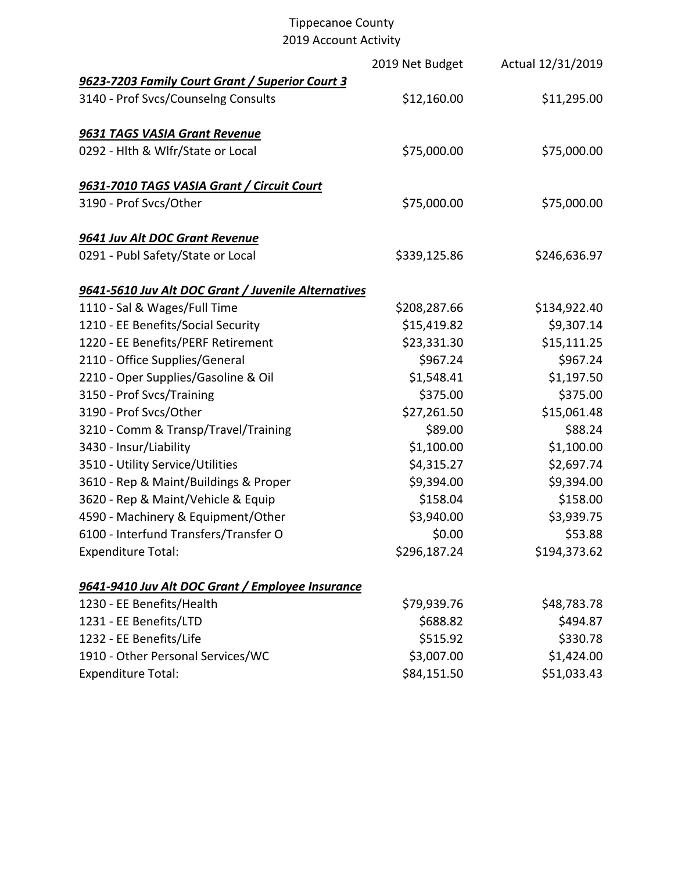|                                                     | 2019 Net Budget | Actual 12/31/2019 |
|-----------------------------------------------------|-----------------|-------------------|
| 9623-7203 Family Court Grant / Superior Court 3     |                 |                   |
| 3140 - Prof Svcs/Counselng Consults                 | \$12,160.00     | \$11,295.00       |
| 9631 TAGS VASIA Grant Revenue                       |                 |                   |
| 0292 - Hlth & Wlfr/State or Local                   | \$75,000.00     | \$75,000.00       |
| 9631-7010 TAGS VASIA Grant / Circuit Court          |                 |                   |
| 3190 - Prof Svcs/Other                              | \$75,000.00     | \$75,000.00       |
| 9641 Juv Alt DOC Grant Revenue                      |                 |                   |
| 0291 - Publ Safety/State or Local                   | \$339,125.86    | \$246,636.97      |
| 9641-5610 Juv Alt DOC Grant / Juvenile Alternatives |                 |                   |
| 1110 - Sal & Wages/Full Time                        | \$208,287.66    | \$134,922.40      |
| 1210 - EE Benefits/Social Security                  | \$15,419.82     | \$9,307.14        |
| 1220 - EE Benefits/PERF Retirement                  | \$23,331.30     | \$15,111.25       |
| 2110 - Office Supplies/General                      | \$967.24        | \$967.24          |
| 2210 - Oper Supplies/Gasoline & Oil                 | \$1,548.41      | \$1,197.50        |
| 3150 - Prof Svcs/Training                           | \$375.00        | \$375.00          |
| 3190 - Prof Svcs/Other                              | \$27,261.50     | \$15,061.48       |
| 3210 - Comm & Transp/Travel/Training                | \$89.00         | \$88.24           |
| 3430 - Insur/Liability                              | \$1,100.00      | \$1,100.00        |
| 3510 - Utility Service/Utilities                    | \$4,315.27      | \$2,697.74        |
| 3610 - Rep & Maint/Buildings & Proper               | \$9,394.00      | \$9,394.00        |
| 3620 - Rep & Maint/Vehicle & Equip                  | \$158.04        | \$158.00          |
| 4590 - Machinery & Equipment/Other                  | \$3,940.00      | \$3,939.75        |
| 6100 - Interfund Transfers/Transfer O               | \$0.00          | \$53.88           |
| <b>Expenditure Total:</b>                           | \$296,187.24    | \$194,373.62      |
| 9641-9410 Juv Alt DOC Grant / Employee Insurance    |                 |                   |
| 1230 - EE Benefits/Health                           | \$79,939.76     | \$48,783.78       |
| 1231 - EE Benefits/LTD                              | \$688.82        | \$494.87          |
| 1232 - EE Benefits/Life                             | \$515.92        | \$330.78          |
| 1910 - Other Personal Services/WC                   | \$3,007.00      | \$1,424.00        |
| <b>Expenditure Total:</b>                           | \$84,151.50     | \$51,033.43       |